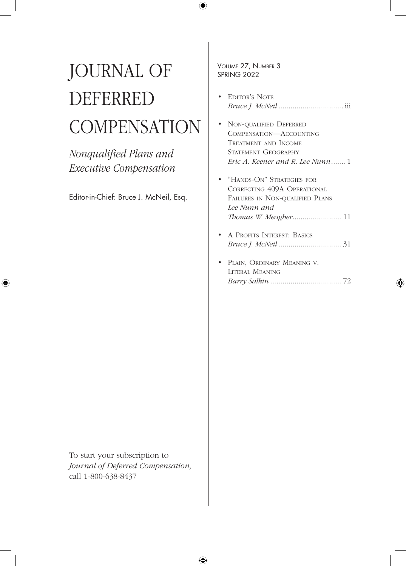*Nonqualified Plans and Executive Compensation*

Editor-in-Chief: Bruce J. McNeil, Esq.

⊕

To start your subscription to *Journal of Deferred Compensation,* call 1-800-638-8437

#### Volume 27, Number 3 SPRING 2022

⊕

- EDITOR'S NOTE *Bruce J. McNeil* [................................](#page-2-0) iii
- Non-qualified Deferred Compensation—Accounting Treatment and Income STATEMENT GEOGRAPHY *Eric A. Keener and R. Lee Nunn*[.......](#page-14-0) 1
- "Hands-On" Strategies for Correcting 409A Operational Failures in Non-qualified Plans *Lee Nunn and Thomas W. Meagher*[........................](#page-24-0) 11
- A PROFITS INTEREST: BASICS *Bruce J. McNeil* [...............................](#page-44-0) 31
- Plain, Ordinary Meaning v. Literal Meaning *Barry Salkin* [...................................](#page-44-0) 72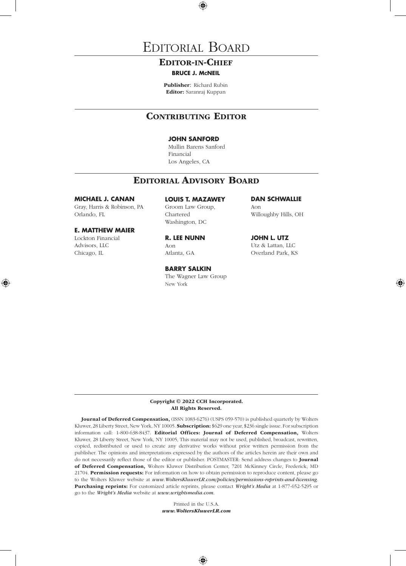### Editorial Board

⊕

### Editor-in-Chief

#### **BRUCE J. McNEIL**

Publisher: Richard Rubin Editor: Saranraj Kuppan

#### CONTRIBUTING EDITOR

#### **JOHN SANFORD**

Mullin Barens Sanford Financial Los Angeles, CA

#### Editorial Advisory Board

#### **MICHAEL J. CANAN**

Gray, Harris & Robinson, PA Orlando, FL

#### **E. MATTHEW MAIER**

Lockton Financial Advisors, LLC Chicago, IL

⊕

**LOUIS T. MAZAWEY** Groom Law Group, Chartered Washington, DC

#### **DAN SCHWALLIE**

Aon Willoughby Hills, OH

**JOHN L. UTZ** Utz & Lattan, LLC Overland Park, KS

⊕

### Atlanta, GA

**R. LEE NUNN**

Aon

**BARRY SALKIN** The Wagner Law Group New York

#### Copyright © 2022 CCH Incorporated. All Rights Reserved.

Journal of Deferred Compensation, (ISSN 1083-6276) (USPS 059-570) is published quarterly by Wolters Kluwer, 28 Liberty Street, New York, NY 10005. **Subscription:** \$629 one year, \$236 single issue. For subscription information call: 1-800-638-8437. Editorial Offices: Journal of Deferred Compensation, Wolters Kluwer, 28 Liberty Street, New York, NY 10005, This material may not be used, published, broadcast, rewritten, copied, redistributed or used to create any derivative works without prior written permission from the publisher. The opinions and interpretations expressed by the authors of the articles herein are their own and do not necessarily reflect those of the editor or publisher. POSTMASTER: Send address changes to Journal of Deferred Compensation, Wolters Kluwer Distribution Center, 7201 McKinney Circle, Frederick, MD 21704. Permission requests: For information on how to obtain permission to reproduce content, please go to the Wolters Kluwer website at *www.WoltersKluwerLR.com/policies/permissions-reprints-and-licensing*. Purchasing reprints: For customized article reprints, please contact *Wright's Media* at 1-877-652-5295 or go to the *Wright's Media* website at *www.wrightsmedia.com*.

> Printed in the U.S.A. *www.WoltersKluwerLR.com*

> > ♠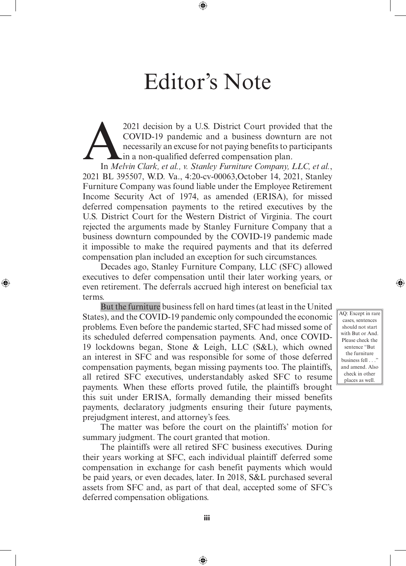## <span id="page-2-0"></span>Editor's Note

⊕

2021 decision by a U.S. District Court provided that the COVID-19 pandemic and a business downturn are not necessarily an excuse for not paying benefits to participants in a non-qualified deferred compensation plan.<br>In *Me* COVID-19 pandemic and a business downturn are not necessarily an excuse for not paying benefits to participants in a non-qualified deferred compensation plan.

2021 BL 395507, W.D. Va., 4:20-cv-00063,October 14, 2021, Stanley Furniture Company was found liable under the Employee Retirement Income Security Act of 1974, as amended (ERISA), for missed deferred compensation payments to the retired executives by the U.S. District Court for the Western District of Virginia. The court rejected the arguments made by Stanley Furniture Company that a business downturn compounded by the COVID-19 pandemic made it impossible to make the required payments and that its deferred compensation plan included an exception for such circumstances.

Decades ago, Stanley Furniture Company, LLC (SFC) allowed executives to defer compensation until their later working years, or even retirement. The deferrals accrued high interest on beneficial tax terms.

⊕

But the furniture business fell on hard times (at least in the United States), and the COVID-19 pandemic only compounded the economic problems. Even before the pandemic started, SFC had missed some of its scheduled deferred compensation payments. And, once COVID-19 lockdowns began, Stone & Leigh, LLC (S&L), which owned an interest in SFC and was responsible for some of those deferred compensation payments, began missing payments too. The plaintiffs, all retired SFC executives, understandably asked SFC to resume payments. When these efforts proved futile, the plaintiffs brought this suit under ERISA, formally demanding their missed benefits payments, declaratory judgments ensuring their future payments, prejudgment interest, and attorney's fees.

The matter was before the court on the plaintiffs' motion for summary judgment. The court granted that motion.

The plaintiffs were all retired SFC business executives. During their years working at SFC, each individual plaintiff deferred some compensation in exchange for cash benefit payments which would be paid years, or even decades, later. In 2018, S&L purchased several assets from SFC and, as part of that deal, accepted some of SFC's deferred compensation obligations.

AQ: Except in rare cases, sentences should not start with But or And. Please check the sentence "But the furniture business fell . . ." and amend. Also check in other places as well.

⊕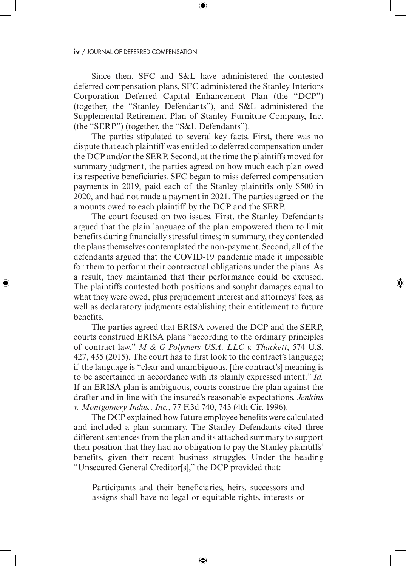⊕

Since then, SFC and S&L have administered the contested deferred compensation plans, SFC administered the Stanley Interiors Corporation Deferred Capital Enhancement Plan (the "DCP") (together, the "Stanley Defendants"), and S&L administered the Supplemental Retirement Plan of Stanley Furniture Company, Inc. (the "SERP") (together, the "S&L Defendants").

⊕

The parties stipulated to several key facts. First, there was no dispute that each plaintiff was entitled to deferred compensation under the DCP and/or the SERP. Second, at the time the plaintiffs moved for summary judgment, the parties agreed on how much each plan owed its respective beneficiaries. SFC began to miss deferred compensation payments in 2019, paid each of the Stanley plaintiffs only \$500 in 2020, and had not made a payment in 2021. The parties agreed on the amounts owed to each plaintiff by the DCP and the SERP.

The court focused on two issues. First, the Stanley Defendants argued that the plain language of the plan empowered them to limit benefits during financially stressful times; in summary, they contended the plans themselves contemplated the non-payment. Second, all of the defendants argued that the COVID-19 pandemic made it impossible for them to perform their contractual obligations under the plans. As a result, they maintained that their performance could be excused. The plaintiffs contested both positions and sought damages equal to what they were owed, plus prejudgment interest and attorneys' fees, as well as declaratory judgments establishing their entitlement to future benefits.

⊕

The parties agreed that ERISA covered the DCP and the SERP, courts construed ERISA plans "according to the ordinary principles of contract law." *M & G Polymers USA, LLC v. Thackett*, 574 U.S. 427, 435 (2015). The court has to first look to the contract's language; if the language is "clear and unambiguous, [the contract's] meaning is to be ascertained in accordance with its plainly expressed intent." *Id.* If an ERISA plan is ambiguous, courts construe the plan against the drafter and in line with the insured's reasonable expectations. *Jenkins v. Montgomery Indus., Inc.*, 77 F.3d 740, 743 (4th Cir. 1996).

The DCP explained how future employee benefits were calculated and included a plan summary. The Stanley Defendants cited three different sentences from the plan and its attached summary to support their position that they had no obligation to pay the Stanley plaintiffs' benefits, given their recent business struggles. Under the heading "Unsecured General Creditor[s]," the DCP provided that:

Participants and their beneficiaries, heirs, successors and assigns shall have no legal or equitable rights, interests or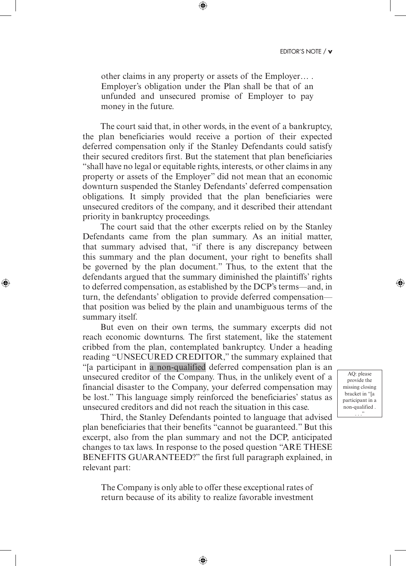other claims in any property or assets of the Employer… . Employer's obligation under the Plan shall be that of an unfunded and unsecured promise of Employer to pay money in the future.

⊕

The court said that, in other words, in the event of a bankruptcy, the plan beneficiaries would receive a portion of their expected deferred compensation only if the Stanley Defendants could satisfy their secured creditors first. But the statement that plan beneficiaries "shall have no legal or equitable rights, interests, or other claims in any property or assets of the Employer" did not mean that an economic downturn suspended the Stanley Defendants' deferred compensation obligations. It simply provided that the plan beneficiaries were unsecured creditors of the company, and it described their attendant priority in bankruptcy proceedings.

The court said that the other excerpts relied on by the Stanley Defendants came from the plan summary. As an initial matter, that summary advised that, "if there is any discrepancy between this summary and the plan document, your right to benefits shall be governed by the plan document." Thus, to the extent that the defendants argued that the summary diminished the plaintiffs' rights to deferred compensation, as established by the DCP's terms—and, in turn, the defendants' obligation to provide deferred compensation that position was belied by the plain and unambiguous terms of the summary itself.

⊕

But even on their own terms, the summary excerpts did not reach economic downturns. The first statement, like the statement cribbed from the plan, contemplated bankruptcy. Under a heading reading "UNSECURED CREDITOR," the summary explained that "[a participant in a non-qualified deferred compensation plan is an unsecured creditor of the Company. Thus, in the unlikely event of a financial disaster to the Company, your deferred compensation may be lost." This language simply reinforced the beneficiaries' status as unsecured creditors and did not reach the situation in this case.

Third, the Stanley Defendants pointed to language that advised plan beneficiaries that their benefits "cannot be guaranteed." But this excerpt, also from the plan summary and not the DCP, anticipated changes to tax laws. In response to the posed question "ARE THESE BENEFITS GUARANTEED?" the first full paragraph explained, in relevant part:

The Company is only able to offer these exceptional rates of return because of its ability to realize favorable investment

⊕

AQ: please provide the missing closing bracket in "[a participant in a non-qualified .  $\mathbb{R}^n$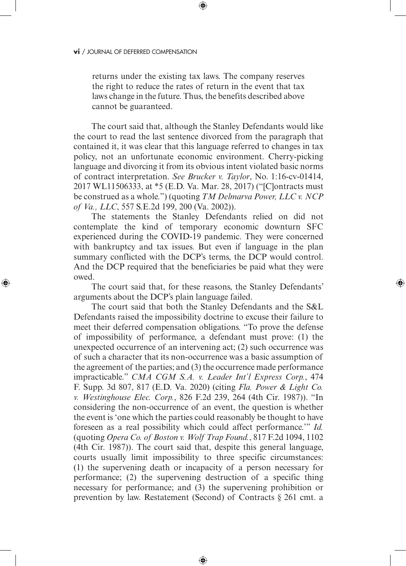⊕

returns under the existing tax laws. The company reserves the right to reduce the rates of return in the event that tax laws change in the future. Thus, the benefits described above cannot be guaranteed.

⊕

The court said that, although the Stanley Defendants would like the court to read the last sentence divorced from the paragraph that contained it, it was clear that this language referred to changes in tax policy, not an unfortunate economic environment. Cherry-picking language and divorcing it from its obvious intent violated basic norms of contract interpretation. *See Brucker v. Taylor*, No. 1:16-cv-01414, 2017 WL11506333, at \*5 (E.D. Va. Mar. 28, 2017) ("[C]ontracts must be construed as a whole.") (quoting *TM Delmarva Power, LLC v. NCP of Va., LLC*, 557 S.E.2d 199, 200 (Va. 2002)).

The statements the Stanley Defendants relied on did not contemplate the kind of temporary economic downturn SFC experienced during the COVID-19 pandemic. They were concerned with bankruptcy and tax issues. But even if language in the plan summary conflicted with the DCP's terms, the DCP would control. And the DCP required that the beneficiaries be paid what they were owed.

The court said that, for these reasons, the Stanley Defendants' arguments about the DCP's plain language failed.

⊕

The court said that both the Stanley Defendants and the S&L Defendants raised the impossibility doctrine to excuse their failure to meet their deferred compensation obligations. "To prove the defense of impossibility of performance, a defendant must prove: (1) the unexpected occurrence of an intervening act; (2) such occurrence was of such a character that its non-occurrence was a basic assumption of the agreement of the parties; and (3) the occurrence made performance impracticable." *CMA CGM S.A. v. Leader Int'l Express Corp.*, 474 F. Supp. 3d 807, 817 (E.D. Va. 2020) (citing *Fla. Power & Light Co. v. Westinghouse Elec. Corp.*, 826 F.2d 239, 264 (4th Cir. 1987)). "In considering the non-occurrence of an event, the question is whether the event is 'one which the parties could reasonably be thought to have foreseen as a real possibility which could affect performance.'" *Id.* (quoting *Opera Co. of Boston v. Wolf Trap Found.*, 817 F.2d 1094, 1102 (4th Cir. 1987)). The court said that, despite this general language, courts usually limit impossibility to three specific circumstances: (1) the supervening death or incapacity of a person necessary for performance; (2) the supervening destruction of a specific thing necessary for performance; and (3) the supervening prohibition or prevention by law. Restatement (Second) of Contracts § 261 cmt. a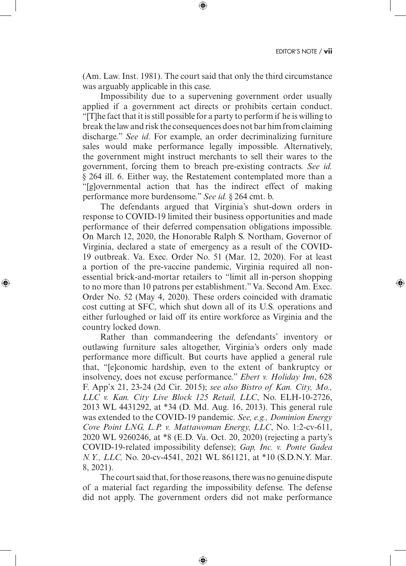(Am. Law. Inst. 1981). The court said that only the third circumstance was arguably applicable in this case.

⊕

Impossibility due to a supervening government order usually applied if a government act directs or prohibits certain conduct. "[T]he fact that it is still possible for a party to perform if he is willing to break the law and risk the consequences does not bar him from claiming discharge." *See id*. For example, an order decriminalizing furniture sales would make performance legally impossible. Alternatively, the government might instruct merchants to sell their wares to the government, forcing them to breach pre-existing contracts. *See id.* § 264 ill. 6. Either way, the Restatement contemplated more than a "[g]overnmental action that has the indirect effect of making performance more burdensome." *See id.* § 264 cmt. b.

The defendants argued that Virginia's shut-down orders in response to COVID-19 limited their business opportunities and made performance of their deferred compensation obligations impossible. On March 12, 2020, the Honorable Ralph S. Northam, Governor of Virginia, declared a state of emergency as a result of the COVID-19 outbreak. Va. Exec. Order No. 51 (Mar. 12, 2020). For at least a portion of the pre-vaccine pandemic, Virginia required all nonessential brick-and-mortar retailers to "limit all in-person shopping to no more than 10 patrons per establishment." Va. Second Am. Exec. Order No. 52 (May 4, 2020). These orders coincided with dramatic cost cutting at SFC, which shut down all of its U.S. operations and either furloughed or laid off its entire workforce as Virginia and the country locked down.

⊕

Rather than commandeering the defendants' inventory or outlawing furniture sales altogether, Virginia's orders only made performance more difficult. But courts have applied a general rule that, "[e]conomic hardship, even to the extent of bankruptcy or insolvency, does not excuse performance." *Ebert v. Holiday Inn*, 628 F. App'x 21, 23-24 (2d Cir. 2015); *see also Bistro of Kan. City, Mo., LLC v. Kan. City Live Block 125 Retail, LLC*, No. ELH-10-2726, 2013 WL 4431292, at \*34 (D. Md. Aug. 16, 2013). This general rule was extended to the COVID-19 pandemic. *See, e.g., Dominion Energy Cove Point LNG, L.P. v. Mattawoman Energy, LLC*, No. 1:2-cv-611, 2020 WL 9260246, at \*8 (E.D. Va. Oct. 20, 2020) (rejecting a party's COVID-19-related impossibility defense); *Gap, Inc. v. Ponte Gadea N.Y., LLC,* No. 20-cv-4541, 2021 WL 861121, at \*10 (S.D.N.Y. Mar. 8, 2021).

The court said that, for those reasons, there was no genuine dispute of a material fact regarding the impossibility defense. The defense did not apply. The government orders did not make performance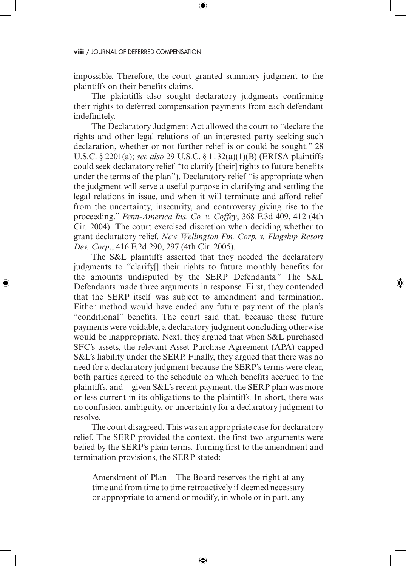⊕

impossible. Therefore, the court granted summary judgment to the plaintiffs on their benefits claims.

⊕

The plaintiffs also sought declaratory judgments confirming their rights to deferred compensation payments from each defendant indefinitely.

The Declaratory Judgment Act allowed the court to "declare the rights and other legal relations of an interested party seeking such declaration, whether or not further relief is or could be sought." 28 U.S.C. § 2201(a); *see also* 29 U.S.C. § 1132(a)(1)(B) (ERISA plaintiffs could seek declaratory relief "to clarify [their] rights to future benefits under the terms of the plan"). Declaratory relief "is appropriate when the judgment will serve a useful purpose in clarifying and settling the legal relations in issue, and when it will terminate and afford relief from the uncertainty, insecurity, and controversy giving rise to the proceeding." *Penn-America Ins. Co. v. Coffey*, 368 F.3d 409, 412 (4th Cir. 2004). The court exercised discretion when deciding whether to grant declaratory relief. *New Wellington Fin. Corp. v. Flagship Resort Dev. Corp*., 416 F.2d 290, 297 (4th Cir. 2005).

The S&L plaintiffs asserted that they needed the declaratory judgments to "clarify[] their rights to future monthly benefits for the amounts undisputed by the SERP Defendants." The S&L Defendants made three arguments in response. First, they contended that the SERP itself was subject to amendment and termination. Either method would have ended any future payment of the plan's "conditional" benefits. The court said that, because those future payments were voidable, a declaratory judgment concluding otherwise would be inappropriate. Next, they argued that when S&L purchased SFC's assets, the relevant Asset Purchase Agreement (APA) capped S&L's liability under the SERP. Finally, they argued that there was no need for a declaratory judgment because the SERP's terms were clear, both parties agreed to the schedule on which benefits accrued to the plaintiffs, and—given S&L's recent payment, the SERP plan was more or less current in its obligations to the plaintiffs. In short, there was no confusion, ambiguity, or uncertainty for a declaratory judgment to resolve.

⊕

The court disagreed. This was an appropriate case for declaratory relief. The SERP provided the context, the first two arguments were belied by the SERP's plain terms. Turning first to the amendment and termination provisions, the SERP stated:

Amendment of Plan – The Board reserves the right at any time and from time to time retroactively if deemed necessary or appropriate to amend or modify, in whole or in part, any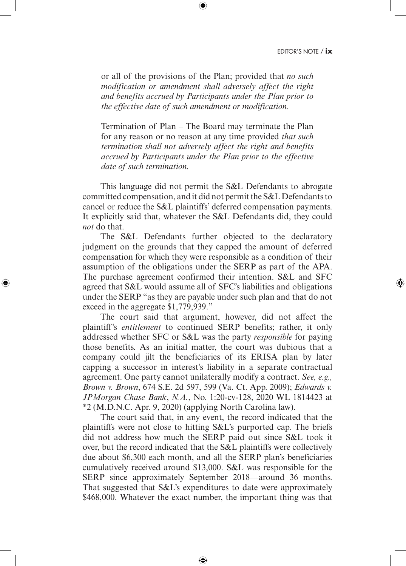or all of the provisions of the Plan; provided that *no such modification or amendment shall adversely affect the right and benefits accrued by Participants under the Plan prior to the effective date of such amendment or modification.*

⊕

Termination of Plan – The Board may terminate the Plan for any reason or no reason at any time provided *that such termination shall not adversely affect the right and benefits accrued by Participants under the Plan prior to the effective date of such termination.*

This language did not permit the S&L Defendants to abrogate committed compensation, and it did not permit the S&L Defendants to cancel or reduce the S&L plaintiffs' deferred compensation payments. It explicitly said that, whatever the S&L Defendants did, they could *not* do that.

The S&L Defendants further objected to the declaratory judgment on the grounds that they capped the amount of deferred compensation for which they were responsible as a condition of their assumption of the obligations under the SERP as part of the APA. The purchase agreement confirmed their intention. S&L and SFC agreed that S&L would assume all of SFC's liabilities and obligations under the SERP "as they are payable under such plan and that do not exceed in the aggregate \$1,779,939."

⊕

The court said that argument, however, did not affect the plaintiff's *entitlement* to continued SERP benefits; rather, it only addressed whether SFC or S&L was the party *responsible* for paying those benefits. As an initial matter, the court was dubious that a company could jilt the beneficiaries of its ERISA plan by later capping a successor in interest's liability in a separate contractual agreement. One party cannot unilaterally modify a contract. *See, e.g., Brown v. Brown*, 674 S.E. 2d 597, 599 (Va. Ct. App. 2009); *Edwards v. JPMorgan Chase Bank*, *N.A.*, No. 1:20-cv-128, 2020 WL 1814423 at \*2 (M.D.N.C. Apr. 9, 2020) (applying North Carolina law).

The court said that, in any event, the record indicated that the plaintiffs were not close to hitting S&L's purported cap. The briefs did not address how much the SERP paid out since S&L took it over, but the record indicated that the S&L plaintiffs were collectively due about \$6,300 each month, and all the SERP plan's beneficiaries cumulatively received around \$13,000. S&L was responsible for the SERP since approximately September 2018—around 36 months. That suggested that S&L's expenditures to date were approximately \$468,000. Whatever the exact number, the important thing was that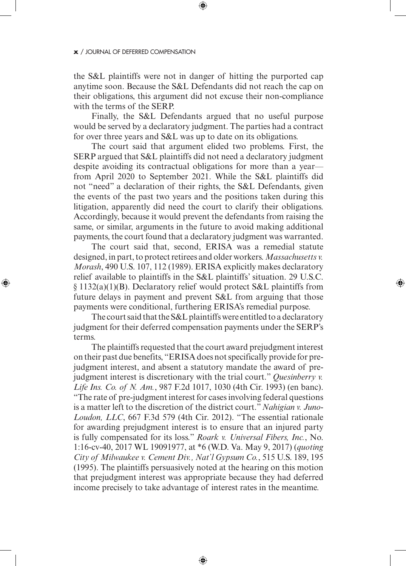⊕

the S&L plaintiffs were not in danger of hitting the purported cap anytime soon. Because the S&L Defendants did not reach the cap on their obligations, this argument did not excuse their non-compliance with the terms of the SERP.

⊕

Finally, the S&L Defendants argued that no useful purpose would be served by a declaratory judgment. The parties had a contract for over three years and S&L was up to date on its obligations.

The court said that argument elided two problems. First, the SERP argued that S&L plaintiffs did not need a declaratory judgment despite avoiding its contractual obligations for more than a year from April 2020 to September 2021. While the S&L plaintiffs did not "need" a declaration of their rights, the S&L Defendants, given the events of the past two years and the positions taken during this litigation, apparently did need the court to clarify their obligations. Accordingly, because it would prevent the defendants from raising the same, or similar, arguments in the future to avoid making additional payments, the court found that a declaratory judgment was warranted.

The court said that, second, ERISA was a remedial statute designed, in part, to protect retirees and older workers. *Massachusetts v. Morash*, 490 U.S. 107, 112 (1989). ERISA explicitly makes declaratory relief available to plaintiffs in the S&L plaintiffs' situation. 29 U.S.C. § 1132(a)(1)(B). Declaratory relief would protect S&L plaintiffs from future delays in payment and prevent S&L from arguing that those payments were conditional, furthering ERISA's remedial purpose.

⊕

The court said that the S&L plaintiffs were entitled to a declaratory judgment for their deferred compensation payments under the SERP's terms.

The plaintiffs requested that the court award prejudgment interest on their past due benefits, "ERISA does not specifically provide for prejudgment interest, and absent a statutory mandate the award of prejudgment interest is discretionary with the trial court." *Quesinberry v. Life Ins. Co. of N. Am.*, 987 F.2d 1017, 1030 (4th Cir. 1993) (en banc). "The rate of pre-judgment interest for cases involving federal questions is a matter left to the discretion of the district court." *Nahigian v. Juno-Loudon, LLC*, 667 F.3d 579 (4th Cir. 2012). "The essential rationale for awarding prejudgment interest is to ensure that an injured party is fully compensated for its loss." *Roark v. Universal Fibers, Inc.*, No. 1:16-cv-40, 2017 WL 19091977, at \*6 (W.D. Va. May 9, 2017) (*quoting City of Milwaukee v. Cement Div., Nat'l Gypsum Co.*, 515 U.S. 189, 195 (1995). The plaintiffs persuasively noted at the hearing on this motion that prejudgment interest was appropriate because they had deferred income precisely to take advantage of interest rates in the meantime.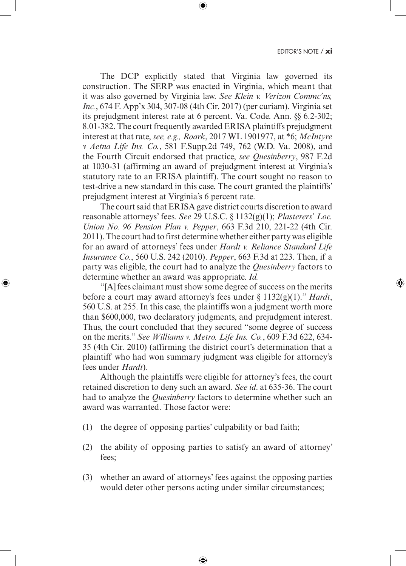The DCP explicitly stated that Virginia law governed its construction. The SERP was enacted in Virginia, which meant that it was also governed by Virginia law. *See Klein v. Verizon Commc'ns, Inc.*, 674 F. App'x 304, 307-08 (4th Cir. 2017) (per curiam). Virginia set its prejudgment interest rate at 6 percent. Va. Code. Ann. §§ 6.2-302; 8.01-382. The court frequently awarded ERISA plaintiffs prejudgment interest at that rate, *see, e.g., Roark*, 2017 WL 1901977, at \*6; *McIntyre v Aetna Life Ins. Co.*, 581 F.Supp.2d 749, 762 (W.D. Va. 2008), and the Fourth Circuit endorsed that practice, *see Quesinberry*, 987 F.2d at 1030-31 (affirming an award of prejudgment interest at Virginia's statutory rate to an ERISA plaintiff). The court sought no reason to test-drive a new standard in this case. The court granted the plaintiffs' prejudgment interest at Virginia's 6 percent rate.

⊕

The court said that ERISA gave district courts discretion to award reasonable attorneys' fees. *See* 29 U.S.C. § 1132(g)(1); *Plasterers' Loc. Union No. 96 Pension Plan v. Pepper*, 663 F.3d 210, 221-22 (4th Cir. 2011). The court had to first determine whether either party was eligible for an award of attorneys' fees under *Hardt v. Reliance Standard Life Insurance Co.*, 560 U.S. 242 (2010). *Pepper*, 663 F.3d at 223. Then, if a party was eligible, the court had to analyze the *Quesinberry* factors to determine whether an award was appropriate. *Id.*

⊕

"[A] fees claimant must show some degree of success on the merits before a court may award attorney's fees under § 1132(g)(1)." *Hardt*, 560 U.S. at 255. In this case, the plaintiffs won a judgment worth more than \$600,000, two declaratory judgments, and prejudgment interest. Thus, the court concluded that they secured "some degree of success on the merits." *See Williams v. Metro. Life Ins. Co.*, 609 F.3d 622, 634- 35 (4th Cir. 2010) (affirming the district court's determination that a plaintiff who had won summary judgment was eligible for attorney's fees under *Hardt*).

Although the plaintiffs were eligible for attorney's fees, the court retained discretion to deny such an award. *See id*. at 635-36. The court had to analyze the *Quesinberry* factors to determine whether such an award was warranted. Those factor were:

- (1) the degree of opposing parties' culpability or bad faith;
- (2) the ability of opposing parties to satisfy an award of attorney' fees;
- (3) whether an award of attorneys' fees against the opposing parties would deter other persons acting under similar circumstances;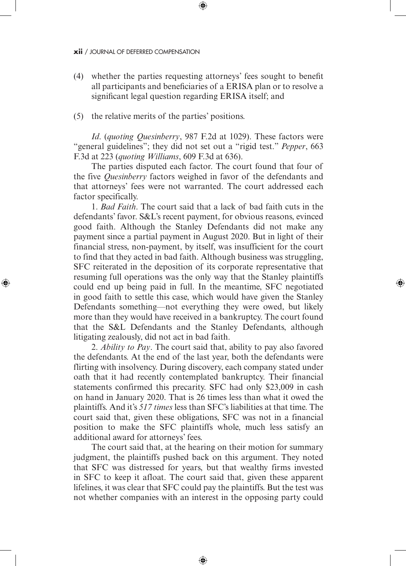⊕

(4) whether the parties requesting attorneys' fees sought to benefit all participants and beneficiaries of a ERISA plan or to resolve a significant legal question regarding ERISA itself; and

⊕

(5) the relative merits of the parties' positions.

*Id*. (*quoting Quesinberry*, 987 F.2d at 1029). These factors were "general guidelines"; they did not set out a "rigid test." *Pepper*, 663 F.3d at 223 (*quoting Williams*, 609 F.3d at 636).

The parties disputed each factor. The court found that four of the five *Quesinberry* factors weighed in favor of the defendants and that attorneys' fees were not warranted. The court addressed each factor specifically.

1. *Bad Faith*. The court said that a lack of bad faith cuts in the defendants' favor. S&L's recent payment, for obvious reasons, evinced good faith. Although the Stanley Defendants did not make any payment since a partial payment in August 2020. But in light of their financial stress, non-payment, by itself, was insufficient for the court to find that they acted in bad faith. Although business was struggling, SFC reiterated in the deposition of its corporate representative that resuming full operations was the only way that the Stanley plaintiffs could end up being paid in full. In the meantime, SFC negotiated in good faith to settle this case, which would have given the Stanley Defendants something—not everything they were owed, but likely more than they would have received in a bankruptcy. The court found that the S&L Defendants and the Stanley Defendants, although litigating zealously, did not act in bad faith.

⊕

2. *Ability to Pay*. The court said that, ability to pay also favored the defendants. At the end of the last year, both the defendants were flirting with insolvency. During discovery, each company stated under oath that it had recently contemplated bankruptcy. Their financial statements confirmed this precarity. SFC had only \$23,009 in cash on hand in January 2020. That is 26 times less than what it owed the plaintiffs. And it's *517 times* less than SFC's liabilities at that time. The court said that, given these obligations, SFC was not in a financial position to make the SFC plaintiffs whole, much less satisfy an additional award for attorneys' fees.

The court said that, at the hearing on their motion for summary judgment, the plaintiffs pushed back on this argument. They noted that SFC was distressed for years, but that wealthy firms invested in SFC to keep it afloat. The court said that, given these apparent lifelines, it was clear that SFC could pay the plaintiffs. But the test was not whether companies with an interest in the opposing party could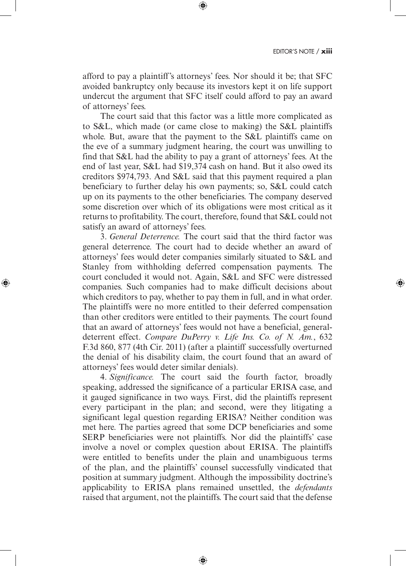afford to pay a plaintiff's attorneys' fees. Nor should it be; that SFC avoided bankruptcy only because its investors kept it on life support undercut the argument that SFC itself could afford to pay an award of attorneys' fees.

⊕

The court said that this factor was a little more complicated as to S&L, which made (or came close to making) the S&L plaintiffs whole. But, aware that the payment to the S&L plaintiffs came on the eve of a summary judgment hearing, the court was unwilling to find that S&L had the ability to pay a grant of attorneys' fees. At the end of last year, S&L had \$19,374 cash on hand. But it also owed its creditors \$974,793. And S&L said that this payment required a plan beneficiary to further delay his own payments; so, S&L could catch up on its payments to the other beneficiaries. The company deserved some discretion over which of its obligations were most critical as it returns to profitability. The court, therefore, found that S&L could not satisfy an award of attorneys' fees.

3. *General Deterrence.* The court said that the third factor was general deterrence. The court had to decide whether an award of attorneys' fees would deter companies similarly situated to S&L and Stanley from withholding deferred compensation payments. The court concluded it would not. Again, S&L and SFC were distressed companies. Such companies had to make difficult decisions about which creditors to pay, whether to pay them in full, and in what order. The plaintiffs were no more entitled to their deferred compensation than other creditors were entitled to their payments. The court found that an award of attorneys' fees would not have a beneficial, generaldeterrent effect. *Compare DuPerry v. Life Ins. Co. of N. Am.*, 632 F.3d 860, 877 (4th Cir. 2011) (after a plaintiff successfully overturned the denial of his disability claim, the court found that an award of attorneys' fees would deter similar denials).

⊕

4. *Significance.* The court said the fourth factor, broadly speaking, addressed the significance of a particular ERISA case, and it gauged significance in two ways. First, did the plaintiffs represent every participant in the plan; and second, were they litigating a significant legal question regarding ERISA? Neither condition was met here. The parties agreed that some DCP beneficiaries and some SERP beneficiaries were not plaintiffs. Nor did the plaintiffs' case involve a novel or complex question about ERISA. The plaintiffs were entitled to benefits under the plain and unambiguous terms of the plan, and the plaintiffs' counsel successfully vindicated that position at summary judgment. Although the impossibility doctrine's applicability to ERISA plans remained unsettled, the *defendants* raised that argument, not the plaintiffs. The court said that the defense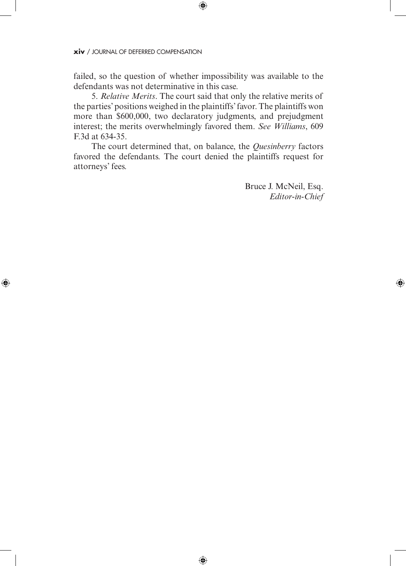⊕

failed, so the question of whether impossibility was available to the defendants was not determinative in this case.

 $\bigoplus$ 

5. *Relative Merits*. The court said that only the relative merits of the parties' positions weighed in the plaintiffs' favor. The plaintiffs won more than \$600,000, two declaratory judgments, and prejudgment interest; the merits overwhelmingly favored them. *See Williams*, 609 F.3d at 634-35.

The court determined that, on balance, the *Quesinberry* factors favored the defendants. The court denied the plaintiffs request for attorneys' fees.

⊕

Bruce J. McNeil, Esq. *Editor-in-Chief*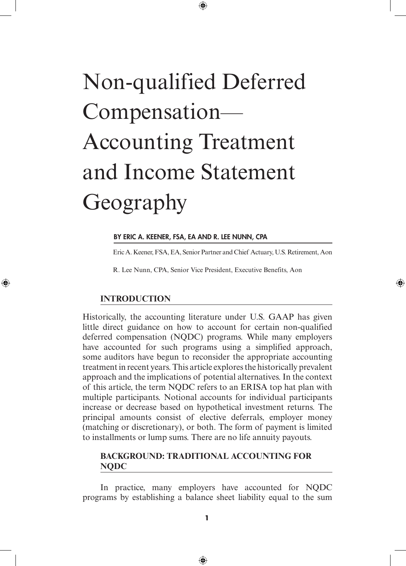# <span id="page-14-0"></span>Non-qualified Deferred Compensation— Accounting Treatment and Income Statement Geography

 $\textcircled{\scriptsize{+}}$ 

#### BY ERIC A. KEENER, FSA, EA AND R. LEE NUNN, CPA

Eric A. Keener, FSA, EA, Senior Partner and Chief Actuary, U.S. Retirement, Aon

⊕

R. Lee Nunn, CPA, Senior Vice President, Executive Benefits, Aon

#### **INTRODUCTION**

⊕

Historically, the accounting literature under U.S. GAAP has given little direct guidance on how to account for certain non-qualified deferred compensation (NQDC) programs. While many employers have accounted for such programs using a simplified approach, some auditors have begun to reconsider the appropriate accounting treatment in recent years. This article explores the historically prevalent approach and the implications of potential alternatives. In the context of this article, the term NQDC refers to an ERISA top hat plan with multiple participants. Notional accounts for individual participants increase or decrease based on hypothetical investment returns. The principal amounts consist of elective deferrals, employer money (matching or discretionary), or both. The form of payment is limited to installments or lump sums. There are no life annuity payouts.

#### **BACKGROUND: TRADITIONAL ACCOUNTING FOR NQDC**

In practice, many employers have accounted for NQDC programs by establishing a balance sheet liability equal to the sum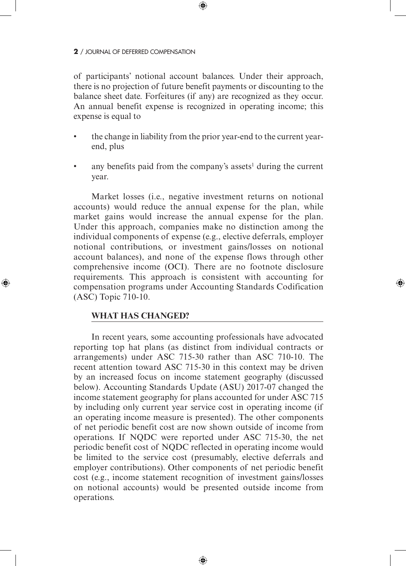of participants' notional account balances. Under their approach, there is no projection of future benefit payments or discounting to the balance sheet date. Forfeitures (if any) are recognized as they occur. An annual benefit expense is recognized in operating income; this expense is equal to

⊕

- the change in liability from the prior year-end to the current yearend, plus
- any benefits paid from the company's assets<sup>1</sup> during the current year.

Market losses (i.e., negative investment returns on notional accounts) would reduce the annual expense for the plan, while market gains would increase the annual expense for the plan. Under this approach, companies make no distinction among the individual components of expense (e.g., elective deferrals, employer notional contributions, or investment gains/losses on notional account balances), and none of the expense flows through other comprehensive income (OCI). There are no footnote disclosure requirements. This approach is consistent with accounting for compensation programs under Accounting Standards Codification (ASC) Topic 710-10.

⊕

#### **WHAT HAS CHANGED?**

⊕

In recent years, some accounting professionals have advocated reporting top hat plans (as distinct from individual contracts or arrangements) under ASC 715-30 rather than ASC 710-10. The recent attention toward ASC 715-30 in this context may be driven by an increased focus on income statement geography (discussed below). Accounting Standards Update (ASU) 2017-07 changed the income statement geography for plans accounted for under ASC 715 by including only current year service cost in operating income (if an operating income measure is presented). The other components of net periodic benefit cost are now shown outside of income from operations. If NQDC were reported under ASC 715-30, the net periodic benefit cost of NQDC reflected in operating income would be limited to the service cost (presumably, elective deferrals and employer contributions). Other components of net periodic benefit cost (e.g., income statement recognition of investment gains/losses on notional accounts) would be presented outside income from operations.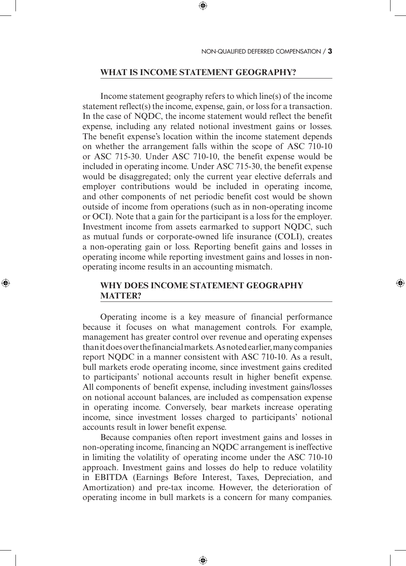#### **WHAT IS INCOME STATEMENT GEOGRAPHY?**

⊕

Income statement geography refers to which line(s) of the income statement reflect(s) the income, expense, gain, or loss for a transaction. In the case of NQDC, the income statement would reflect the benefit expense, including any related notional investment gains or losses. The benefit expense's location within the income statement depends on whether the arrangement falls within the scope of ASC 710-10 or ASC 715-30. Under ASC 710-10, the benefit expense would be included in operating income. Under ASC 715-30, the benefit expense would be disaggregated; only the current year elective deferrals and employer contributions would be included in operating income, and other components of net periodic benefit cost would be shown outside of income from operations (such as in non-operating income or OCI). Note that a gain for the participant is a loss for the employer. Investment income from assets earmarked to support NQDC, such as mutual funds or corporate-owned life insurance (COLI), creates a non-operating gain or loss. Reporting benefit gains and losses in operating income while reporting investment gains and losses in nonoperating income results in an accounting mismatch.

#### **WHY DOES INCOME STATEMENT GEOGRAPHY MATTER?**

⊕

Operating income is a key measure of financial performance because it focuses on what management controls. For example, management has greater control over revenue and operating expenses than it does over the financial markets. As noted earlier, many companies report NQDC in a manner consistent with ASC 710-10. As a result, bull markets erode operating income, since investment gains credited to participants' notional accounts result in higher benefit expense. All components of benefit expense, including investment gains/losses on notional account balances, are included as compensation expense in operating income. Conversely, bear markets increase operating income, since investment losses charged to participants' notional accounts result in lower benefit expense.

Because companies often report investment gains and losses in non-operating income, financing an NQDC arrangement is ineffective in limiting the volatility of operating income under the ASC 710-10 approach. Investment gains and losses do help to reduce volatility in EBITDA (Earnings Before Interest, Taxes, Depreciation, and Amortization) and pre-tax income. However, the deterioration of operating income in bull markets is a concern for many companies.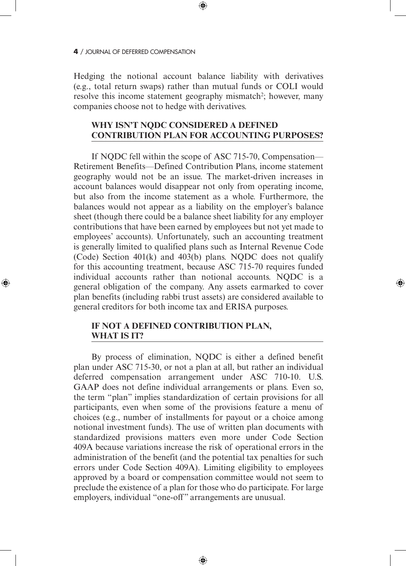⊕

Hedging the notional account balance liability with derivatives (e.g., total return swaps) rather than mutual funds or COLI would resolve this income statement geography mismatch<sup>2</sup>; however, many companies choose not to hedge with derivatives.

⊕

#### **WHY ISN'T NQDC CONSIDERED A DEFINED CONTRIBUTION PLAN FOR ACCOUNTING PURPOSES?**

If NQDC fell within the scope of ASC 715-70, Compensation— Retirement Benefits—Defined Contribution Plans, income statement geography would not be an issue. The market-driven increases in account balances would disappear not only from operating income, but also from the income statement as a whole. Furthermore, the balances would not appear as a liability on the employer's balance sheet (though there could be a balance sheet liability for any employer contributions that have been earned by employees but not yet made to employees' accounts). Unfortunately, such an accounting treatment is generally limited to qualified plans such as Internal Revenue Code (Code) Section 401(k) and 403(b) plans. NQDC does not qualify for this accounting treatment, because ASC 715-70 requires funded individual accounts rather than notional accounts. NQDC is a general obligation of the company. Any assets earmarked to cover plan benefits (including rabbi trust assets) are considered available to general creditors for both income tax and ERISA purposes.

⊕

#### **IF NOT A DEFINED CONTRIBUTION PLAN, WHAT IS IT?**

By process of elimination, NQDC is either a defined benefit plan under ASC 715-30, or not a plan at all, but rather an individual deferred compensation arrangement under ASC 710-10. U.S. GAAP does not define individual arrangements or plans. Even so, the term "plan" implies standardization of certain provisions for all participants, even when some of the provisions feature a menu of choices (e.g., number of installments for payout or a choice among notional investment funds). The use of written plan documents with standardized provisions matters even more under Code Section 409A because variations increase the risk of operational errors in the administration of the benefit (and the potential tax penalties for such errors under Code Section 409A). Limiting eligibility to employees approved by a board or compensation committee would not seem to preclude the existence of a plan for those who do participate. For large employers, individual "one-off" arrangements are unusual.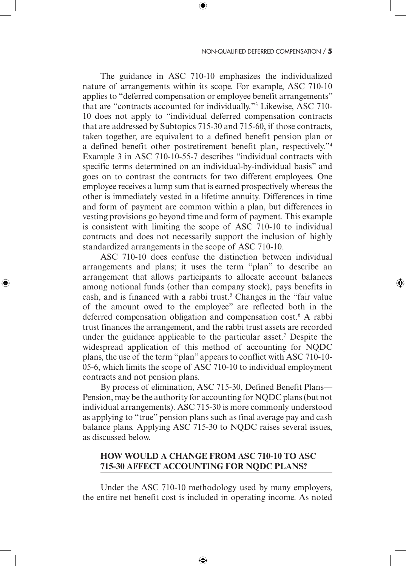#### Non-qualified Deferred Compensation / **5**

⊕

The guidance in ASC 710-10 emphasizes the individualized nature of arrangements within its scope. For example, ASC 710-10 applies to "deferred compensation or employee benefit arrangements" that are "contracts accounted for individually."3 Likewise, ASC 710- 10 does not apply to "individual deferred compensation contracts that are addressed by Subtopics 715-30 and 715-60, if those contracts, taken together, are equivalent to a defined benefit pension plan or a defined benefit other postretirement benefit plan, respectively."4 Example 3 in ASC 710-10-55-7 describes "individual contracts with specific terms determined on an individual-by-individual basis" and goes on to contrast the contracts for two different employees. One employee receives a lump sum that is earned prospectively whereas the other is immediately vested in a lifetime annuity. Differences in time and form of payment are common within a plan, but differences in vesting provisions go beyond time and form of payment. This example is consistent with limiting the scope of ASC 710-10 to individual contracts and does not necessarily support the inclusion of highly standardized arrangements in the scope of ASC 710-10.

⊕

ASC 710-10 does confuse the distinction between individual arrangements and plans; it uses the term "plan" to describe an arrangement that allows participants to allocate account balances among notional funds (other than company stock), pays benefits in cash, and is financed with a rabbi trust.<sup>5</sup> Changes in the "fair value" of the amount owed to the employee" are reflected both in the deferred compensation obligation and compensation cost.6 A rabbi trust finances the arrangement, and the rabbi trust assets are recorded under the guidance applicable to the particular asset.7 Despite the widespread application of this method of accounting for NQDC plans, the use of the term "plan" appears to conflict with ASC 710-10- 05-6, which limits the scope of ASC 710-10 to individual employment contracts and not pension plans.

⊕

By process of elimination, ASC 715-30, Defined Benefit Plans— Pension, may be the authority for accounting for NQDC plans (but not individual arrangements). ASC 715-30 is more commonly understood as applying to "true" pension plans such as final average pay and cash balance plans. Applying ASC 715-30 to NQDC raises several issues, as discussed below.

#### **HOW WOULD A CHANGE FROM ASC 710-10 TO ASC 715-30 AFFECT ACCOUNTING FOR NQDC PLANS?**

Under the ASC 710-10 methodology used by many employers, the entire net benefit cost is included in operating income. As noted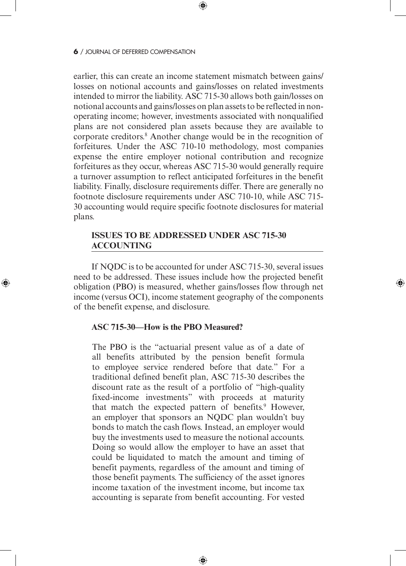earlier, this can create an income statement mismatch between gains/ losses on notional accounts and gains/losses on related investments intended to mirror the liability. ASC 715-30 allows both gain/losses on notional accounts and gains/losses on plan assets to be reflected in nonoperating income; however, investments associated with nonqualified plans are not considered plan assets because they are available to corporate creditors.8 Another change would be in the recognition of forfeitures. Under the ASC 710-10 methodology, most companies expense the entire employer notional contribution and recognize forfeitures as they occur, whereas ASC 715-30 would generally require a turnover assumption to reflect anticipated forfeitures in the benefit liability. Finally, disclosure requirements differ. There are generally no footnote disclosure requirements under ASC 710-10, while ASC 715- 30 accounting would require specific footnote disclosures for material plans.

⊕

#### **ISSUES TO BE ADDRESSED UNDER ASC 715-30 ACCOUNTING**

If NQDC is to be accounted for under ASC 715-30, several issues need to be addressed. These issues include how the projected benefit obligation (PBO) is measured, whether gains/losses flow through net income (versus OCI), income statement geography of the components of the benefit expense, and disclosure.

⊕

#### **ASC 715-30—How is the PBO Measured?**

⊕

The PBO is the "actuarial present value as of a date of all benefits attributed by the pension benefit formula to employee service rendered before that date." For a traditional defined benefit plan, ASC 715-30 describes the discount rate as the result of a portfolio of "high-quality fixed-income investments" with proceeds at maturity that match the expected pattern of benefits.<sup>9</sup> However, an employer that sponsors an NQDC plan wouldn't buy bonds to match the cash flows. Instead, an employer would buy the investments used to measure the notional accounts. Doing so would allow the employer to have an asset that could be liquidated to match the amount and timing of benefit payments, regardless of the amount and timing of those benefit payments. The sufficiency of the asset ignores income taxation of the investment income, but income tax accounting is separate from benefit accounting. For vested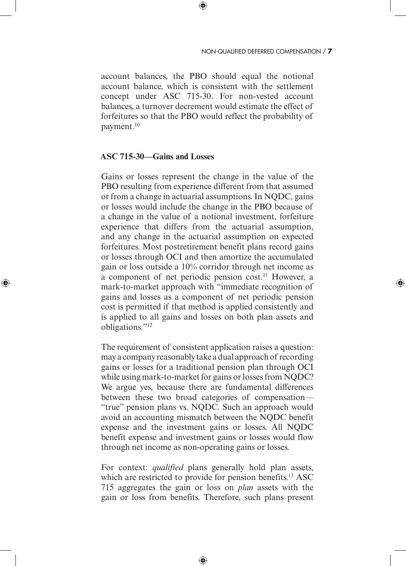#### Non-qualified Deferred Compensation / **7**

⊕

account balances, the PBO should equal the notional account balance, which is consistent with the settlement concept under ASC 715-30. For non-vested account balances, a turnover decrement would estimate the effect of forfeitures so that the PBO would reflect the probability of payment.10

 $\textcircled{\scriptsize{+}}$ 

#### **ASC 715-30—Gains and Losses**

⊕

Gains or losses represent the change in the value of the PBO resulting from experience different from that assumed or from a change in actuarial assumptions. In NQDC, gains or losses would include the change in the PBO because of a change in the value of a notional investment, forfeiture experience that differs from the actuarial assumption, and any change in the actuarial assumption on expected forfeitures. Most postretirement benefit plans record gains or losses through OCI and then amortize the accumulated gain or loss outside a 10% corridor through net income as a component of net periodic pension cost.<sup>11</sup> However, a mark-to-market approach with "immediate recognition of gains and losses as a component of net periodic pension cost is permitted if that method is applied consistently and is applied to all gains and losses on both plan assets and obligations."12

The requirement of consistent application raises a question: may a company reasonably take a dual approach of recording gains or losses for a traditional pension plan through OCI while using mark-to-market for gains or losses from NQDC? We argue yes, because there are fundamental differences between these two broad categories of compensation— "true" pension plans vs. NQDC. Such an approach would avoid an accounting mismatch between the NQDC benefit expense and the investment gains or losses. All NQDC benefit expense and investment gains or losses would flow through net income as non-operating gains or losses.

For context: *qualified* plans generally hold plan assets, which are restricted to provide for pension benefits.<sup>13</sup> ASC 715 aggregates the gain or loss on *plan* assets with the gain or loss from benefits. Therefore, such plans present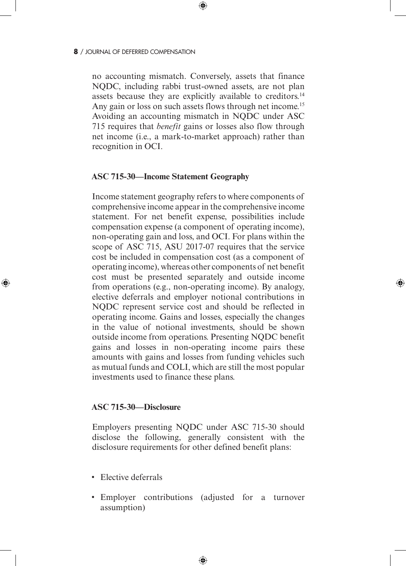no accounting mismatch. Conversely, assets that finance NQDC, including rabbi trust-owned assets, are not plan assets because they are explicitly available to creditors.<sup>14</sup> Any gain or loss on such assets flows through net income.<sup>15</sup> Avoiding an accounting mismatch in NQDC under ASC 715 requires that *benefit* gains or losses also flow through net income (i.e., a mark-to-market approach) rather than recognition in OCI.

⊕

#### **ASC 715-30—Income Statement Geography**

Income statement geography refers to where components of comprehensive income appear in the comprehensive income statement. For net benefit expense, possibilities include compensation expense (a component of operating income), non-operating gain and loss, and OCI. For plans within the scope of ASC 715, ASU 2017-07 requires that the service cost be included in compensation cost (as a component of operating income), whereas other components of net benefit cost must be presented separately and outside income from operations (e.g., non-operating income). By analogy, elective deferrals and employer notional contributions in NQDC represent service cost and should be reflected in operating income. Gains and losses, especially the changes in the value of notional investments, should be shown outside income from operations. Presenting NQDC benefit gains and losses in non-operating income pairs these amounts with gains and losses from funding vehicles such as mutual funds and COLI, which are still the most popular investments used to finance these plans.

⊕

#### **ASC 715-30—Disclosure**

⊕

Employers presenting NQDC under ASC 715-30 should disclose the following, generally consistent with the disclosure requirements for other defined benefit plans:

- Elective deferrals
- Employer contributions (adjusted for a turnover assumption)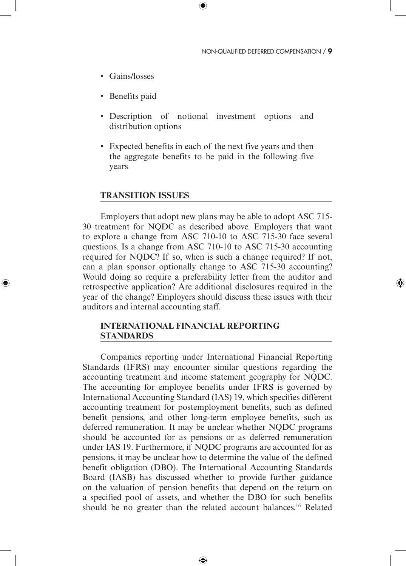- Gains/losses
- Benefits paid
- Description of notional investment options and distribution options

⊕

• Expected benefits in each of the next five years and then the aggregate benefits to be paid in the following five years

#### **TRANSITION ISSUES**

⊕

Employers that adopt new plans may be able to adopt ASC 715- 30 treatment for NQDC as described above. Employers that want to explore a change from ASC 710-10 to ASC 715-30 face several questions. Is a change from ASC 710-10 to ASC 715-30 accounting required for NQDC? If so, when is such a change required? If not, can a plan sponsor optionally change to ASC 715-30 accounting? Would doing so require a preferability letter from the auditor and retrospective application? Are additional disclosures required in the year of the change? Employers should discuss these issues with their auditors and internal accounting staff.

#### **INTERNATIONAL FINANCIAL REPORTING STANDARDS**

Companies reporting under International Financial Reporting Standards (IFRS) may encounter similar questions regarding the accounting treatment and income statement geography for NQDC. The accounting for employee benefits under IFRS is governed by International Accounting Standard (IAS) 19, which specifies different accounting treatment for postemployment benefits, such as defined benefit pensions, and other long-term employee benefits, such as deferred remuneration. It may be unclear whether NQDC programs should be accounted for as pensions or as deferred remuneration under IAS 19. Furthermore, if NQDC programs are accounted for as pensions, it may be unclear how to determine the value of the defined benefit obligation (DBO). The International Accounting Standards Board (IASB) has discussed whether to provide further guidance on the valuation of pension benefits that depend on the return on a specified pool of assets, and whether the DBO for such benefits should be no greater than the related account balances.<sup>16</sup> Related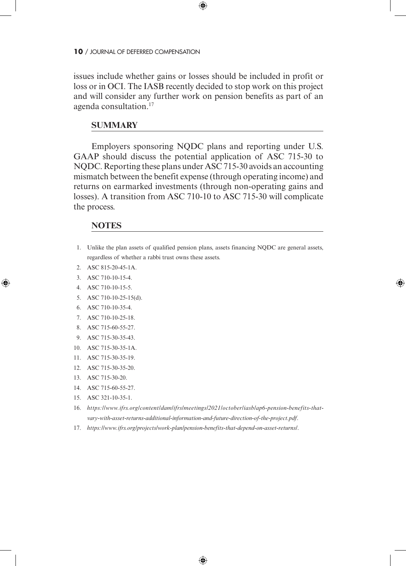issues include whether gains or losses should be included in profit or loss or in OCI. The IASB recently decided to stop work on this project and will consider any further work on pension benefits as part of an agenda consultation.17

⊕

#### **SUMMARY**

Employers sponsoring NQDC plans and reporting under U.S. GAAP should discuss the potential application of ASC 715-30 to NQDC. Reporting these plans under ASC 715-30 avoids an accounting mismatch between the benefit expense (through operating income) and returns on earmarked investments (through non-operating gains and losses). A transition from ASC 710-10 to ASC 715-30 will complicate the process.

#### **NOTES**

1. Unlike the plan assets of qualified pension plans, assets financing NQDC are general assets, regardless of whether a rabbi trust owns these assets.

⊕

- 2. ASC 815-20-45-1A.
- 3. ASC 710-10-15-4.

⊕

- 4. ASC 710-10-15-5.
- 5. ASC 710-10-25-15(d).
- 6. ASC 710-10-35-4.
- 7. ASC 710-10-25-18.
- 8. ASC 715-60-55-27.
- 9. ASC 715-30-35-43.
- 10. ASC 715-30-35-1A.
- 11. ASC 715-30-35-19.
- 12. ASC 715-30-35-20.
- 13. ASC 715-30-20.
- 14. ASC 715-60-55-27.
- 15. ASC 321-10-35-1.
- 16. *[https://www.ifrs.org/content/dam/ifrs/meetings/2021/october/iasb/ap6-pension-benefits-that](https://www.ifrs.org/content/dam/ifrs/meetings/2021/october/iasb/ap6-pension-benefits-that-vary-with-asset-returns-additional-information-and-future-direction-of-the-project.pdf)[vary-with-asset-returns-additional-information-and-future-direction-of-the-project.pdf](https://www.ifrs.org/content/dam/ifrs/meetings/2021/october/iasb/ap6-pension-benefits-that-vary-with-asset-returns-additional-information-and-future-direction-of-the-project.pdf)*.

⊕

17. *<https://www.ifrs.org/projects/work-plan/pension-benefits-that-depend-on-asset-returns/>*.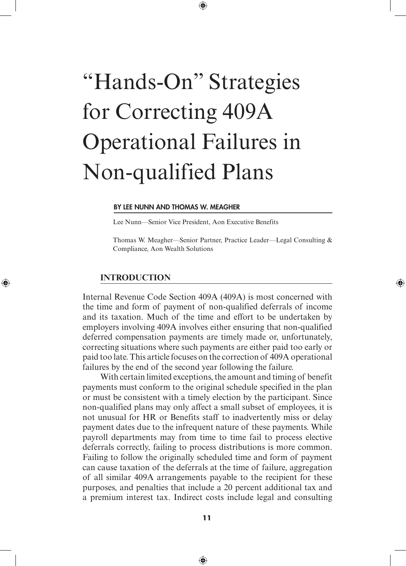## <span id="page-24-0"></span>"Hands-On" Strategies for Correcting 409A Operational Failures in Non-qualified Plans

 $\textcircled{\scriptsize{+}}$ 

#### BY LEE NUNN AND THOMAS W. MEAGHER

Lee Nunn—Senior Vice President, Aon Executive Benefits

Thomas W. Meagher—Senior Partner, Practice Leader—Legal Consulting & Compliance, Aon Wealth Solutions

⊕

#### **INTRODUCTION**

⊕

Internal Revenue Code Section 409A (409A) is most concerned with the time and form of payment of non-qualified deferrals of income and its taxation. Much of the time and effort to be undertaken by employers involving 409A involves either ensuring that non-qualified deferred compensation payments are timely made or, unfortunately, correcting situations where such payments are either paid too early or paid too late. This article focuses on the correction of 409A operational failures by the end of the second year following the failure.

With certain limited exceptions, the amount and timing of benefit payments must conform to the original schedule specified in the plan or must be consistent with a timely election by the participant. Since non-qualified plans may only affect a small subset of employees, it is not unusual for HR or Benefits staff to inadvertently miss or delay payment dates due to the infrequent nature of these payments. While payroll departments may from time to time fail to process elective deferrals correctly, failing to process distributions is more common. Failing to follow the originally scheduled time and form of payment can cause taxation of the deferrals at the time of failure, aggregation of all similar 409A arrangements payable to the recipient for these purposes, and penalties that include a 20 percent additional tax and a premium interest tax. Indirect costs include legal and consulting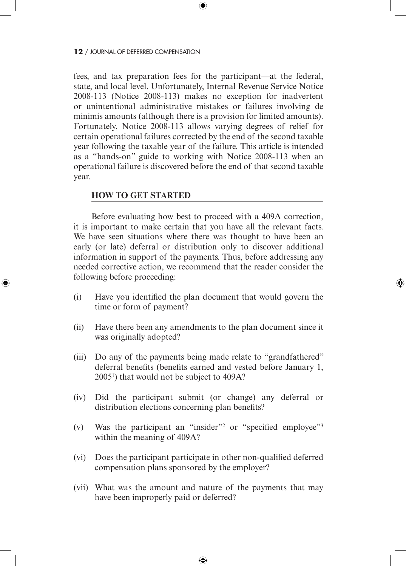fees, and tax preparation fees for the participant—at the federal, state, and local level. Unfortunately, Internal Revenue Service Notice 2008-113 (Notice 2008-113) makes no exception for inadvertent or unintentional administrative mistakes or failures involving de minimis amounts (although there is a provision for limited amounts). Fortunately, Notice 2008-113 allows varying degrees of relief for certain operational failures corrected by the end of the second taxable year following the taxable year of the failure. This article is intended as a "hands-on" guide to working with Notice 2008-113 when an operational failure is discovered before the end of that second taxable year.

⊕

#### **HOW TO GET STARTED**

⊕

Before evaluating how best to proceed with a 409A correction, it is important to make certain that you have all the relevant facts. We have seen situations where there was thought to have been an early (or late) deferral or distribution only to discover additional information in support of the payments. Thus, before addressing any needed corrective action, we recommend that the reader consider the following before proceeding:

(i) Have you identified the plan document that would govern the time or form of payment?

⊕

- (ii) Have there been any amendments to the plan document since it was originally adopted?
- (iii) Do any of the payments being made relate to "grandfathered" deferral benefits (benefits earned and vested before January 1, 20051 ) that would not be subject to 409A?
- (iv) Did the participant submit (or change) any deferral or distribution elections concerning plan benefits?
- (v) Was the participant an "insider"2 or "specified employee"3 within the meaning of 409A?
- (vi) Does the participant participate in other non-qualified deferred compensation plans sponsored by the employer?
- (vii) What was the amount and nature of the payments that may have been improperly paid or deferred?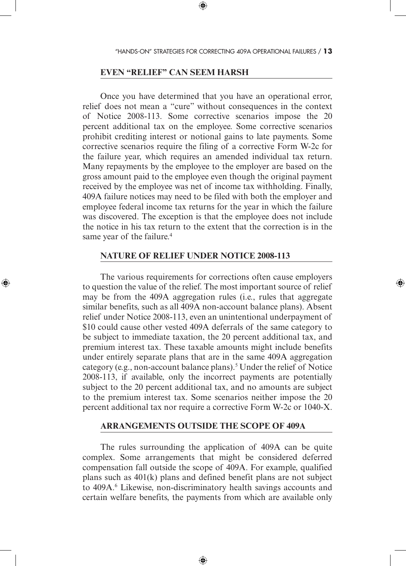#### **EVEN "RELIEF" CAN SEEM HARSH**

Once you have determined that you have an operational error, relief does not mean a "cure" without consequences in the context of Notice 2008-113. Some corrective scenarios impose the 20 percent additional tax on the employee. Some corrective scenarios prohibit crediting interest or notional gains to late payments. Some corrective scenarios require the filing of a corrective Form W-2c for the failure year, which requires an amended individual tax return. Many repayments by the employee to the employer are based on the gross amount paid to the employee even though the original payment received by the employee was net of income tax withholding. Finally, 409A failure notices may need to be filed with both the employer and employee federal income tax returns for the year in which the failure was discovered. The exception is that the employee does not include the notice in his tax return to the extent that the correction is in the same year of the failure.<sup>4</sup>

#### **NATURE OF RELIEF UNDER NOTICE 2008-113**

⊕

The various requirements for corrections often cause employers to question the value of the relief. The most important source of relief may be from the 409A aggregation rules (i.e., rules that aggregate similar benefits, such as all 409A non-account balance plans). Absent relief under Notice 2008-113, even an unintentional underpayment of \$10 could cause other vested 409A deferrals of the same category to be subject to immediate taxation, the 20 percent additional tax, and premium interest tax. These taxable amounts might include benefits under entirely separate plans that are in the same 409A aggregation category (e.g., non-account balance plans).<sup>5</sup> Under the relief of Notice 2008-113, if available, only the incorrect payments are potentially subject to the 20 percent additional tax, and no amounts are subject to the premium interest tax. Some scenarios neither impose the 20 percent additional tax nor require a corrective Form W-2c or 1040-X.

⊕

#### **ARRANGEMENTS OUTSIDE THE SCOPE OF 409A**

The rules surrounding the application of 409A can be quite complex. Some arrangements that might be considered deferred compensation fall outside the scope of 409A. For example, qualified plans such as 401(k) plans and defined benefit plans are not subject to 409A.<sup>6</sup> Likewise, non-discriminatory health savings accounts and certain welfare benefits, the payments from which are available only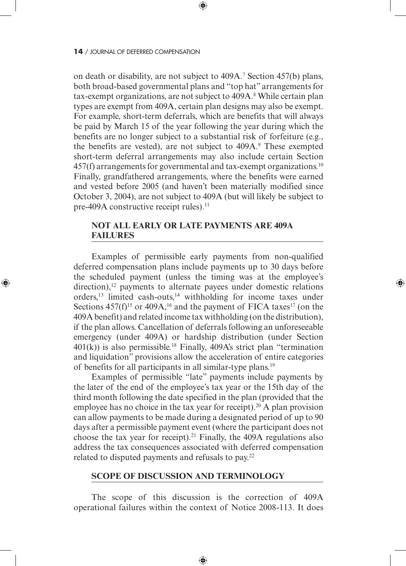⊕

on death or disability, are not subject to 409A.7 Section 457(b) plans, both broad-based governmental plans and "top hat" arrangements for tax-exempt organizations, are not subject to 409A.<sup>8</sup> While certain plan types are exempt from 409A, certain plan designs may also be exempt. For example, short-term deferrals, which are benefits that will always be paid by March 15 of the year following the year during which the benefits are no longer subject to a substantial risk of forfeiture (e.g., the benefits are vested), are not subject to 409A.<sup>9</sup> These exempted short-term deferral arrangements may also include certain Section 457(f) arrangements for governmental and tax-exempt organizations.10 Finally, grandfathered arrangements, where the benefits were earned and vested before 2005 (and haven't been materially modified since October 3, 2004), are not subject to 409A (but will likely be subject to pre-409A constructive receipt rules).<sup>11</sup>

⊕

#### **NOT ALL EARLY OR LATE PAYMENTS ARE 409A FAILURES**

Examples of permissible early payments from non-qualified deferred compensation plans include payments up to 30 days before the scheduled payment (unless the timing was at the employee's direction), $12$  payments to alternate payees under domestic relations orders,<sup>13</sup> limited cash-outs,<sup>14</sup> withholding for income taxes under Sections  $457(f)^{15}$  or  $409A<sup>16</sup>$  and the payment of FICA taxes<sup>17</sup> (on the 409A benefit) and related income tax withholding (on the distribution), if the plan allows. Cancellation of deferrals following an unforeseeable emergency (under 409A) or hardship distribution (under Section  $401(k)$ ) is also permissible.<sup>18</sup> Finally,  $409A<sup>3</sup>$  strict plan "termination" and liquidation" provisions allow the acceleration of entire categories of benefits for all participants in all similar-type plans.19

⊕

Examples of permissible "late" payments include payments by the later of the end of the employee's tax year or the 15th day of the third month following the date specified in the plan (provided that the employee has no choice in the tax year for receipt).<sup>20</sup> A plan provision can allow payments to be made during a designated period of up to 90 days after a permissible payment event (where the participant does not choose the tax year for receipt).<sup>21</sup> Finally, the  $409A$  regulations also address the tax consequences associated with deferred compensation related to disputed payments and refusals to pay.22

#### **SCOPE OF DISCUSSION AND TERMINOLOGY**

The scope of this discussion is the correction of 409A operational failures within the context of Notice 2008-113. It does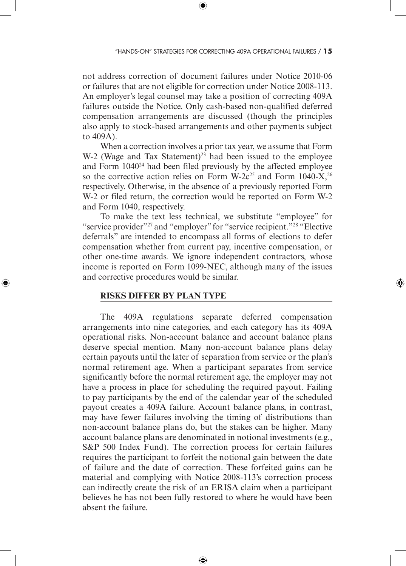not address correction of document failures under Notice 2010-06 or failures that are not eligible for correction under Notice 2008-113. An employer's legal counsel may take a position of correcting 409A failures outside the Notice. Only cash-based non-qualified deferred compensation arrangements are discussed (though the principles also apply to stock-based arrangements and other payments subject to 409A).

⊕

When a correction involves a prior tax year, we assume that Form W-2 (Wage and Tax Statement)<sup>23</sup> had been issued to the employee and Form 104024 had been filed previously by the affected employee so the corrective action relies on Form  $W-2c^{25}$  and Form 1040-X,<sup>26</sup> respectively. Otherwise, in the absence of a previously reported Form W-2 or filed return, the correction would be reported on Form W-2 and Form 1040, respectively.

To make the text less technical, we substitute "employee" for "service provider"27 and "employer" for "service recipient."28 "Elective deferrals" are intended to encompass all forms of elections to defer compensation whether from current pay, incentive compensation, or other one-time awards. We ignore independent contractors, whose income is reported on Form 1099-NEC, although many of the issues and corrective procedures would be similar.

⊕

#### **RISKS DIFFER BY PLAN TYPE**

⊕

The 409A regulations separate deferred compensation arrangements into nine categories, and each category has its 409A operational risks. Non-account balance and account balance plans deserve special mention. Many non-account balance plans delay certain payouts until the later of separation from service or the plan's normal retirement age. When a participant separates from service significantly before the normal retirement age, the employer may not have a process in place for scheduling the required payout. Failing to pay participants by the end of the calendar year of the scheduled payout creates a 409A failure. Account balance plans, in contrast, may have fewer failures involving the timing of distributions than non-account balance plans do, but the stakes can be higher. Many account balance plans are denominated in notional investments (e.g., S&P 500 Index Fund). The correction process for certain failures requires the participant to forfeit the notional gain between the date of failure and the date of correction. These forfeited gains can be material and complying with Notice 2008-113's correction process can indirectly create the risk of an ERISA claim when a participant believes he has not been fully restored to where he would have been absent the failure.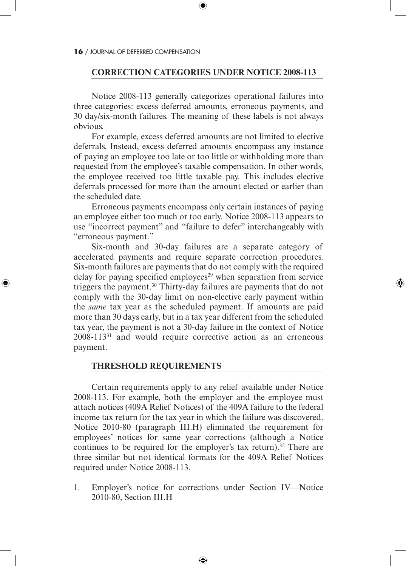#### **CORRECTION CATEGORIES UNDER NOTICE 2008-113**

⊕

Notice 2008-113 generally categorizes operational failures into three categories: excess deferred amounts, erroneous payments, and 30 day/six-month failures. The meaning of these labels is not always obvious.

For example, excess deferred amounts are not limited to elective deferrals. Instead, excess deferred amounts encompass any instance of paying an employee too late or too little or withholding more than requested from the employee's taxable compensation. In other words, the employee received too little taxable pay. This includes elective deferrals processed for more than the amount elected or earlier than the scheduled date.

Erroneous payments encompass only certain instances of paying an employee either too much or too early. Notice 2008-113 appears to use "incorrect payment" and "failure to defer" interchangeably with "erroneous payment."

Six-month and 30-day failures are a separate category of accelerated payments and require separate correction procedures. Six-month failures are payments that do not comply with the required delay for paying specified employees<sup>29</sup> when separation from service triggers the payment.30 Thirty-day failures are payments that do not comply with the 30-day limit on non-elective early payment within the *same* tax year as the scheduled payment. If amounts are paid more than 30 days early, but in a tax year different from the scheduled tax year, the payment is not a 30-day failure in the context of Notice 2008-11331 and would require corrective action as an erroneous payment.

⊕

#### **THRESHOLD REQUIREMENTS**

⊕

Certain requirements apply to any relief available under Notice 2008-113. For example, both the employer and the employee must attach notices (409A Relief Notices) of the 409A failure to the federal income tax return for the tax year in which the failure was discovered. Notice 2010-80 (paragraph III.H) eliminated the requirement for employees' notices for same year corrections (although a Notice continues to be required for the employer's tax return).<sup>32</sup> There are three similar but not identical formats for the 409A Relief Notices required under Notice 2008-113.

1. Employer's notice for corrections under Section IV—Notice 2010-80, Section III.H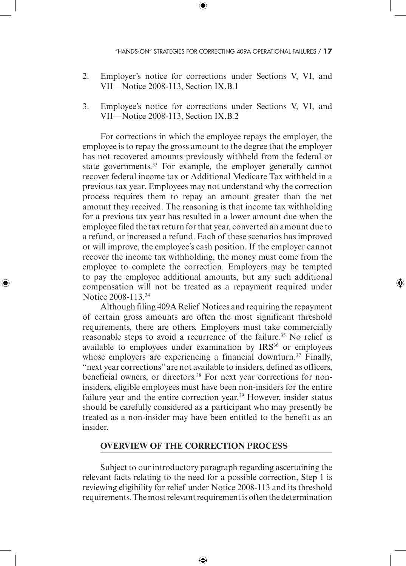2. Employer's notice for corrections under Sections V, VI, and VII—Notice 2008-113, Section IX.B.1

⊕

3. Employee's notice for corrections under Sections V, VI, and VII—Notice 2008-113, Section IX.B.2

For corrections in which the employee repays the employer, the employee is to repay the gross amount to the degree that the employer has not recovered amounts previously withheld from the federal or state governments.<sup>33</sup> For example, the employer generally cannot recover federal income tax or Additional Medicare Tax withheld in a previous tax year. Employees may not understand why the correction process requires them to repay an amount greater than the net amount they received. The reasoning is that income tax withholding for a previous tax year has resulted in a lower amount due when the employee filed the tax return for that year, converted an amount due to a refund, or increased a refund. Each of these scenarios has improved or will improve, the employee's cash position. If the employer cannot recover the income tax withholding, the money must come from the employee to complete the correction. Employers may be tempted to pay the employee additional amounts, but any such additional compensation will not be treated as a repayment required under Notice 2008-113.34

⊕

⊕

Although filing 409A Relief Notices and requiring the repayment of certain gross amounts are often the most significant threshold requirements, there are others. Employers must take commercially reasonable steps to avoid a recurrence of the failure.<sup>35</sup> No relief is available to employees under examination by IRS<sup>36</sup> or employees whose employers are experiencing a financial downturn.<sup>37</sup> Finally, "next year corrections" are not available to insiders, defined as officers, beneficial owners, or directors.<sup>38</sup> For next year corrections for noninsiders, eligible employees must have been non-insiders for the entire failure year and the entire correction year.<sup>39</sup> However, insider status should be carefully considered as a participant who may presently be treated as a non-insider may have been entitled to the benefit as an insider.

#### **OVERVIEW OF THE CORRECTION PROCESS**

Subject to our introductory paragraph regarding ascertaining the relevant facts relating to the need for a possible correction, Step 1 is reviewing eligibility for relief under Notice 2008-113 and its threshold requirements. The most relevant requirement is often the determination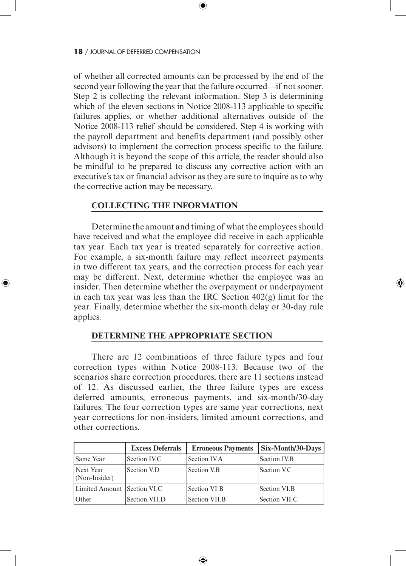of whether all corrected amounts can be processed by the end of the second year following the year that the failure occurred—if not sooner. Step 2 is collecting the relevant information. Step 3 is determining which of the eleven sections in Notice 2008-113 applicable to specific failures applies, or whether additional alternatives outside of the Notice 2008-113 relief should be considered. Step 4 is working with the payroll department and benefits department (and possibly other advisors) to implement the correction process specific to the failure. Although it is beyond the scope of this article, the reader should also be mindful to be prepared to discuss any corrective action with an executive's tax or financial advisor as they are sure to inquire as to why the corrective action may be necessary.

⊕

#### **COLLECTING THE INFORMATION**

⊕

Determine the amount and timing of what the employees should have received and what the employee did receive in each applicable tax year. Each tax year is treated separately for corrective action. For example, a six-month failure may reflect incorrect payments in two different tax years, and the correction process for each year may be different. Next, determine whether the employee was an insider. Then determine whether the overpayment or underpayment in each tax year was less than the IRC Section 402(g) limit for the year. Finally, determine whether the six-month delay or 30-day rule applies.

⊕

#### **DETERMINE THE APPROPRIATE SECTION**

There are 12 combinations of three failure types and four correction types within Notice 2008-113. Because two of the scenarios share correction procedures, there are 11 sections instead of 12. As discussed earlier, the three failure types are excess deferred amounts, erroneous payments, and six-month/30-day failures. The four correction types are same year corrections, next year corrections for non-insiders, limited amount corrections, and other corrections.

|                             | <b>Excess Deferrals</b> | <b>Erroneous Payments</b> | Six-Month/30-Days |
|-----------------------------|-------------------------|---------------------------|-------------------|
| Same Year                   | Section IV.C            | Section IV.A              | Section IV.B      |
| Next Year<br>(Non-Insider)  | Section V.D             | Section V.B               | Section V.C       |
| Limited Amount Section VI.C |                         | Section VI.B              | Section VI.B      |
| Other                       | Section VII.D           | Section VII.B             | Section VII.C     |

♠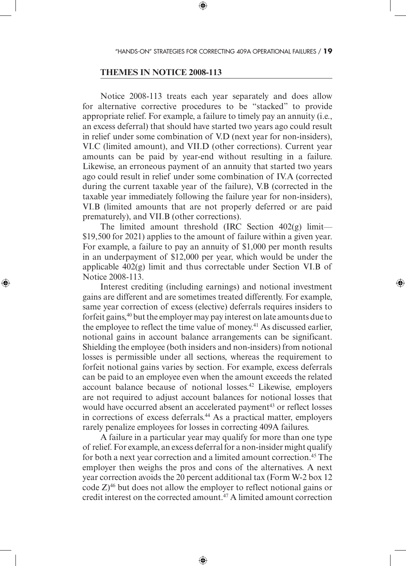#### **THEMES IN NOTICE 2008-113**

⊕

Notice 2008-113 treats each year separately and does allow for alternative corrective procedures to be "stacked" to provide appropriate relief. For example, a failure to timely pay an annuity (i.e., an excess deferral) that should have started two years ago could result in relief under some combination of V.D (next year for non-insiders), VI.C (limited amount), and VII.D (other corrections). Current year amounts can be paid by year-end without resulting in a failure. Likewise, an erroneous payment of an annuity that started two years ago could result in relief under some combination of IV.A (corrected during the current taxable year of the failure), V.B (corrected in the taxable year immediately following the failure year for non-insiders), VI.B (limited amounts that are not properly deferred or are paid prematurely), and VII.B (other corrections).

The limited amount threshold (IRC Section 402(g) limit— \$19,500 for 2021) applies to the amount of failure within a given year. For example, a failure to pay an annuity of \$1,000 per month results in an underpayment of \$12,000 per year, which would be under the applicable 402(g) limit and thus correctable under Section VI.B of Notice 2008-113.

⊕

Interest crediting (including earnings) and notional investment gains are different and are sometimes treated differently. For example, same year correction of excess (elective) deferrals requires insiders to forfeit gains,<sup>40</sup> but the employer may pay interest on late amounts due to the employee to reflect the time value of money.<sup>41</sup> As discussed earlier, notional gains in account balance arrangements can be significant. Shielding the employee (both insiders and non-insiders) from notional losses is permissible under all sections, whereas the requirement to forfeit notional gains varies by section. For example, excess deferrals can be paid to an employee even when the amount exceeds the related account balance because of notional losses.42 Likewise, employers are not required to adjust account balances for notional losses that would have occurred absent an accelerated payment<sup>43</sup> or reflect losses in corrections of excess deferrals.44 As a practical matter, employers rarely penalize employees for losses in correcting 409A failures.

A failure in a particular year may qualify for more than one type of relief. For example, an excess deferral for a non-insider might qualify for both a next year correction and a limited amount correction.45 The employer then weighs the pros and cons of the alternatives. A next year correction avoids the 20 percent additional tax (Form W-2 box 12 code  $Z$ <sup>46</sup> but does not allow the employer to reflect notional gains or credit interest on the corrected amount.47 A limited amount correction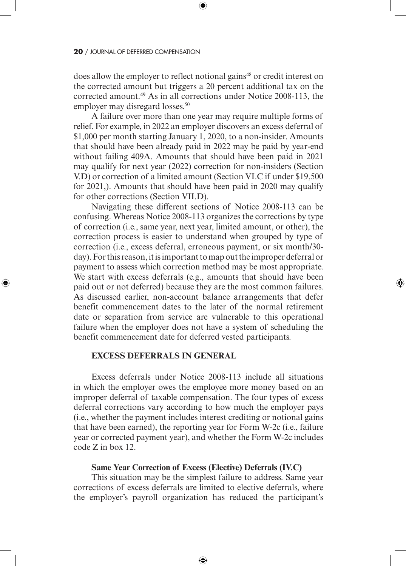does allow the employer to reflect notional gains<sup>48</sup> or credit interest on the corrected amount but triggers a 20 percent additional tax on the corrected amount.49 As in all corrections under Notice 2008-113, the employer may disregard losses.<sup>50</sup>

⊕

A failure over more than one year may require multiple forms of relief. For example, in 2022 an employer discovers an excess deferral of \$1,000 per month starting January 1, 2020, to a non-insider. Amounts that should have been already paid in 2022 may be paid by year-end without failing 409A. Amounts that should have been paid in 2021 may qualify for next year (2022) correction for non-insiders (Section V.D) or correction of a limited amount (Section VI.C if under \$19,500 for 2021,). Amounts that should have been paid in 2020 may qualify for other corrections (Section VII.D).

Navigating these different sections of Notice 2008-113 can be confusing. Whereas Notice 2008-113 organizes the corrections by type of correction (i.e., same year, next year, limited amount, or other), the correction process is easier to understand when grouped by type of correction (i.e., excess deferral, erroneous payment, or six month/30 day). For this reason, it is important to map out the improper deferral or payment to assess which correction method may be most appropriate. We start with excess deferrals (e.g., amounts that should have been paid out or not deferred) because they are the most common failures. As discussed earlier, non-account balance arrangements that defer benefit commencement dates to the later of the normal retirement date or separation from service are vulnerable to this operational failure when the employer does not have a system of scheduling the benefit commencement date for deferred vested participants.

⊕

#### **EXCESS DEFERRALS IN GENERAL**

⊕

Excess deferrals under Notice 2008-113 include all situations in which the employer owes the employee more money based on an improper deferral of taxable compensation. The four types of excess deferral corrections vary according to how much the employer pays (i.e., whether the payment includes interest crediting or notional gains that have been earned), the reporting year for Form W-2c (i.e., failure year or corrected payment year), and whether the Form W-2c includes code Z in box 12.

#### **Same Year Correction of Excess (Elective) Deferrals (IV.C)**

This situation may be the simplest failure to address. Same year corrections of excess deferrals are limited to elective deferrals, where the employer's payroll organization has reduced the participant's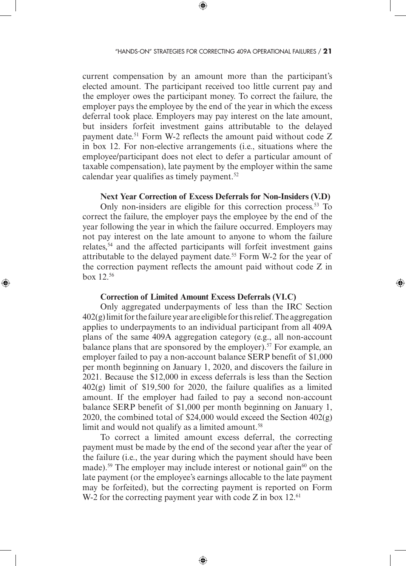#### "Hands-On" Strategies for Correcting 409A Operational Failures / **21**

current compensation by an amount more than the participant's elected amount. The participant received too little current pay and the employer owes the participant money. To correct the failure, the employer pays the employee by the end of the year in which the excess deferral took place. Employers may pay interest on the late amount, but insiders forfeit investment gains attributable to the delayed payment date.<sup>51</sup> Form W-2 reflects the amount paid without code Z in box 12. For non-elective arrangements (i.e., situations where the employee/participant does not elect to defer a particular amount of taxable compensation), late payment by the employer within the same calendar year qualifies as timely payment.<sup>52</sup>

⊕

#### **Next Year Correction of Excess Deferrals for Non-Insiders (V.D)**

Only non-insiders are eligible for this correction process.<sup>53</sup> To correct the failure, the employer pays the employee by the end of the year following the year in which the failure occurred. Employers may not pay interest on the late amount to anyone to whom the failure relates,<sup>54</sup> and the affected participants will forfeit investment gains attributable to the delayed payment date.55 Form W-2 for the year of the correction payment reflects the amount paid without code Z in box 12.56

⊕

#### **Correction of Limited Amount Excess Deferrals (VI.C)**

⊕

Only aggregated underpayments of less than the IRC Section 402(g) limit for the failure year are eligible for this relief. The aggregation applies to underpayments to an individual participant from all 409A plans of the same 409A aggregation category (e.g., all non-account balance plans that are sponsored by the employer).<sup>57</sup> For example, an employer failed to pay a non-account balance SERP benefit of \$1,000 per month beginning on January 1, 2020, and discovers the failure in 2021. Because the \$12,000 in excess deferrals is less than the Section  $402(g)$  limit of \$19,500 for 2020, the failure qualifies as a limited amount. If the employer had failed to pay a second non-account balance SERP benefit of \$1,000 per month beginning on January 1, 2020, the combined total of  $$24,000$  would exceed the Section  $402(g)$ limit and would not qualify as a limited amount.<sup>58</sup>

To correct a limited amount excess deferral, the correcting payment must be made by the end of the second year after the year of the failure (i.e., the year during which the payment should have been made).<sup>59</sup> The employer may include interest or notional gain<sup>60</sup> on the late payment (or the employee's earnings allocable to the late payment may be forfeited), but the correcting payment is reported on Form W-2 for the correcting payment year with code  $Z$  in box 12.<sup>61</sup>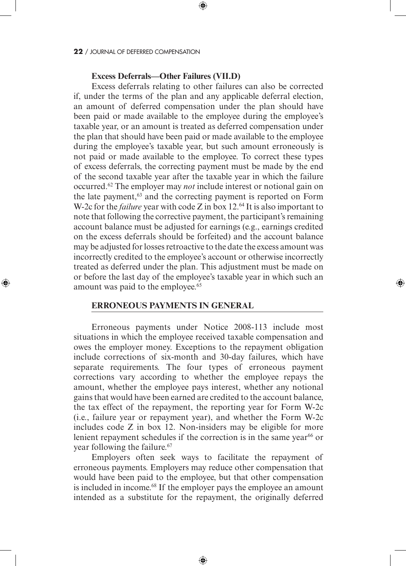#### **Excess Deferrals—Other Failures (VII.D)**

Excess deferrals relating to other failures can also be corrected if, under the terms of the plan and any applicable deferral election, an amount of deferred compensation under the plan should have been paid or made available to the employee during the employee's taxable year, or an amount is treated as deferred compensation under the plan that should have been paid or made available to the employee during the employee's taxable year, but such amount erroneously is not paid or made available to the employee. To correct these types of excess deferrals, the correcting payment must be made by the end of the second taxable year after the taxable year in which the failure occurred.62 The employer may *not* include interest or notional gain on the late payment, $63$  and the correcting payment is reported on Form W-2c for the *failure* year with code Z in box 12.<sup>64</sup> It is also important to note that following the corrective payment, the participant's remaining account balance must be adjusted for earnings (e.g., earnings credited on the excess deferrals should be forfeited) and the account balance may be adjusted for losses retroactive to the date the excess amount was incorrectly credited to the employee's account or otherwise incorrectly treated as deferred under the plan. This adjustment must be made on or before the last day of the employee's taxable year in which such an amount was paid to the employee.<sup>65</sup>

⊕

⊕

#### **ERRONEOUS PAYMENTS IN GENERAL**

⊕

Erroneous payments under Notice 2008-113 include most situations in which the employee received taxable compensation and owes the employer money. Exceptions to the repayment obligation include corrections of six-month and 30-day failures, which have separate requirements. The four types of erroneous payment corrections vary according to whether the employee repays the amount, whether the employee pays interest, whether any notional gains that would have been earned are credited to the account balance, the tax effect of the repayment, the reporting year for Form W-2c (i.e., failure year or repayment year), and whether the Form W-2c includes code Z in box 12. Non-insiders may be eligible for more lenient repayment schedules if the correction is in the same year<sup>66</sup> or year following the failure.<sup>67</sup>

Employers often seek ways to facilitate the repayment of erroneous payments. Employers may reduce other compensation that would have been paid to the employee, but that other compensation is included in income.<sup>68</sup> If the employer pays the employee an amount intended as a substitute for the repayment, the originally deferred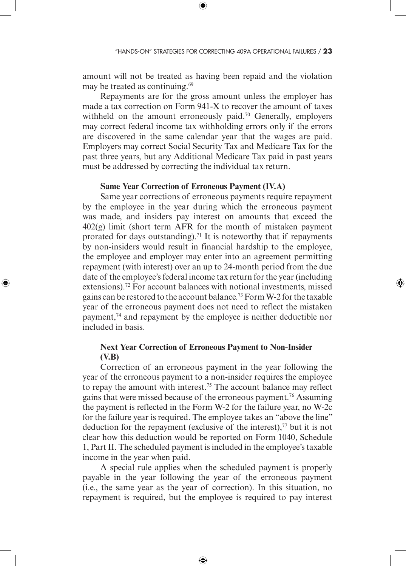amount will not be treated as having been repaid and the violation may be treated as continuing.<sup>69</sup>

⊕

Repayments are for the gross amount unless the employer has made a tax correction on Form 941-X to recover the amount of taxes withheld on the amount erroneously paid.<sup>70</sup> Generally, employers may correct federal income tax withholding errors only if the errors are discovered in the same calendar year that the wages are paid. Employers may correct Social Security Tax and Medicare Tax for the past three years, but any Additional Medicare Tax paid in past years must be addressed by correcting the individual tax return.

## **Same Year Correction of Erroneous Payment (IV.A)**

Same year corrections of erroneous payments require repayment by the employee in the year during which the erroneous payment was made, and insiders pay interest on amounts that exceed the 402(g) limit (short term AFR for the month of mistaken payment prorated for days outstanding).<sup>71</sup> It is noteworthy that if repayments by non-insiders would result in financial hardship to the employee, the employee and employer may enter into an agreement permitting repayment (with interest) over an up to 24-month period from the due date of the employee's federal income tax return for the year (including extensions).<sup>72</sup> For account balances with notional investments, missed gains can be restored to the account balance.73 Form W-2 for the taxable year of the erroneous payment does not need to reflect the mistaken payment,74 and repayment by the employee is neither deductible nor included in basis.

⊕

⊕

# **Next Year Correction of Erroneous Payment to Non-Insider (V.B)**

Correction of an erroneous payment in the year following the year of the erroneous payment to a non-insider requires the employee to repay the amount with interest.75 The account balance may reflect gains that were missed because of the erroneous payment.76 Assuming the payment is reflected in the Form W-2 for the failure year, no W-2c for the failure year is required. The employee takes an "above the line" deduction for the repayment (exclusive of the interest), $^{77}$  but it is not clear how this deduction would be reported on Form 1040, Schedule 1, Part II. The scheduled payment is included in the employee's taxable income in the year when paid.

A special rule applies when the scheduled payment is properly payable in the year following the year of the erroneous payment (i.e., the same year as the year of correction). In this situation, no repayment is required, but the employee is required to pay interest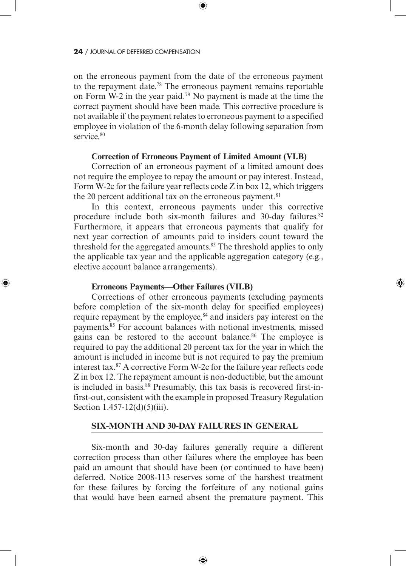on the erroneous payment from the date of the erroneous payment to the repayment date.78 The erroneous payment remains reportable on Form W-2 in the year paid.79 No payment is made at the time the correct payment should have been made. This corrective procedure is not available if the payment relates to erroneous payment to a specified employee in violation of the 6-month delay following separation from service.<sup>80</sup>

⊕

## **Correction of Erroneous Payment of Limited Amount (VI.B)**

Correction of an erroneous payment of a limited amount does not require the employee to repay the amount or pay interest. Instead, Form W-2c for the failure year reflects code Z in box 12, which triggers the 20 percent additional tax on the erroneous payment. $81$ 

In this context, erroneous payments under this corrective procedure include both six-month failures and 30-day failures.<sup>82</sup> Furthermore, it appears that erroneous payments that qualify for next year correction of amounts paid to insiders count toward the threshold for the aggregated amounts.<sup>83</sup> The threshold applies to only the applicable tax year and the applicable aggregation category (e.g., elective account balance arrangements).

⊕

## **Erroneous Payments—Other Failures (VII.B)**

⊕

Corrections of other erroneous payments (excluding payments before completion of the six-month delay for specified employees) require repayment by the employee,<sup>84</sup> and insiders pay interest on the payments.85 For account balances with notional investments, missed gains can be restored to the account balance.<sup>86</sup> The employee is required to pay the additional 20 percent tax for the year in which the amount is included in income but is not required to pay the premium interest tax.87 A corrective Form W-2c for the failure year reflects code Z in box 12. The repayment amount is non-deductible, but the amount is included in basis.<sup>88</sup> Presumably, this tax basis is recovered first-infirst-out, consistent with the example in proposed Treasury Regulation Section 1.457-12(d)(5)(iii).

## **SIX-MONTH AND 30-DAY FAILURES IN GENERAL**

Six-month and 30-day failures generally require a different correction process than other failures where the employee has been paid an amount that should have been (or continued to have been) deferred. Notice 2008-113 reserves some of the harshest treatment for these failures by forcing the forfeiture of any notional gains that would have been earned absent the premature payment. This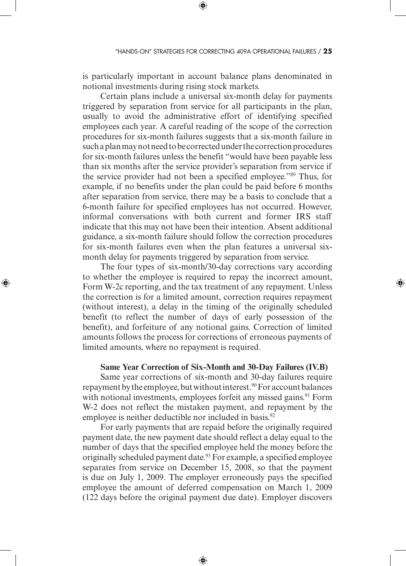is particularly important in account balance plans denominated in notional investments during rising stock markets.

⊕

Certain plans include a universal six-month delay for payments triggered by separation from service for all participants in the plan, usually to avoid the administrative effort of identifying specified employees each year. A careful reading of the scope of the correction procedures for six-month failures suggests that a six-month failure in such a plan may not need to be corrected under the correction procedures for six-month failures unless the benefit "would have been payable less than six months after the service provider's separation from service if the service provider had not been a specified employee."89 Thus, for example, if no benefits under the plan could be paid before 6 months after separation from service, there may be a basis to conclude that a 6-month failure for specified employees has not occurred. However, informal conversations with both current and former IRS staff indicate that this may not have been their intention. Absent additional guidance, a six-month failure should follow the correction procedures for six-month failures even when the plan features a universal sixmonth delay for payments triggered by separation from service.

The four types of six-month/30-day corrections vary according to whether the employee is required to repay the incorrect amount, Form W-2c reporting, and the tax treatment of any repayment. Unless the correction is for a limited amount, correction requires repayment (without interest), a delay in the timing of the originally scheduled benefit (to reflect the number of days of early possession of the benefit), and forfeiture of any notional gains. Correction of limited amounts follows the process for corrections of erroneous payments of limited amounts, where no repayment is required.

⊕

⊕

# **Same Year Correction of Six-Month and 30-Day Failures (IV.B)**

Same year corrections of six-month and 30-day failures require repayment by the employee, but without interest.<sup>90</sup> For account balances with notional investments, employees forfeit any missed gains.<sup>91</sup> Form W-2 does not reflect the mistaken payment, and repayment by the employee is neither deductible nor included in basis.<sup>92</sup>

For early payments that are repaid before the originally required payment date, the new payment date should reflect a delay equal to the number of days that the specified employee held the money before the originally scheduled payment date.<sup>93</sup> For example, a specified employee separates from service on December 15, 2008, so that the payment is due on July 1, 2009. The employer erroneously pays the specified employee the amount of deferred compensation on March 1, 2009 (122 days before the original payment due date). Employer discovers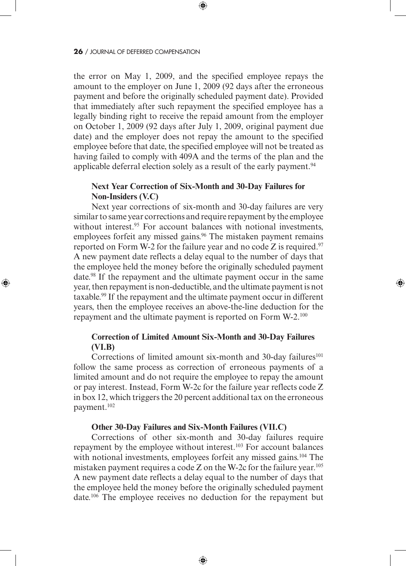⊕

the error on May 1, 2009, and the specified employee repays the amount to the employer on June 1, 2009 (92 days after the erroneous payment and before the originally scheduled payment date). Provided that immediately after such repayment the specified employee has a legally binding right to receive the repaid amount from the employer on October 1, 2009 (92 days after July 1, 2009, original payment due date) and the employer does not repay the amount to the specified employee before that date, the specified employee will not be treated as having failed to comply with 409A and the terms of the plan and the applicable deferral election solely as a result of the early payment.<sup>94</sup>

⊕

# **Next Year Correction of Six-Month and 30-Day Failures for Non-Insiders (V.C)**

Next year corrections of six-month and 30-day failures are very similar to same year corrections and require repayment by the employee without interest.<sup>95</sup> For account balances with notional investments, employees forfeit any missed gains.<sup>96</sup> The mistaken payment remains reported on Form W-2 for the failure year and no code  $Z$  is required.<sup>97</sup> A new payment date reflects a delay equal to the number of days that the employee held the money before the originally scheduled payment date.98 If the repayment and the ultimate payment occur in the same year, then repayment is non-deductible, and the ultimate payment is not taxable.99 If the repayment and the ultimate payment occur in different years, then the employee receives an above-the-line deduction for the repayment and the ultimate payment is reported on Form W-2.100

⊕

# **Correction of Limited Amount Six-Month and 30-Day Failures (VI.B)**

Corrections of limited amount six-month and 30-day failures<sup>101</sup> follow the same process as correction of erroneous payments of a limited amount and do not require the employee to repay the amount or pay interest. Instead, Form W-2c for the failure year reflects code Z in box 12, which triggers the 20 percent additional tax on the erroneous payment.102

# **Other 30-Day Failures and Six-Month Failures (VII.C)**

Corrections of other six-month and 30-day failures require repayment by the employee without interest.103 For account balances with notional investments, employees forfeit any missed gains.<sup>104</sup> The mistaken payment requires a code  $Z$  on the W-2c for the failure year.<sup>105</sup> A new payment date reflects a delay equal to the number of days that the employee held the money before the originally scheduled payment date.106 The employee receives no deduction for the repayment but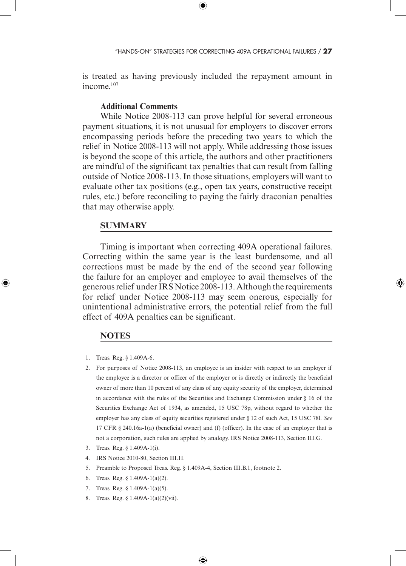is treated as having previously included the repayment amount in income.107

⊕

## **Additional Comments**

While Notice 2008-113 can prove helpful for several erroneous payment situations, it is not unusual for employers to discover errors encompassing periods before the preceding two years to which the relief in Notice 2008-113 will not apply. While addressing those issues is beyond the scope of this article, the authors and other practitioners are mindful of the significant tax penalties that can result from falling outside of Notice 2008-113. In those situations, employers will want to evaluate other tax positions (e.g., open tax years, constructive receipt rules, etc.) before reconciling to paying the fairly draconian penalties that may otherwise apply.

# **SUMMARY**

Timing is important when correcting 409A operational failures. Correcting within the same year is the least burdensome, and all corrections must be made by the end of the second year following the failure for an employer and employee to avail themselves of the generous relief under IRS Notice 2008-113. Although the requirements for relief under Notice 2008-113 may seem onerous, especially for unintentional administrative errors, the potential relief from the full effect of 409A penalties can be significant.

⊕

# **NOTES**

⊕

- 1. Treas. Reg. § 1.409A-6.
- 2. For purposes of Notice 2008-113, an employee is an insider with respect to an employer if the employee is a director or officer of the employer or is directly or indirectly the beneficial owner of more than 10 percent of any class of any equity security of the employer, determined in accordance with the rules of the Securities and Exchange Commission under  $\S$  16 of the Securities Exchange Act of 1934, as amended, 15 USC 78p, without regard to whether the employer has any class of equity securities registered under § 12 of such Act, 15 USC 78l. *See* 17 CFR § 240.16a-1(a) (beneficial owner) and (f) (officer). In the case of an employer that is not a corporation, such rules are applied by analogy. IRS Notice 2008-113, Section III.G.
- 3. Treas. Reg. § 1.409A-1(i).
- 4. IRS Notice 2010-80, Section III.H.
- 5. Preamble to Proposed Treas. Reg. § 1.409A-4, Section III.B.1, footnote 2.

- 6. Treas. Reg. § 1.409A-1(a)(2).
- 7. Treas. Reg. § 1.409A-1(a)(5).
- 8. Treas. Reg. § 1.409A-1(a)(2)(vii).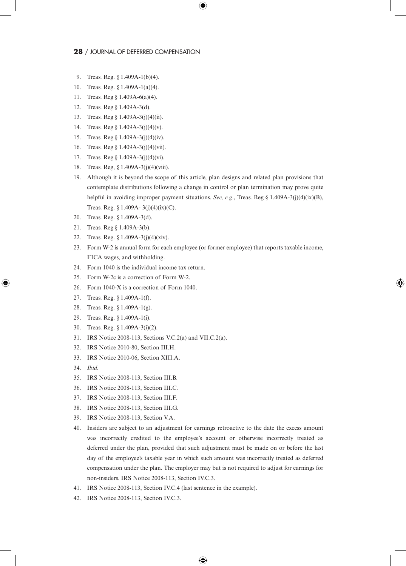- 9. Treas. Reg. § 1.409A-1(b)(4).
- 10. Treas. Reg. § 1.409A-1(a)(4).
- 11. Treas. Reg § 1.409A-6(a)(4).
- 12. Treas. Reg § 1.409A-3(d).
- 13. Treas. Reg § 1.409A-3(j)(4)(ii).
- 14. Treas. Reg § 1.409A-3(j)(4)(v).
- 15. Treas. Reg § 1.409A-3(j)(4)(iv).
- 16. Treas. Reg § 1.409A-3(j)(4)(vii).
- 17. Treas. Reg § 1.409A-3(j)(4)(vi).
- 18. Treas. Reg, § 1.409A-3(j)(4)(viii).
- 19. Although it is beyond the scope of this article, plan designs and related plan provisions that contemplate distributions following a change in control or plan termination may prove quite helpful in avoiding improper payment situations. *See, e.g*., Treas. Reg § 1.409A-3(j)(4)(ix)(B), Treas. Reg. § 1.409A- 3(j)(4)(ix)(C).

⊕

- 20. Treas. Reg. § 1.409A-3(d).
- 21. Treas. Reg § 1.409A-3(b).
- 22. Treas. Reg. § 1.409A-3(j)(4)(xiv).
- 23. Form W-2 is annual form for each employee (or former employee) that reports taxable income, FICA wages, and withholding.

⊕

- 24. Form 1040 is the individual income tax return.
- 25. Form W-2c is a correction of Form W-2.
- 26. Form 1040-X is a correction of Form 1040.
- 27. Treas. Reg. § 1.409A-1(f).
- 28. Treas. Reg. § 1.409A-1(g).
- 29. Treas. Reg. § 1.409A-1(i).
- 30. Treas. Reg. § 1.409A-3(i)(2).
- 31. IRS Notice 2008-113, Sections V.C.2(a) and VII.C.2(a).
- 32. IRS Notice 2010-80, Section III.H.
- 33. IRS Notice 2010-06, Section XIII.A.
- 34. *Ibid*.

⊕

- 35. IRS Notice 2008-113, Section III.B.
- 36. IRS Notice 2008-113, Section III.C.
- 37. IRS Notice 2008-113, Section III.F.
- 38. IRS Notice 2008-113, Section III.G.
- 39. IRS Notice 2008-113, Section V.A.
- 40. Insiders are subject to an adjustment for earnings retroactive to the date the excess amount was incorrectly credited to the employee's account or otherwise incorrectly treated as deferred under the plan, provided that such adjustment must be made on or before the last day of the employee's taxable year in which such amount was incorrectly treated as deferred compensation under the plan. The employer may but is not required to adjust for earnings for non-insiders. IRS Notice 2008-113, Section IV.C.3.

- 41. IRS Notice 2008-113, Section IV.C.4 (last sentence in the example).
- 42. IRS Notice 2008-113, Section IV.C.3.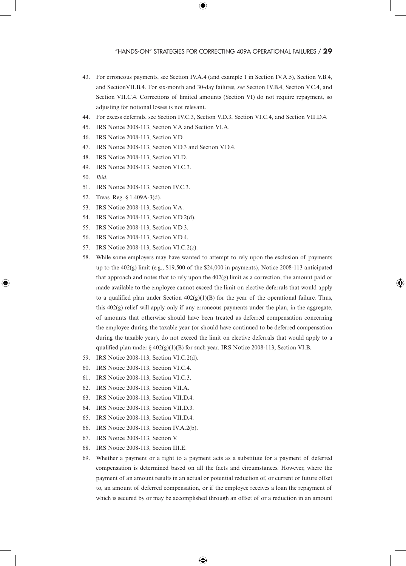#### "Hands-On" Strategies for Correcting 409A Operational Failures / **29**

43. For erroneous payments, see Section IV.A.4 (and example 1 in Section IV.A.5), Section V.B.4, and SectionVII.B.4. For six-month and 30-day failures, *see* Section IV.B.4, Section V.C.4, and Section VII.C.4. Corrections of limited amounts (Section VI) do not require repayment, so adjusting for notional losses is not relevant.

⊕

- 44. For excess deferrals, see Section IV.C.3, Section V.D.3, Section VI.C.4, and Section VII.D.4.
- 45. IRS Notice 2008-113, Section V.A and Section VI.A.
- 46. IRS Notice 2008-113, Section V.D.
- 47. IRS Notice 2008-113, Section V.D.3 and Section V.D.4.
- 48. IRS Notice 2008-113, Section VI.D.
- 49. IRS Notice 2008-113, Section VI.C.3.
- 50. *Ibid*.

⊕

- 51. IRS Notice 2008-113, Section IV.C.3.
- 52. Treas. Reg. § 1.409A-3(d).
- 53. IRS Notice 2008-113, Section V.A.
- 54. IRS Notice 2008-113, Section V.D.2(d).
- 55. IRS Notice 2008-113, Section V.D.3.
- 56. IRS Notice 2008-113, Section V.D.4.
- 57. IRS Notice 2008-113, Section VI.C.2(c).
- 58. While some employers may have wanted to attempt to rely upon the exclusion of payments up to the  $402(g)$  limit (e.g., \$19,500 of the \$24,000 in payments), Notice 2008-113 anticipated that approach and notes that to rely upon the  $402(g)$  limit as a correction, the amount paid or made available to the employee cannot exceed the limit on elective deferrals that would apply to a qualified plan under Section  $402(g)(1)(B)$  for the year of the operational failure. Thus, this  $402(g)$  relief will apply only if any erroneous payments under the plan, in the aggregate, of amounts that otherwise should have been treated as deferred compensation concerning the employee during the taxable year (or should have continued to be deferred compensation during the taxable year), do not exceed the limit on elective deferrals that would apply to a qualified plan under § 402(g)(1)(B) for such year. IRS Notice 2008-113, Section VI.B.

↔

- 59. IRS Notice 2008-113, Section VI.C.2(d).
- 60. IRS Notice 2008-113, Section VI.C.4.
- 61. IRS Notice 2008-113, Section VI.C.3.
- 62. IRS Notice 2008-113, Section VII.A.
- 63. IRS Notice 2008-113, Section VII.D.4.
- 64. IRS Notice 2008-113, Section VII.D.3.
- 65. IRS Notice 2008-113, Section VII.D.4.
- 66. IRS Notice 2008-113, Section IV.A.2(b).
- 67. IRS Notice 2008-113, Section V.
- 68. IRS Notice 2008-113, Section III.E.
- 69. Whether a payment or a right to a payment acts as a substitute for a payment of deferred compensation is determined based on all the facts and circumstances. However, where the payment of an amount results in an actual or potential reduction of, or current or future offset to, an amount of deferred compensation, or if the employee receives a loan the repayment of which is secured by or may be accomplished through an offset of or a reduction in an amount

♠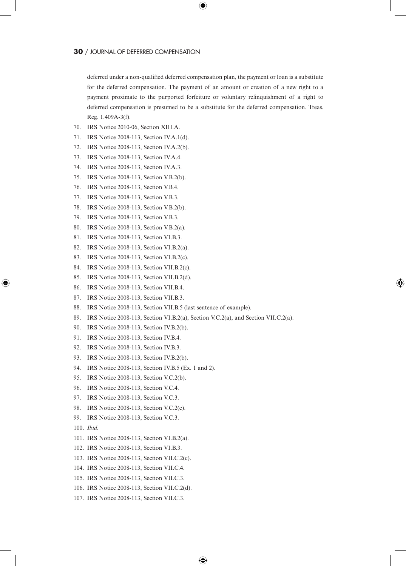deferred under a non-qualified deferred compensation plan, the payment or loan is a substitute for the deferred compensation. The payment of an amount or creation of a new right to a payment proximate to the purported forfeiture or voluntary relinquishment of a right to deferred compensation is presumed to be a substitute for the deferred compensation. Treas. Reg. 1.409A-3(f).

⊕

- 70. IRS Notice 2010-06, Section XIII.A.
- 71. IRS Notice 2008-113, Section IV.A.1(d).
- 72. IRS Notice 2008-113, Section IV.A.2(b).
- 73. IRS Notice 2008-113, Section IV.A.4.
- 74. IRS Notice 2008-113, Section IV.A.3.
- 75. IRS Notice 2008-113, Section V.B.2(b).
- 76. IRS Notice 2008-113, Section V.B.4.
- 77. IRS Notice 2008-113, Section V.B.3.
- 78. IRS Notice 2008-113, Section V.B.2(b).
- 79. IRS Notice 2008-113, Section V.B.3.
- 80. IRS Notice 2008-113, Section V.B.2(a).
- 81. IRS Notice 2008-113, Section VI.B.3.
- 82. IRS Notice 2008-113, Section VI.B.2(a).
- 83. IRS Notice 2008-113, Section VI.B.2(c).
- 84. IRS Notice 2008-113, Section VII.B.2(c).
- 85. IRS Notice 2008-113, Section VII.B.2(d).
- 86. IRS Notice 2008-113, Section VII.B.4.
- 87. IRS Notice 2008-113, Section VII.B.3.
- 88. IRS Notice 2008-113, Section VII.B.5 (last sentence of example).
- 89. IRS Notice 2008-113, Section VI.B.2(a), Section V.C.2(a), and Section VII.C.2(a).

♠

⊕

- 90. IRS Notice 2008-113, Section IV.B.2(b).
- 91. IRS Notice 2008-113, Section IV.B.4.
- 92. IRS Notice 2008-113, Section IV.B.3.
- 93. IRS Notice 2008-113, Section IV.B.2(b).
- 94. IRS Notice 2008-113, Section IV.B.5 (Ex. 1 and 2).
- 95. IRS Notice 2008-113, Section V.C.2(b).
- 96. IRS Notice 2008-113, Section V.C.4.
- 97. IRS Notice 2008-113, Section V.C.3.
- 98. IRS Notice 2008-113, Section V.C.2(c).
- 99. IRS Notice 2008-113, Section V.C.3.
- 100. *Ibid*.

- 101. IRS Notice 2008-113, Section VI.B.2(a).
- 102. IRS Notice 2008-113, Section VI.B.3.
- 103. IRS Notice 2008-113, Section VII.C.2(c).
- 104. IRS Notice 2008-113, Section VII.C.4.
- 105. IRS Notice 2008-113, Section VII.C.3.
- 106. IRS Notice 2008-113, Section VII.C.2(d).
- 107. IRS Notice 2008-113, Section VII.C.3.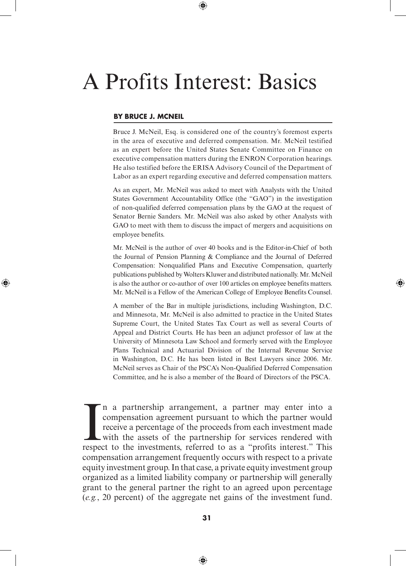# A Profits Interest: Basics

⊕

## **BY BRUCE J. MCNEIL**

⊕

Bruce J. McNeil, Esq. is considered one of the country's foremost experts in the area of executive and deferred compensation. Mr. McNeil testified as an expert before the United States Senate Committee on Finance on executive compensation matters during the ENRON Corporation hearings. He also testified before the ERISA Advisory Council of the Department of Labor as an expert regarding executive and deferred compensation matters.

As an expert, Mr. McNeil was asked to meet with Analysts with the United States Government Accountability Office (the "GAO") in the investigation of non-qualified deferred compensation plans by the GAO at the request of Senator Bernie Sanders. Mr. McNeil was also asked by other Analysts with GAO to meet with them to discuss the impact of mergers and acquisitions on employee benefits.

Mr. McNeil is the author of over 40 books and is the Editor-in-Chief of both the Journal of Pension Planning & Compliance and the Journal of Deferred Compensation: Nonqualified Plans and Executive Compensation, quarterly publications published by Wolters Kluwer and distributed nationally. Mr. McNeil is also the author or co-author of over 100 articles on employee benefits matters. Mr. McNeil is a Fellow of the American College of Employee Benefits Counsel.

⊕

A member of the Bar in multiple jurisdictions, including Washington, D.C. and Minnesota, Mr. McNeil is also admitted to practice in the United States Supreme Court, the United States Tax Court as well as several Courts of Appeal and District Courts. He has been an adjunct professor of law at the University of Minnesota Law School and formerly served with the Employee Plans Technical and Actuarial Division of the Internal Revenue Service in Washington, D.C. He has been listed in Best Lawyers since 2006. Mr. McNeil serves as Chair of the PSCA's Non-Qualified Deferred Compensation Committee, and he is also a member of the Board of Directors of the PSCA.

In a partnership arrangement, a partner may enter into a compensation agreement pursuant to which the partner would receive a percentage of the proceeds from each investment made with the assets of the partnership for serv n a partnership arrangement, a partner may enter into a compensation agreement pursuant to which the partner would receive a percentage of the proceeds from each investment made with the assets of the partnership for services rendered with compensation arrangement frequently occurs with respect to a private equity investment group. In that case, a private equity investment group organized as a limited liability company or partnership will generally grant to the general partner the right to an agreed upon percentage (*e.g.*, 20 percent) of the aggregate net gains of the investment fund.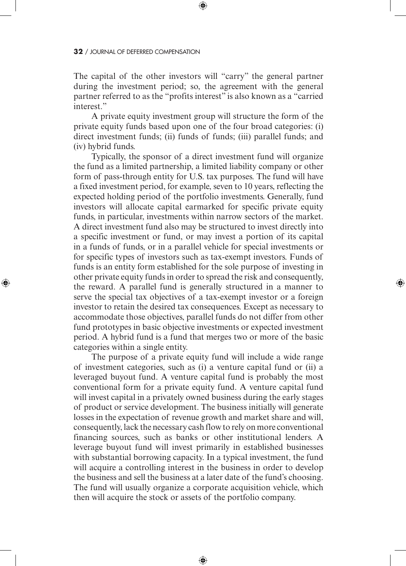⊕

The capital of the other investors will "carry" the general partner during the investment period; so, the agreement with the general partner referred to as the "profits interest" is also known as a "carried interest."

⊕

A private equity investment group will structure the form of the private equity funds based upon one of the four broad categories: (i) direct investment funds; (ii) funds of funds; (iii) parallel funds; and (iv) hybrid funds.

Typically, the sponsor of a direct investment fund will organize the fund as a limited partnership, a limited liability company or other form of pass-through entity for U.S. tax purposes. The fund will have a fixed investment period, for example, seven to 10 years, reflecting the expected holding period of the portfolio investments. Generally, fund investors will allocate capital earmarked for specific private equity funds, in particular, investments within narrow sectors of the market. A direct investment fund also may be structured to invest directly into a specific investment or fund, or may invest a portion of its capital in a funds of funds, or in a parallel vehicle for special investments or for specific types of investors such as tax-exempt investors. Funds of funds is an entity form established for the sole purpose of investing in other private equity funds in order to spread the risk and consequently, the reward. A parallel fund is generally structured in a manner to serve the special tax objectives of a tax-exempt investor or a foreign investor to retain the desired tax consequences. Except as necessary to accommodate those objectives, parallel funds do not differ from other fund prototypes in basic objective investments or expected investment period. A hybrid fund is a fund that merges two or more of the basic categories within a single entity.

⊕

The purpose of a private equity fund will include a wide range of investment categories, such as (i) a venture capital fund or (ii) a leveraged buyout fund. A venture capital fund is probably the most conventional form for a private equity fund. A venture capital fund will invest capital in a privately owned business during the early stages of product or service development. The business initially will generate losses in the expectation of revenue growth and market share and will, consequently, lack the necessary cash flow to rely on more conventional financing sources, such as banks or other institutional lenders. A leverage buyout fund will invest primarily in established businesses with substantial borrowing capacity. In a typical investment, the fund will acquire a controlling interest in the business in order to develop the business and sell the business at a later date of the fund's choosing. The fund will usually organize a corporate acquisition vehicle, which then will acquire the stock or assets of the portfolio company.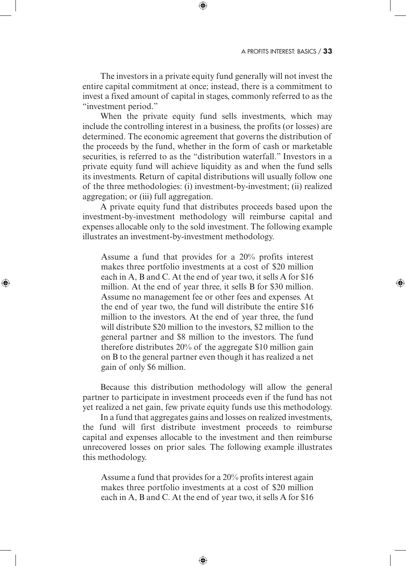The investors in a private equity fund generally will not invest the entire capital commitment at once; instead, there is a commitment to invest a fixed amount of capital in stages, commonly referred to as the "investment period."

⊕

When the private equity fund sells investments, which may include the controlling interest in a business, the profits (or losses) are determined. The economic agreement that governs the distribution of the proceeds by the fund, whether in the form of cash or marketable securities, is referred to as the "distribution waterfall." Investors in a private equity fund will achieve liquidity as and when the fund sells its investments. Return of capital distributions will usually follow one of the three methodologies: (i) investment-by-investment; (ii) realized aggregation; or (iii) full aggregation.

A private equity fund that distributes proceeds based upon the investment-by-investment methodology will reimburse capital and expenses allocable only to the sold investment. The following example illustrates an investment-by-investment methodology.

Assume a fund that provides for a 20% profits interest makes three portfolio investments at a cost of \$20 million each in A, B and C. At the end of year two, it sells A for \$16 million. At the end of year three, it sells B for \$30 million. Assume no management fee or other fees and expenses. At the end of year two, the fund will distribute the entire \$16 million to the investors. At the end of year three, the fund will distribute \$20 million to the investors, \$2 million to the general partner and \$8 million to the investors. The fund therefore distributes 20% of the aggregate \$10 million gain on B to the general partner even though it has realized a net gain of only \$6 million.

⊕

Because this distribution methodology will allow the general partner to participate in investment proceeds even if the fund has not yet realized a net gain, few private equity funds use this methodology.

In a fund that aggregates gains and losses on realized investments, the fund will first distribute investment proceeds to reimburse capital and expenses allocable to the investment and then reimburse unrecovered losses on prior sales. The following example illustrates this methodology.

Assume a fund that provides for a 20% profits interest again makes three portfolio investments at a cost of \$20 million each in A, B and C. At the end of year two, it sells A for \$16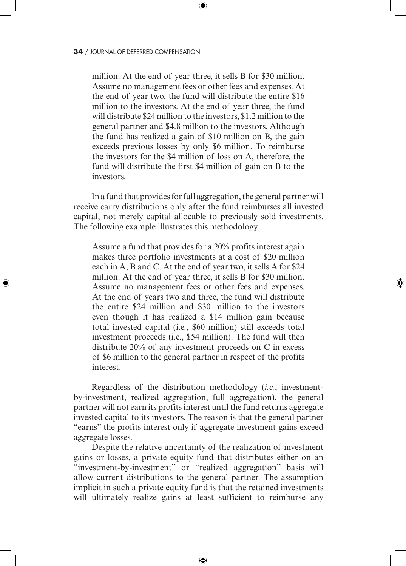⊕

million. At the end of year three, it sells B for \$30 million. Assume no management fees or other fees and expenses. At the end of year two, the fund will distribute the entire \$16 million to the investors. At the end of year three, the fund will distribute \$24 million to the investors, \$1.2 million to the general partner and \$4.8 million to the investors. Although the fund has realized a gain of \$10 million on B, the gain exceeds previous losses by only \$6 million. To reimburse the investors for the \$4 million of loss on A, therefore, the fund will distribute the first \$4 million of gain on B to the investors.

⊕

In a fund that provides for full aggregation, the general partner will receive carry distributions only after the fund reimburses all invested capital, not merely capital allocable to previously sold investments. The following example illustrates this methodology.

Assume a fund that provides for a 20% profits interest again makes three portfolio investments at a cost of \$20 million each in A, B and C. At the end of year two, it sells A for \$24 million. At the end of year three, it sells B for \$30 million. Assume no management fees or other fees and expenses. At the end of years two and three, the fund will distribute the entire \$24 million and \$30 million to the investors even though it has realized a \$14 million gain because total invested capital (i.e., \$60 million) still exceeds total investment proceeds (i.e., \$54 million). The fund will then distribute 20% of any investment proceeds on C in excess of \$6 million to the general partner in respect of the profits interest.

⊕

Regardless of the distribution methodology (*i.e.*, investmentby-investment, realized aggregation, full aggregation), the general partner will not earn its profits interest until the fund returns aggregate invested capital to its investors. The reason is that the general partner "earns" the profits interest only if aggregate investment gains exceed aggregate losses.

Despite the relative uncertainty of the realization of investment gains or losses, a private equity fund that distributes either on an "investment-by-investment" or "realized aggregation" basis will allow current distributions to the general partner. The assumption implicit in such a private equity fund is that the retained investments will ultimately realize gains at least sufficient to reimburse any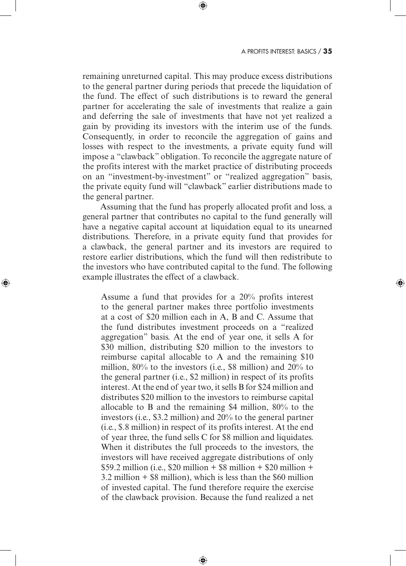remaining unreturned capital. This may produce excess distributions to the general partner during periods that precede the liquidation of the fund. The effect of such distributions is to reward the general partner for accelerating the sale of investments that realize a gain and deferring the sale of investments that have not yet realized a gain by providing its investors with the interim use of the funds. Consequently, in order to reconcile the aggregation of gains and losses with respect to the investments, a private equity fund will impose a "clawback" obligation. To reconcile the aggregate nature of the profits interest with the market practice of distributing proceeds on an "investment-by-investment" or "realized aggregation" basis, the private equity fund will "clawback" earlier distributions made to the general partner.

 $\textcircled{\scriptsize{+}}$ 

Assuming that the fund has properly allocated profit and loss, a general partner that contributes no capital to the fund generally will have a negative capital account at liquidation equal to its unearned distributions. Therefore, in a private equity fund that provides for a clawback, the general partner and its investors are required to restore earlier distributions, which the fund will then redistribute to the investors who have contributed capital to the fund. The following example illustrates the effect of a clawback.

⊕

Assume a fund that provides for a 20% profits interest to the general partner makes three portfolio investments at a cost of \$20 million each in A, B and C. Assume that the fund distributes investment proceeds on a "realized aggregation" basis. At the end of year one, it sells A for \$30 million, distributing \$20 million to the investors to reimburse capital allocable to A and the remaining \$10 million, 80% to the investors (i.e., \$8 million) and 20% to the general partner (i.e., \$2 million) in respect of its profits interest. At the end of year two, it sells B for \$24 million and distributes \$20 million to the investors to reimburse capital allocable to B and the remaining \$4 million, 80% to the investors (i.e., \$3.2 million) and 20% to the general partner (i.e., \$.8 million) in respect of its profits interest. At the end of year three, the fund sells C for \$8 million and liquidates. When it distributes the full proceeds to the investors, the investors will have received aggregate distributions of only  $$59.2$  million (i.e.,  $$20$  million +  $$8$  million +  $$20$  million + 3.2 million + \$8 million), which is less than the \$60 million of invested capital. The fund therefore require the exercise of the clawback provision. Because the fund realized a net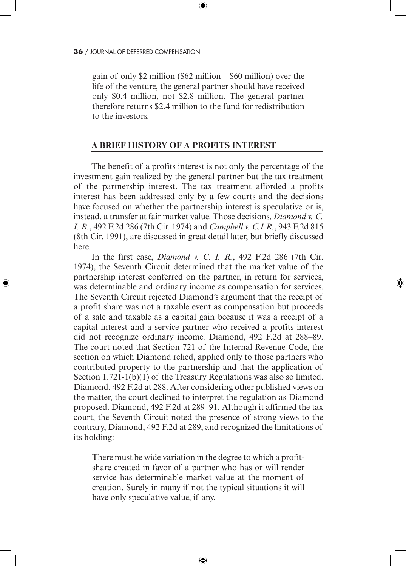gain of only \$2 million (\$62 million—\$60 million) over the life of the venture, the general partner should have received only \$0.4 million, not \$2.8 million. The general partner therefore returns \$2.4 million to the fund for redistribution to the investors.

⊕

## **A BRIEF HISTORY OF A PROFITS INTEREST**

The benefit of a profits interest is not only the percentage of the investment gain realized by the general partner but the tax treatment of the partnership interest. The tax treatment afforded a profits interest has been addressed only by a few courts and the decisions have focused on whether the partnership interest is speculative or is, instead, a transfer at fair market value. Those decisions, *Diamond v. C. I. R.*, 492 F.2d 286 (7th Cir. 1974) and *Campbell v. C.I.R.*, 943 F.2d 815 (8th Cir. 1991), are discussed in great detail later, but briefly discussed here.

In the first case, *Diamond v. C. I. R.*, 492 F.2d 286 (7th Cir. 1974), the Seventh Circuit determined that the market value of the partnership interest conferred on the partner, in return for services, was determinable and ordinary income as compensation for services. The Seventh Circuit rejected Diamond's argument that the receipt of a profit share was not a taxable event as compensation but proceeds of a sale and taxable as a capital gain because it was a receipt of a capital interest and a service partner who received a profits interest did not recognize ordinary income. Diamond, 492 F.2d at 288–89. The court noted that Section 721 of the Internal Revenue Code, the section on which Diamond relied, applied only to those partners who contributed property to the partnership and that the application of Section 1.721-1(b)(1) of the Treasury Regulations was also so limited. Diamond, 492 F.2d at 288. After considering other published views on the matter, the court declined to interpret the regulation as Diamond proposed. Diamond, 492 F.2d at 289–91. Although it affirmed the tax court, the Seventh Circuit noted the presence of strong views to the contrary, Diamond, 492 F.2d at 289, and recognized the limitations of its holding:

⊕

There must be wide variation in the degree to which a profitshare created in favor of a partner who has or will render service has determinable market value at the moment of creation. Surely in many if not the typical situations it will have only speculative value, if any.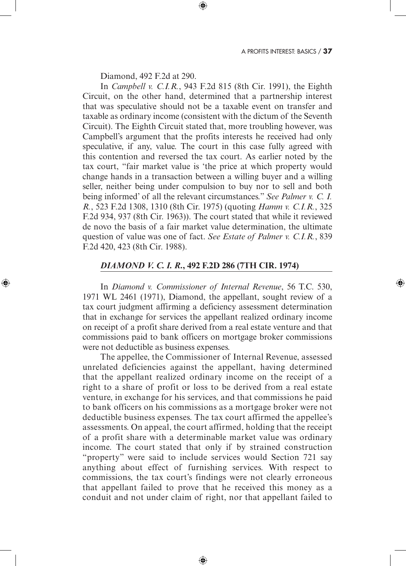Diamond, 492 F.2d at 290.

⊕

In *Campbell v. C.I.R.*, 943 F.2d 815 (8th Cir. 1991), the Eighth Circuit, on the other hand, determined that a partnership interest that was speculative should not be a taxable event on transfer and taxable as ordinary income (consistent with the dictum of the Seventh Circuit). The Eighth Circuit stated that, more troubling however, was Campbell's argument that the profits interests he received had only speculative, if any, value. The court in this case fully agreed with this contention and reversed the tax court. As earlier noted by the tax court, "fair market value is 'the price at which property would change hands in a transaction between a willing buyer and a willing seller, neither being under compulsion to buy nor to sell and both being informed' of all the relevant circumstances." *See Palmer v. C. I. R.*, 523 F.2d 1308, 1310 (8th Cir. 1975) (quoting *Hamm v. C.I.R.*, 325 F.2d 934, 937 (8th Cir. 1963)). The court stated that while it reviewed de novo the basis of a fair market value determination, the ultimate question of value was one of fact. *See Estate of Palmer v. C.I.R.*, 839 F.2d 420, 423 (8th Cir. 1988).

 $\textcircled{\scriptsize{+}}$ 

## *DIAMOND V. C. I. R.***, 492 F.2D 286 (7TH CIR. 1974)**

In *Diamond v. Commissioner of Internal Revenue*, 56 T.C. 530, 1971 WL 2461 (1971), Diamond, the appellant, sought review of a tax court judgment affirming a deficiency assessment determination that in exchange for services the appellant realized ordinary income on receipt of a profit share derived from a real estate venture and that commissions paid to bank officers on mortgage broker commissions were not deductible as business expenses.

The appellee, the Commissioner of Internal Revenue, assessed unrelated deficiencies against the appellant, having determined that the appellant realized ordinary income on the receipt of a right to a share of profit or loss to be derived from a real estate venture, in exchange for his services, and that commissions he paid to bank officers on his commissions as a mortgage broker were not deductible business expenses. The tax court affirmed the appellee's assessments. On appeal, the court affirmed, holding that the receipt of a profit share with a determinable market value was ordinary income. The court stated that only if by strained construction "property" were said to include services would Section 721 say anything about effect of furnishing services. With respect to commissions, the tax court's findings were not clearly erroneous that appellant failed to prove that he received this money as a conduit and not under claim of right, nor that appellant failed to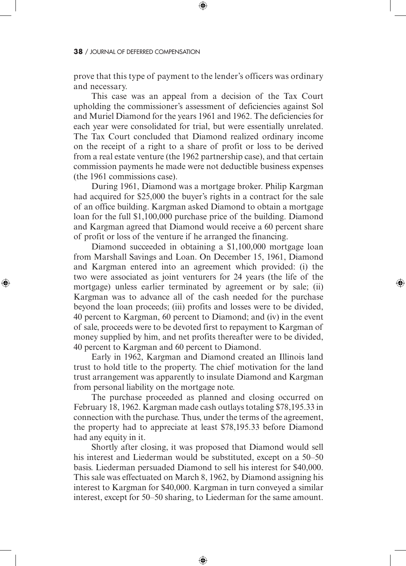⊕

prove that this type of payment to the lender's officers was ordinary and necessary.

⊕

This case was an appeal from a decision of the Tax Court upholding the commissioner's assessment of deficiencies against Sol and Muriel Diamond for the years 1961 and 1962. The deficiencies for each year were consolidated for trial, but were essentially unrelated. The Tax Court concluded that Diamond realized ordinary income on the receipt of a right to a share of profit or loss to be derived from a real estate venture (the 1962 partnership case), and that certain commission payments he made were not deductible business expenses (the 1961 commissions case).

During 1961, Diamond was a mortgage broker. Philip Kargman had acquired for \$25,000 the buyer's rights in a contract for the sale of an office building. Kargman asked Diamond to obtain a mortgage loan for the full \$1,100,000 purchase price of the building. Diamond and Kargman agreed that Diamond would receive a 60 percent share of profit or loss of the venture if he arranged the financing.

Diamond succeeded in obtaining a \$1,100,000 mortgage loan from Marshall Savings and Loan. On December 15, 1961, Diamond and Kargman entered into an agreement which provided: (i) the two were associated as joint venturers for 24 years (the life of the mortgage) unless earlier terminated by agreement or by sale; (ii) Kargman was to advance all of the cash needed for the purchase beyond the loan proceeds; (iii) profits and losses were to be divided, 40 percent to Kargman, 60 percent to Diamond; and (iv) in the event of sale, proceeds were to be devoted first to repayment to Kargman of money supplied by him, and net profits thereafter were to be divided, 40 percent to Kargman and 60 percent to Diamond.

⊕

Early in 1962, Kargman and Diamond created an Illinois land trust to hold title to the property. The chief motivation for the land trust arrangement was apparently to insulate Diamond and Kargman from personal liability on the mortgage note.

The purchase proceeded as planned and closing occurred on February 18, 1962. Kargman made cash outlays totaling \$78,195.33 in connection with the purchase. Thus, under the terms of the agreement, the property had to appreciate at least \$78,195.33 before Diamond had any equity in it.

Shortly after closing, it was proposed that Diamond would sell his interest and Liederman would be substituted, except on a 50–50 basis. Liederman persuaded Diamond to sell his interest for \$40,000. This sale was effectuated on March 8, 1962, by Diamond assigning his interest to Kargman for \$40,000. Kargman in turn conveyed a similar interest, except for 50–50 sharing, to Liederman for the same amount.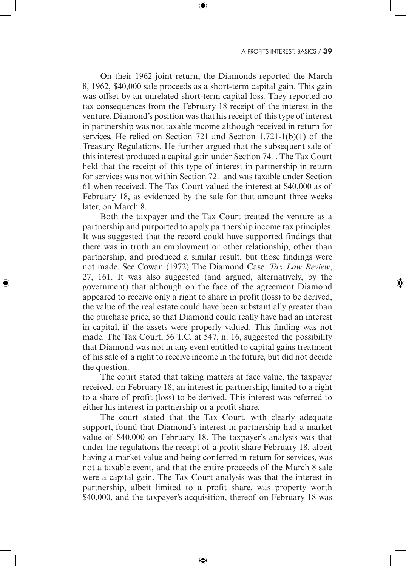On their 1962 joint return, the Diamonds reported the March 8, 1962, \$40,000 sale proceeds as a short-term capital gain. This gain was offset by an unrelated short-term capital loss. They reported no tax consequences from the February 18 receipt of the interest in the venture. Diamond's position was that his receipt of this type of interest in partnership was not taxable income although received in return for services. He relied on Section 721 and Section 1.721-1(b)(1) of the Treasury Regulations. He further argued that the subsequent sale of this interest produced a capital gain under Section 741. The Tax Court held that the receipt of this type of interest in partnership in return for services was not within Section 721 and was taxable under Section 61 when received. The Tax Court valued the interest at \$40,000 as of February 18, as evidenced by the sale for that amount three weeks later, on March 8.

⊕

Both the taxpayer and the Tax Court treated the venture as a partnership and purported to apply partnership income tax principles. It was suggested that the record could have supported findings that there was in truth an employment or other relationship, other than partnership, and produced a similar result, but those findings were not made. See Cowan (1972) The Diamond Case. *Tax Law Review*, 27, 161. It was also suggested (and argued, alternatively, by the government) that although on the face of the agreement Diamond appeared to receive only a right to share in profit (loss) to be derived, the value of the real estate could have been substantially greater than the purchase price, so that Diamond could really have had an interest in capital, if the assets were properly valued. This finding was not made. The Tax Court, 56 T.C. at 547, n. 16, suggested the possibility that Diamond was not in any event entitled to capital gains treatment of his sale of a right to receive income in the future, but did not decide the question.

⊕

The court stated that taking matters at face value, the taxpayer received, on February 18, an interest in partnership, limited to a right to a share of profit (loss) to be derived. This interest was referred to either his interest in partnership or a profit share.

The court stated that the Tax Court, with clearly adequate support, found that Diamond's interest in partnership had a market value of \$40,000 on February 18. The taxpayer's analysis was that under the regulations the receipt of a profit share February 18, albeit having a market value and being conferred in return for services, was not a taxable event, and that the entire proceeds of the March 8 sale were a capital gain. The Tax Court analysis was that the interest in partnership, albeit limited to a profit share, was property worth \$40,000, and the taxpayer's acquisition, thereof on February 18 was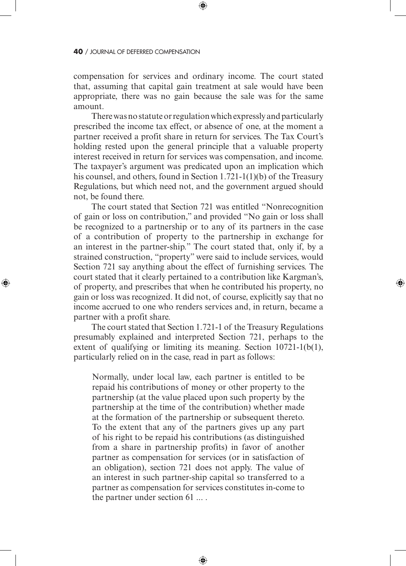⊕

compensation for services and ordinary income. The court stated that, assuming that capital gain treatment at sale would have been appropriate, there was no gain because the sale was for the same amount.

⊕

There was no statute or regulation which expressly and particularly prescribed the income tax effect, or absence of one, at the moment a partner received a profit share in return for services. The Tax Court's holding rested upon the general principle that a valuable property interest received in return for services was compensation, and income. The taxpayer's argument was predicated upon an implication which his counsel, and others, found in Section 1.721-1(1)(b) of the Treasury Regulations, but which need not, and the government argued should not, be found there.

The court stated that Section 721 was entitled "Nonrecognition of gain or loss on contribution," and provided "No gain or loss shall be recognized to a partnership or to any of its partners in the case of a contribution of property to the partnership in exchange for an interest in the partner-ship." The court stated that, only if, by a strained construction, "property" were said to include services, would Section 721 say anything about the effect of furnishing services. The court stated that it clearly pertained to a contribution like Kargman's, of property, and prescribes that when he contributed his property, no gain or loss was recognized. It did not, of course, explicitly say that no income accrued to one who renders services and, in return, became a partner with a profit share.

⊕

The court stated that Section 1.721-1 of the Treasury Regulations presumably explained and interpreted Section 721, perhaps to the extent of qualifying or limiting its meaning. Section 10721-1(b(1), particularly relied on in the case, read in part as follows:

Normally, under local law, each partner is entitled to be repaid his contributions of money or other property to the partnership (at the value placed upon such property by the partnership at the time of the contribution) whether made at the formation of the partnership or subsequent thereto. To the extent that any of the partners gives up any part of his right to be repaid his contributions (as distinguished from a share in partnership profits) in favor of another partner as compensation for services (or in satisfaction of an obligation), section 721 does not apply. The value of an interest in such partner-ship capital so transferred to a partner as compensation for services constitutes in-come to the partner under section 61 ... .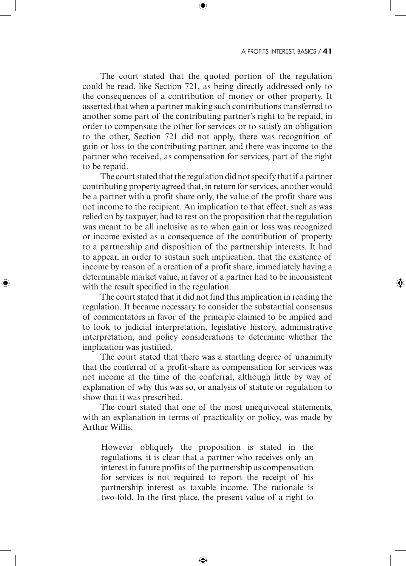The court stated that the quoted portion of the regulation could be read, like Section 721, as being directly addressed only to the consequences of a contribution of money or other property. It asserted that when a partner making such contributions transferred to another some part of the contributing partner's right to be repaid, in order to compensate the other for services or to satisfy an obligation to the other, Section 721 did not apply, there was recognition of gain or loss to the contributing partner, and there was income to the partner who received, as compensation for services, part of the right to be repaid.

⊕

The court stated that the regulation did not specify that if a partner contributing property agreed that, in return for services, another would be a partner with a profit share only, the value of the profit share was not income to the recipient. An implication to that effect, such as was relied on by taxpayer, had to rest on the proposition that the regulation was meant to be all inclusive as to when gain or loss was recognized or income existed as a consequence of the contribution of property to a partnership and disposition of the partnership interests. It had to appear, in order to sustain such implication, that the existence of income by reason of a creation of a profit share, immediately having a determinable market value, in favor of a partner had to be inconsistent with the result specified in the regulation.

The court stated that it did not find this implication in reading the regulation. It became necessary to consider the substantial consensus of commentators in favor of the principle claimed to be implied and to look to judicial interpretation, legislative history, administrative interpretation, and policy considerations to determine whether the implication was justified.

⊕

The court stated that there was a startling degree of unanimity that the conferral of a profit-share as compensation for services was not income at the time of the conferral, although little by way of explanation of why this was so, or analysis of statute or regulation to show that it was prescribed.

The court stated that one of the most unequivocal statements, with an explanation in terms of practicality or policy, was made by Arthur Willis:

However obliquely the proposition is stated in the regulations, it is clear that a partner who receives only an interest in future profits of the partnership as compensation for services is not required to report the receipt of his partnership interest as taxable income. The rationale is two-fold. In the first place, the present value of a right to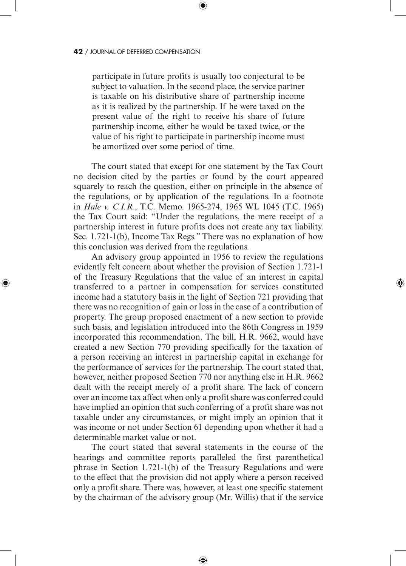⊕

participate in future profits is usually too conjectural to be subject to valuation. In the second place, the service partner is taxable on his distributive share of partnership income as it is realized by the partnership. If he were taxed on the present value of the right to receive his share of future partnership income, either he would be taxed twice, or the value of his right to participate in partnership income must be amortized over some period of time.

⊕

The court stated that except for one statement by the Tax Court no decision cited by the parties or found by the court appeared squarely to reach the question, either on principle in the absence of the regulations, or by application of the regulations. In a footnote in *Hale v. C.I.R.*, T.C. Memo. 1965-274, 1965 WL 1045 (T.C. 1965) the Tax Court said: "Under the regulations, the mere receipt of a partnership interest in future profits does not create any tax liability. Sec. 1.721-1(b), Income Tax Regs." There was no explanation of how this conclusion was derived from the regulations.

An advisory group appointed in 1956 to review the regulations evidently felt concern about whether the provision of Section 1.721-1 of the Treasury Regulations that the value of an interest in capital transferred to a partner in compensation for services constituted income had a statutory basis in the light of Section 721 providing that there was no recognition of gain or loss in the case of a contribution of property. The group proposed enactment of a new section to provide such basis, and legislation introduced into the 86th Congress in 1959 incorporated this recommendation. The bill, H.R. 9662, would have created a new Section 770 providing specifically for the taxation of a person receiving an interest in partnership capital in exchange for the performance of services for the partnership. The court stated that, however, neither proposed Section 770 nor anything else in H.R. 9662 dealt with the receipt merely of a profit share. The lack of concern over an income tax affect when only a profit share was conferred could have implied an opinion that such conferring of a profit share was not taxable under any circumstances, or might imply an opinion that it was income or not under Section 61 depending upon whether it had a determinable market value or not.

⊕

The court stated that several statements in the course of the hearings and committee reports paralleled the first parenthetical phrase in Section 1.721-1(b) of the Treasury Regulations and were to the effect that the provision did not apply where a person received only a profit share. There was, however, at least one specific statement by the chairman of the advisory group (Mr. Willis) that if the service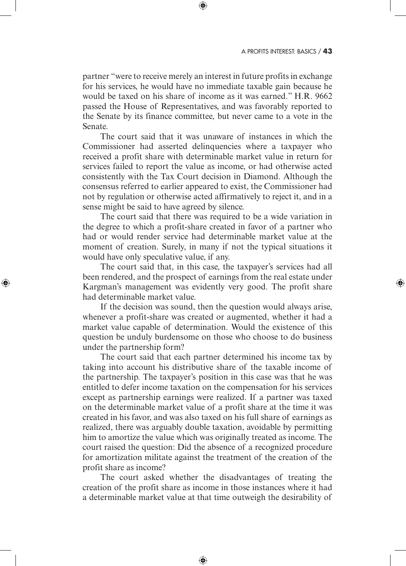partner "were to receive merely an interest in future profits in exchange for his services, he would have no immediate taxable gain because he would be taxed on his share of income as it was earned." H.R. 9662 passed the House of Representatives, and was favorably reported to the Senate by its finance committee, but never came to a vote in the Senate.

⊕

The court said that it was unaware of instances in which the Commissioner had asserted delinquencies where a taxpayer who received a profit share with determinable market value in return for services failed to report the value as income, or had otherwise acted consistently with the Tax Court decision in Diamond. Although the consensus referred to earlier appeared to exist, the Commissioner had not by regulation or otherwise acted affirmatively to reject it, and in a sense might be said to have agreed by silence.

The court said that there was required to be a wide variation in the degree to which a profit-share created in favor of a partner who had or would render service had determinable market value at the moment of creation. Surely, in many if not the typical situations it would have only speculative value, if any.

The court said that, in this case, the taxpayer's services had all been rendered, and the prospect of earnings from the real estate under Kargman's management was evidently very good. The profit share had determinable market value.

⊕

If the decision was sound, then the question would always arise, whenever a profit-share was created or augmented, whether it had a market value capable of determination. Would the existence of this question be unduly burdensome on those who choose to do business under the partnership form?

The court said that each partner determined his income tax by taking into account his distributive share of the taxable income of the partnership. The taxpayer's position in this case was that he was entitled to defer income taxation on the compensation for his services except as partnership earnings were realized. If a partner was taxed on the determinable market value of a profit share at the time it was created in his favor, and was also taxed on his full share of earnings as realized, there was arguably double taxation, avoidable by permitting him to amortize the value which was originally treated as income. The court raised the question: Did the absence of a recognized procedure for amortization militate against the treatment of the creation of the profit share as income?

The court asked whether the disadvantages of treating the creation of the profit share as income in those instances where it had a determinable market value at that time outweigh the desirability of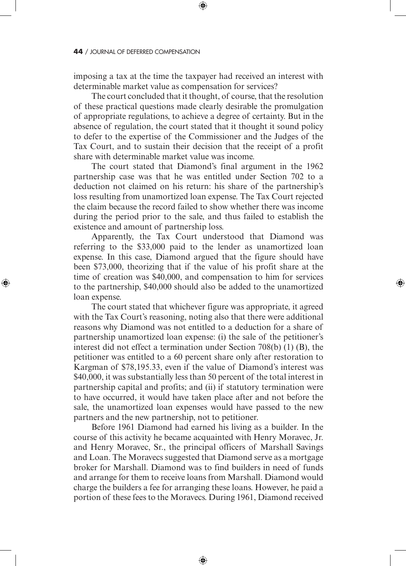⊕

imposing a tax at the time the taxpayer had received an interest with determinable market value as compensation for services?

⊕

The court concluded that it thought, of course, that the resolution of these practical questions made clearly desirable the promulgation of appropriate regulations, to achieve a degree of certainty. But in the absence of regulation, the court stated that it thought it sound policy to defer to the expertise of the Commissioner and the Judges of the Tax Court, and to sustain their decision that the receipt of a profit share with determinable market value was income.

The court stated that Diamond's final argument in the 1962 partnership case was that he was entitled under Section 702 to a deduction not claimed on his return: his share of the partnership's loss resulting from unamortized loan expense. The Tax Court rejected the claim because the record failed to show whether there was income during the period prior to the sale, and thus failed to establish the existence and amount of partnership loss.

Apparently, the Tax Court understood that Diamond was referring to the \$33,000 paid to the lender as unamortized loan expense. In this case, Diamond argued that the figure should have been \$73,000, theorizing that if the value of his profit share at the time of creation was \$40,000, and compensation to him for services to the partnership, \$40,000 should also be added to the unamortized loan expense.

⊕

The court stated that whichever figure was appropriate, it agreed with the Tax Court's reasoning, noting also that there were additional reasons why Diamond was not entitled to a deduction for a share of partnership unamortized loan expense: (i) the sale of the petitioner's interest did not effect a termination under Section 708(b) (1) (B), the petitioner was entitled to a 60 percent share only after restoration to Kargman of \$78,195.33, even if the value of Diamond's interest was \$40,000, it was substantially less than 50 percent of the total interest in partnership capital and profits; and (ii) if statutory termination were to have occurred, it would have taken place after and not before the sale, the unamortized loan expenses would have passed to the new partners and the new partnership, not to petitioner.

Before 1961 Diamond had earned his living as a builder. In the course of this activity he became acquainted with Henry Moravec, Jr. and Henry Moravec, Sr., the principal officers of Marshall Savings and Loan. The Moravecs suggested that Diamond serve as a mortgage broker for Marshall. Diamond was to find builders in need of funds and arrange for them to receive loans from Marshall. Diamond would charge the builders a fee for arranging these loans. However, he paid a portion of these fees to the Moravecs. During 1961, Diamond received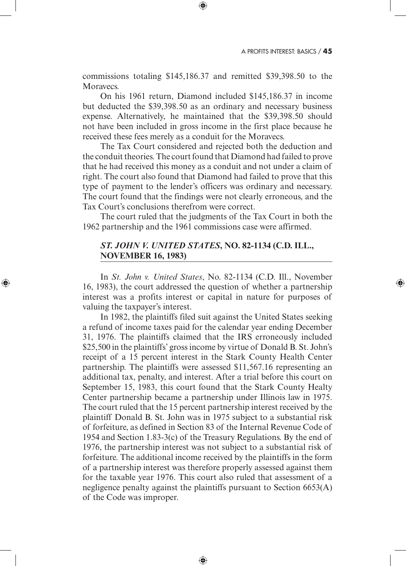commissions totaling \$145,186.37 and remitted \$39,398.50 to the Moravecs.

⊕

On his 1961 return, Diamond included \$145,186.37 in income but deducted the \$39,398.50 as an ordinary and necessary business expense. Alternatively, he maintained that the \$39,398.50 should not have been included in gross income in the first place because he received these fees merely as a conduit for the Moravecs.

The Tax Court considered and rejected both the deduction and the conduit theories. The court found that Diamond had failed to prove that he had received this money as a conduit and not under a claim of right. The court also found that Diamond had failed to prove that this type of payment to the lender's officers was ordinary and necessary. The court found that the findings were not clearly erroneous, and the Tax Court's conclusions therefrom were correct.

The court ruled that the judgments of the Tax Court in both the 1962 partnership and the 1961 commissions case were affirmed.

# *ST. JOHN V. UNITED STATES***, NO. 82-1134 (C.D. ILL., NOVEMBER 16, 1983)**

In *St. John v. United States*, No. 82-1134 (C.D. Ill., November 16, 1983), the court addressed the question of whether a partnership interest was a profits interest or capital in nature for purposes of valuing the taxpayer's interest.

⊕

In 1982, the plaintiffs filed suit against the United States seeking a refund of income taxes paid for the calendar year ending December 31, 1976. The plaintiffs claimed that the IRS erroneously included \$25,500 in the plaintiffs' gross income by virtue of Donald B. St. John's receipt of a 15 percent interest in the Stark County Health Center partnership. The plaintiffs were assessed \$11,567.16 representing an additional tax, penalty, and interest. After a trial before this court on September 15, 1983, this court found that the Stark County Healty Center partnership became a partnership under Illinois law in 1975. The court ruled that the 15 percent partnership interest received by the plaintiff Donald B. St. John was in 1975 subject to a substantial risk of forfeiture, as defined in Section 83 of the Internal Revenue Code of 1954 and Section 1.83-3(c) of the Treasury Regulations. By the end of 1976, the partnership interest was not subject to a substantial risk of forfeiture. The additional income received by the plaintiffs in the form of a partnership interest was therefore properly assessed against them for the taxable year 1976. This court also ruled that assessment of a negligence penalty against the plaintiffs pursuant to Section 6653(A) of the Code was improper.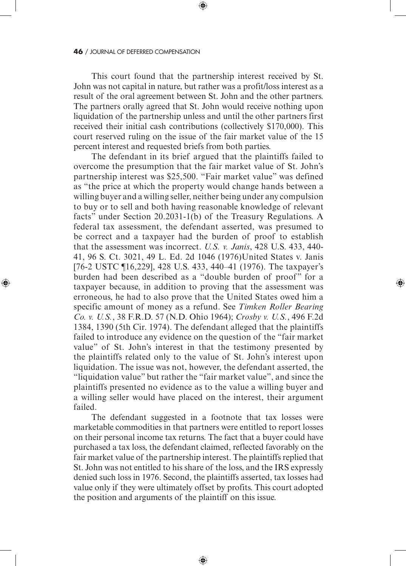⊕

This court found that the partnership interest received by St. John was not capital in nature, but rather was a profit/loss interest as a result of the oral agreement between St. John and the other partners. The partners orally agreed that St. John would receive nothing upon liquidation of the partnership unless and until the other partners first received their initial cash contributions (collectively \$170,000). This court reserved ruling on the issue of the fair market value of the 15 percent interest and requested briefs from both parties.

⊕

The defendant in its brief argued that the plaintiffs failed to overcome the presumption that the fair market value of St. John's partnership interest was \$25,500. "Fair market value" was defined as "the price at which the property would change hands between a willing buyer and a willing seller, neither being under any compulsion to buy or to sell and both having reasonable knowledge of relevant facts" under Section 20.2031-1(b) of the Treasury Regulations. A federal tax assessment, the defendant asserted, was presumed to be correct and a taxpayer had the burden of proof to establish that the assessment was incorrect. *U.S. v. Janis*, 428 U.S. 433, 440- 41, 96 S. Ct. 3021, 49 L. Ed. 2d 1046 (1976)United States v. Janis [76-2 USTC ¶16,229], 428 U.S. 433, 440–41 (1976). The taxpayer's burden had been described as a "double burden of proof" for a taxpayer because, in addition to proving that the assessment was erroneous, he had to also prove that the United States owed him a specific amount of money as a refund. See *Timken Roller Bearing Co. v. U.S.*, 38 F.R.D. 57 (N.D. Ohio 1964); *Crosby v. U.S.*, 496 F.2d 1384, 1390 (5th Cir. 1974). The defendant alleged that the plaintiffs failed to introduce any evidence on the question of the "fair market value" of St. John's interest in that the testimony presented by the plaintiffs related only to the value of St. John's interest upon liquidation. The issue was not, however, the defendant asserted, the "liquidation value" but rather the "fair market value", and since the plaintiffs presented no evidence as to the value a willing buyer and a willing seller would have placed on the interest, their argument failed.

⊕

The defendant suggested in a footnote that tax losses were marketable commodities in that partners were entitled to report losses on their personal income tax returns. The fact that a buyer could have purchased a tax loss, the defendant claimed, reflected favorably on the fair market value of the partnership interest. The plaintiffs replied that St. John was not entitled to his share of the loss, and the IRS expressly denied such loss in 1976. Second, the plaintiffs asserted, tax losses had value only if they were ultimately offset by profits. This court adopted the position and arguments of the plaintiff on this issue.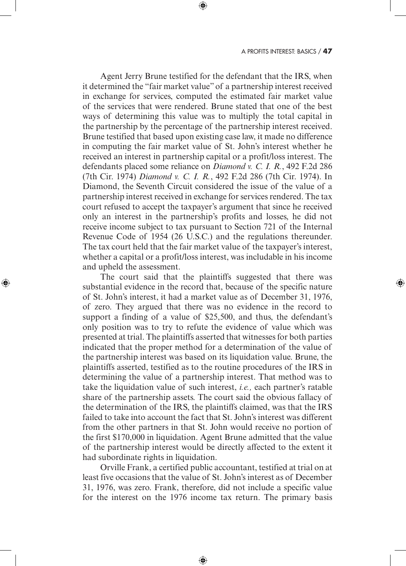Agent Jerry Brune testified for the defendant that the IRS, when it determined the "fair market value" of a partnership interest received in exchange for services, computed the estimated fair market value of the services that were rendered. Brune stated that one of the best ways of determining this value was to multiply the total capital in the partnership by the percentage of the partnership interest received. Brune testified that based upon existing case law, it made no difference in computing the fair market value of St. John's interest whether he received an interest in partnership capital or a profit/loss interest. The defendants placed some reliance on *Diamond v. C. I. R.*, 492 F.2d 286 (7th Cir. 1974) *Diamond v. C. I. R.*, 492 F.2d 286 (7th Cir. 1974). In Diamond, the Seventh Circuit considered the issue of the value of a partnership interest received in exchange for services rendered. The tax court refused to accept the taxpayer's argument that since he received only an interest in the partnership's profits and losses, he did not receive income subject to tax pursuant to Section 721 of the Internal Revenue Code of 1954 (26 U.S.C.) and the regulations thereunder. The tax court held that the fair market value of the taxpayer's interest, whether a capital or a profit/loss interest, was includable in his income and upheld the assessment.

 $\textcircled{\scriptsize{+}}$ 

The court said that the plaintiffs suggested that there was substantial evidence in the record that, because of the specific nature of St. John's interest, it had a market value as of December 31, 1976, of zero. They argued that there was no evidence in the record to support a finding of a value of \$25,500, and thus, the defendant's only position was to try to refute the evidence of value which was presented at trial. The plaintiffs asserted that witnesses for both parties indicated that the proper method for a determination of the value of the partnership interest was based on its liquidation value. Brune, the plaintiffs asserted, testified as to the routine procedures of the IRS in determining the value of a partnership interest. That method was to take the liquidation value of such interest, *i.e.,* each partner's ratable share of the partnership assets. The court said the obvious fallacy of the determination of the IRS, the plaintiffs claimed, was that the IRS failed to take into account the fact that St. John's interest was different from the other partners in that St. John would receive no portion of the first \$170,000 in liquidation. Agent Brune admitted that the value of the partnership interest would be directly affected to the extent it had subordinate rights in liquidation.

⊕

Orville Frank, a certified public accountant, testified at trial on at least five occasions that the value of St. John's interest as of December 31, 1976, was zero. Frank, therefore, did not include a specific value for the interest on the 1976 income tax return. The primary basis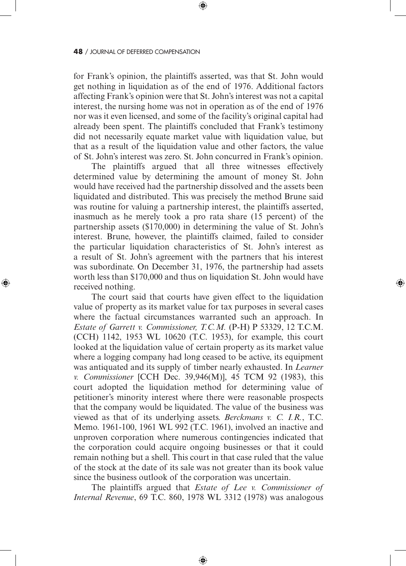⊕

for Frank's opinion, the plaintiffs asserted, was that St. John would get nothing in liquidation as of the end of 1976. Additional factors affecting Frank's opinion were that St. John's interest was not a capital interest, the nursing home was not in operation as of the end of 1976 nor was it even licensed, and some of the facility's original capital had already been spent. The plaintiffs concluded that Frank's testimony did not necessarily equate market value with liquidation value, but that as a result of the liquidation value and other factors, the value of St. John's interest was zero. St. John concurred in Frank's opinion.

⊕

The plaintiffs argued that all three witnesses effectively determined value by determining the amount of money St. John would have received had the partnership dissolved and the assets been liquidated and distributed. This was precisely the method Brune said was routine for valuing a partnership interest, the plaintiffs asserted, inasmuch as he merely took a pro rata share (15 percent) of the partnership assets (\$170,000) in determining the value of St. John's interest. Brune, however, the plaintiffs claimed, failed to consider the particular liquidation characteristics of St. John's interest as a result of St. John's agreement with the partners that his interest was subordinate. On December 31, 1976, the partnership had assets worth less than \$170,000 and thus on liquidation St. John would have received nothing.

⊕

The court said that courts have given effect to the liquidation value of property as its market value for tax purposes in several cases where the factual circumstances warranted such an approach. In *Estate of Garrett v. Commissioner, T.C.M.* (P-H) P 53329, 12 T.C.M. (CCH) 1142, 1953 WL 10620 (T.C. 1953), for example, this court looked at the liquidation value of certain property as its market value where a logging company had long ceased to be active, its equipment was antiquated and its supply of timber nearly exhausted. In *Learner v. Commissioner* [CCH Dec. 39,946(M)], 45 TCM 92 (1983), this court adopted the liquidation method for determining value of petitioner's minority interest where there were reasonable prospects that the company would be liquidated. The value of the business was viewed as that of its underlying assets. *Berckmans v. C. I.R.*, T.C. Memo. 1961-100, 1961 WL 992 (T.C. 1961), involved an inactive and unproven corporation where numerous contingencies indicated that the corporation could acquire ongoing businesses or that it could remain nothing but a shell. This court in that case ruled that the value of the stock at the date of its sale was not greater than its book value since the business outlook of the corporation was uncertain.

The plaintiffs argued that *Estate of Lee v. Commissioner of Internal Revenue*, 69 T.C. 860, 1978 WL 3312 (1978) was analogous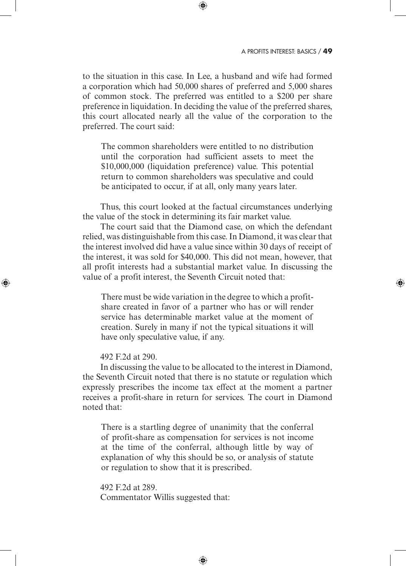to the situation in this case. In Lee, a husband and wife had formed a corporation which had 50,000 shares of preferred and 5,000 shares of common stock. The preferred was entitled to a \$200 per share preference in liquidation. In deciding the value of the preferred shares, this court allocated nearly all the value of the corporation to the preferred. The court said:

⊕

The common shareholders were entitled to no distribution until the corporation had sufficient assets to meet the \$10,000,000 (liquidation preference) value. This potential return to common shareholders was speculative and could be anticipated to occur, if at all, only many years later.

Thus, this court looked at the factual circumstances underlying the value of the stock in determining its fair market value.

The court said that the Diamond case, on which the defendant relied, was distinguishable from this case. In Diamond, it was clear that the interest involved did have a value since within 30 days of receipt of the interest, it was sold for \$40,000. This did not mean, however, that all profit interests had a substantial market value. In discussing the value of a profit interest, the Seventh Circuit noted that:

There must be wide variation in the degree to which a profitshare created in favor of a partner who has or will render service has determinable market value at the moment of creation. Surely in many if not the typical situations it will have only speculative value, if any.

492 F.2d at 290.

⊕

In discussing the value to be allocated to the interest in Diamond, the Seventh Circuit noted that there is no statute or regulation which expressly prescribes the income tax effect at the moment a partner receives a profit-share in return for services. The court in Diamond noted that:

There is a startling degree of unanimity that the conferral of profit-share as compensation for services is not income at the time of the conferral, although little by way of explanation of why this should be so, or analysis of statute or regulation to show that it is prescribed.

♠

492 F.2d at 289. Commentator Willis suggested that: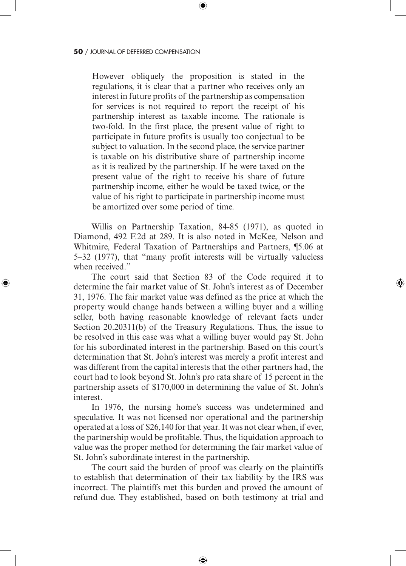⊕

However obliquely the proposition is stated in the regulations, it is clear that a partner who receives only an interest in future profits of the partnership as compensation for services is not required to report the receipt of his partnership interest as taxable income. The rationale is two-fold. In the first place, the present value of right to participate in future profits is usually too conjectual to be subject to valuation. In the second place, the service partner is taxable on his distributive share of partnership income as it is realized by the partnership. If he were taxed on the present value of the right to receive his share of future partnership income, either he would be taxed twice, or the value of his right to participate in partnership income must be amortized over some period of time.

⊕

Willis on Partnership Taxation, 84-85 (1971), as quoted in Diamond, 492 F.2d at 289. It is also noted in McKee, Nelson and Whitmire, Federal Taxation of Partnerships and Partners, ¶5.06 at 5–32 (1977), that "many profit interests will be virtually valueless when received."

⊕

The court said that Section 83 of the Code required it to determine the fair market value of St. John's interest as of December 31, 1976. The fair market value was defined as the price at which the property would change hands between a willing buyer and a willing seller, both having reasonable knowledge of relevant facts under Section 20.20311(b) of the Treasury Regulations. Thus, the issue to be resolved in this case was what a willing buyer would pay St. John for his subordinated interest in the partnership. Based on this court's determination that St. John's interest was merely a profit interest and was different from the capital interests that the other partners had, the court had to look beyond St. John's pro rata share of 15 percent in the partnership assets of \$170,000 in determining the value of St. John's interest.

In 1976, the nursing home's success was undetermined and speculative. It was not licensed nor operational and the partnership operated at a loss of \$26,140 for that year. It was not clear when, if ever, the partnership would be profitable. Thus, the liquidation approach to value was the proper method for determining the fair market value of St. John's subordinate interest in the partnership.

The court said the burden of proof was clearly on the plaintiffs to establish that determination of their tax liability by the IRS was incorrect. The plaintiffs met this burden and proved the amount of refund due. They established, based on both testimony at trial and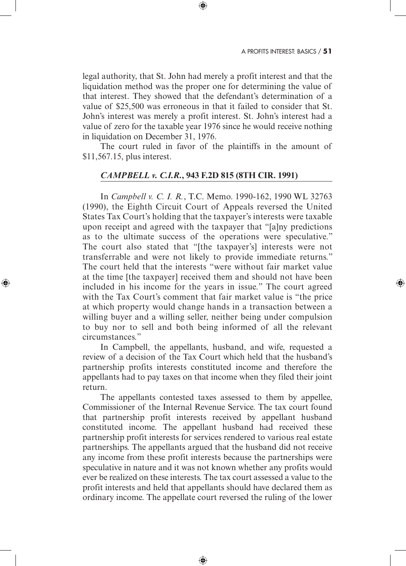legal authority, that St. John had merely a profit interest and that the liquidation method was the proper one for determining the value of that interest. They showed that the defendant's determination of a value of \$25,500 was erroneous in that it failed to consider that St. John's interest was merely a profit interest. St. John's interest had a value of zero for the taxable year 1976 since he would receive nothing in liquidation on December 31, 1976.

⊕

The court ruled in favor of the plaintiffs in the amount of \$11,567.15, plus interest.

## *CAMPBELL v. C.I.R.***, 943 F.2D 815 (8TH CIR. 1991)**

In *Campbell v. C. I. R.*, T.C. Memo. 1990-162, 1990 WL 32763 (1990), the Eighth Circuit Court of Appeals reversed the United States Tax Court's holding that the taxpayer's interests were taxable upon receipt and agreed with the taxpayer that "[a]ny predictions as to the ultimate success of the operations were speculative." The court also stated that "[the taxpayer's] interests were not transferrable and were not likely to provide immediate returns." The court held that the interests "were without fair market value at the time [the taxpayer] received them and should not have been included in his income for the years in issue." The court agreed with the Tax Court's comment that fair market value is "the price at which property would change hands in a transaction between a willing buyer and a willing seller, neither being under compulsion to buy nor to sell and both being informed of all the relevant circumstances."

⊕

In Campbell, the appellants, husband, and wife, requested a review of a decision of the Tax Court which held that the husband's partnership profits interests constituted income and therefore the appellants had to pay taxes on that income when they filed their joint return.

The appellants contested taxes assessed to them by appellee, Commissioner of the Internal Revenue Service. The tax court found that partnership profit interests received by appellant husband constituted income. The appellant husband had received these partnership profit interests for services rendered to various real estate partnerships. The appellants argued that the husband did not receive any income from these profit interests because the partnerships were speculative in nature and it was not known whether any profits would ever be realized on these interests. The tax court assessed a value to the profit interests and held that appellants should have declared them as ordinary income. The appellate court reversed the ruling of the lower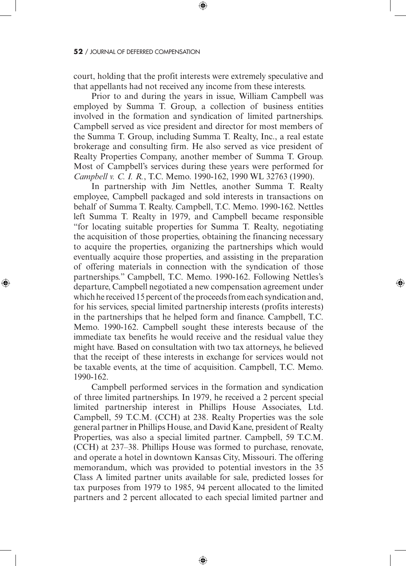⊕

court, holding that the profit interests were extremely speculative and that appellants had not received any income from these interests.

⊕

Prior to and during the years in issue, William Campbell was employed by Summa T. Group, a collection of business entities involved in the formation and syndication of limited partnerships. Campbell served as vice president and director for most members of the Summa T. Group, including Summa T. Realty, Inc., a real estate brokerage and consulting firm. He also served as vice president of Realty Properties Company, another member of Summa T. Group. Most of Campbell's services during these years were performed for *Campbell v. C. I. R.*, T.C. Memo. 1990-162, 1990 WL 32763 (1990).

In partnership with Jim Nettles, another Summa T. Realty employee, Campbell packaged and sold interests in transactions on behalf of Summa T. Realty. Campbell, T.C. Memo. 1990-162. Nettles left Summa T. Realty in 1979, and Campbell became responsible "for locating suitable properties for Summa T. Realty, negotiating the acquisition of those properties, obtaining the financing necessary to acquire the properties, organizing the partnerships which would eventually acquire those properties, and assisting in the preparation of offering materials in connection with the syndication of those partnerships." Campbell, T.C. Memo. 1990-162. Following Nettles's departure, Campbell negotiated a new compensation agreement under which he received 15 percent of the proceeds from each syndication and, for his services, special limited partnership interests (profits interests) in the partnerships that he helped form and finance. Campbell, T.C. Memo. 1990-162. Campbell sought these interests because of the immediate tax benefits he would receive and the residual value they might have. Based on consultation with two tax attorneys, he believed that the receipt of these interests in exchange for services would not be taxable events, at the time of acquisition. Campbell, T.C. Memo. 1990-162.

⊕

Campbell performed services in the formation and syndication of three limited partnerships. In 1979, he received a 2 percent special limited partnership interest in Phillips House Associates, Ltd. Campbell, 59 T.C.M. (CCH) at 238. Realty Properties was the sole general partner in Phillips House, and David Kane, president of Realty Properties, was also a special limited partner. Campbell, 59 T.C.M. (CCH) at 237–38. Phillips House was formed to purchase, renovate, and operate a hotel in downtown Kansas City, Missouri. The offering memorandum, which was provided to potential investors in the 35 Class A limited partner units available for sale, predicted losses for tax purposes from 1979 to 1985, 94 percent allocated to the limited partners and 2 percent allocated to each special limited partner and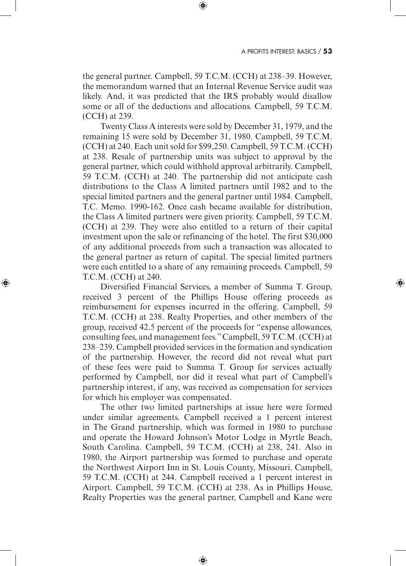the general partner. Campbell, 59 T.C.M. (CCH) at 238–39. However, the memorandum warned that an Internal Revenue Service audit was likely. And, it was predicted that the IRS probably would disallow some or all of the deductions and allocations. Campbell, 59 T.C.M. (CCH) at 239.

⊕

Twenty Class A interests were sold by December 31, 1979, and the remaining 15 were sold by December 31, 1980. Campbell, 59 T.C.M. (CCH) at 240. Each unit sold for \$99,250. Campbell, 59 T.C.M. (CCH) at 238. Resale of partnership units was subject to approval by the general partner, which could withhold approval arbitrarily. Campbell, 59 T.C.M. (CCH) at 240. The partnership did not anticipate cash distributions to the Class A limited partners until 1982 and to the special limited partners and the general partner until 1984. Campbell, T.C. Memo. 1990-162. Once cash became available for distribution, the Class A limited partners were given priority. Campbell, 59 T.C.M. (CCH) at 239. They were also entitled to a return of their capital investment upon the sale or refinancing of the hotel. The first \$30,000 of any additional proceeds from such a transaction was allocated to the general partner as return of capital. The special limited partners were each entitled to a share of any remaining proceeds. Campbell, 59 T.C.M. (CCH) at 240.

Diversified Financial Services, a member of Summa T. Group, received 3 percent of the Phillips House offering proceeds as reimbursement for expenses incurred in the offering. Campbell, 59 T.C.M. (CCH) at 238. Realty Properties, and other members of the group, received 42.5 percent of the proceeds for "expense allowances, consulting fees, and management fees." Campbell, 59 T.C.M. (CCH) at 238–239. Campbell provided services in the formation and syndication of the partnership. However, the record did not reveal what part of these fees were paid to Summa T. Group for services actually performed by Campbell, nor did it reveal what part of Campbell's partnership interest, if any, was received as compensation for services for which his employer was compensated.

⊕

The other two limited partnerships at issue here were formed under similar agreements. Campbell received a 1 percent interest in The Grand partnership, which was formed in 1980 to purchase and operate the Howard Johnson's Motor Lodge in Myrtle Beach, South Carolina. Campbell, 59 T.C.M. (CCH) at 238, 241. Also in 1980, the Airport partnership was formed to purchase and operate the Northwest Airport Inn in St. Louis County, Missouri. Campbell, 59 T.C.M. (CCH) at 244. Campbell received a 1 percent interest in Airport. Campbell, 59 T.C.M. (CCH) at 238. As in Phillips House, Realty Properties was the general partner, Campbell and Kane were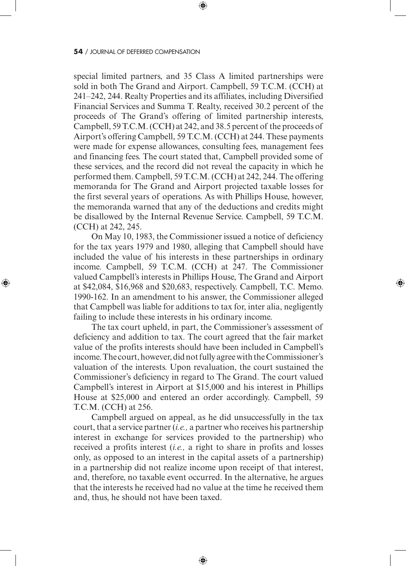⊕

special limited partners, and 35 Class A limited partnerships were sold in both The Grand and Airport. Campbell, 59 T.C.M. (CCH) at 241–242, 244. Realty Properties and its affiliates, including Diversified Financial Services and Summa T. Realty, received 30.2 percent of the proceeds of The Grand's offering of limited partnership interests, Campbell, 59 T.C.M. (CCH) at 242, and 38.5 percent of the proceeds of Airport's offering Campbell, 59 T.C.M. (CCH) at 244. These payments were made for expense allowances, consulting fees, management fees and financing fees. The court stated that, Campbell provided some of these services, and the record did not reveal the capacity in which he performed them. Campbell, 59 T.C.M. (CCH) at 242, 244. The offering memoranda for The Grand and Airport projected taxable losses for the first several years of operations. As with Phillips House, however, the memoranda warned that any of the deductions and credits might be disallowed by the Internal Revenue Service. Campbell, 59 T.C.M. (CCH) at 242, 245.

⊕

On May 10, 1983, the Commissioner issued a notice of deficiency for the tax years 1979 and 1980, alleging that Campbell should have included the value of his interests in these partnerships in ordinary income. Campbell, 59 T.C.M. (CCH) at 247. The Commissioner valued Campbell's interests in Phillips House, The Grand and Airport at \$42,084, \$16,968 and \$20,683, respectively. Campbell, T.C. Memo. 1990-162. In an amendment to his answer, the Commissioner alleged that Campbell was liable for additions to tax for, inter alia, negligently failing to include these interests in his ordinary income.

⊕

The tax court upheld, in part, the Commissioner's assessment of deficiency and addition to tax. The court agreed that the fair market value of the profits interests should have been included in Campbell's income. The court, however, did not fully agree with the Commissioner's valuation of the interests. Upon revaluation, the court sustained the Commissioner's deficiency in regard to The Grand. The court valued Campbell's interest in Airport at \$15,000 and his interest in Phillips House at \$25,000 and entered an order accordingly. Campbell, 59 T.C.M. (CCH) at 256.

Campbell argued on appeal, as he did unsuccessfully in the tax court, that a service partner (*i.e.,* a partner who receives his partnership interest in exchange for services provided to the partnership) who received a profits interest (*i.e.,* a right to share in profits and losses only, as opposed to an interest in the capital assets of a partnership) in a partnership did not realize income upon receipt of that interest, and, therefore, no taxable event occurred. In the alternative, he argues that the interests he received had no value at the time he received them and, thus, he should not have been taxed.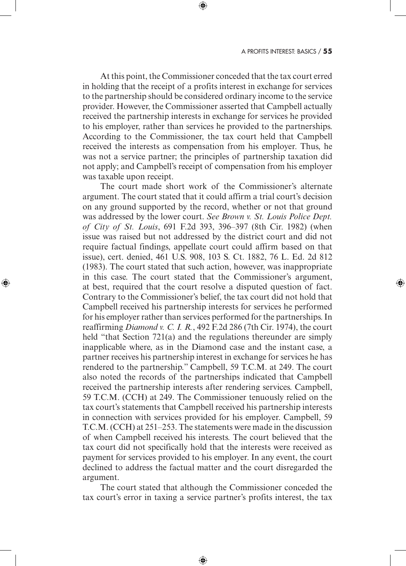At this point, the Commissioner conceded that the tax court erred in holding that the receipt of a profits interest in exchange for services to the partnership should be considered ordinary income to the service provider. However, the Commissioner asserted that Campbell actually received the partnership interests in exchange for services he provided to his employer, rather than services he provided to the partnerships. According to the Commissioner, the tax court held that Campbell received the interests as compensation from his employer. Thus, he was not a service partner; the principles of partnership taxation did not apply; and Campbell's receipt of compensation from his employer was taxable upon receipt.

 $\textcircled{\scriptsize{+}}$ 

The court made short work of the Commissioner's alternate argument. The court stated that it could affirm a trial court's decision on any ground supported by the record, whether or not that ground was addressed by the lower court. *See Brown v. St. Louis Police Dept. of City of St. Louis*, 691 F.2d 393, 396–397 (8th Cir. 1982) (when issue was raised but not addressed by the district court and did not require factual findings, appellate court could affirm based on that issue), cert. denied, 461 U.S. 908, 103 S. Ct. 1882, 76 L. Ed. 2d 812 (1983). The court stated that such action, however, was inappropriate in this case. The court stated that the Commissioner's argument, at best, required that the court resolve a disputed question of fact. Contrary to the Commissioner's belief, the tax court did not hold that Campbell received his partnership interests for services he performed for his employer rather than services performed for the partnerships. In reaffirming *Diamond v. C. I. R.*, 492 F.2d 286 (7th Cir. 1974), the court held "that Section 721(a) and the regulations thereunder are simply inapplicable where, as in the Diamond case and the instant case, a partner receives his partnership interest in exchange for services he has rendered to the partnership." Campbell, 59 T.C.M. at 249. The court also noted the records of the partnerships indicated that Campbell received the partnership interests after rendering services. Campbell, 59 T.C.M. (CCH) at 249. The Commissioner tenuously relied on the tax court's statements that Campbell received his partnership interests in connection with services provided for his employer. Campbell, 59 T.C.M. (CCH) at 251–253. The statements were made in the discussion of when Campbell received his interests. The court believed that the tax court did not specifically hold that the interests were received as payment for services provided to his employer. In any event, the court declined to address the factual matter and the court disregarded the argument.

⊕

The court stated that although the Commissioner conceded the tax court's error in taxing a service partner's profits interest, the tax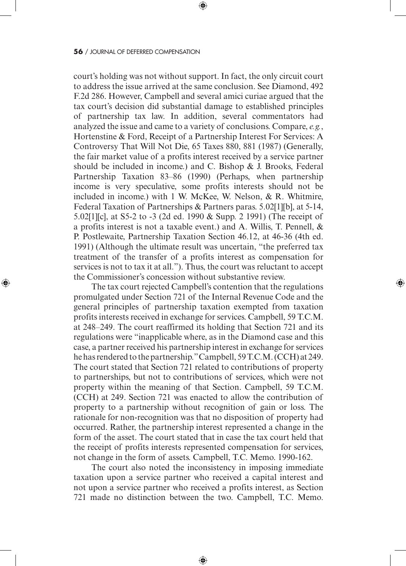⊕

court's holding was not without support. In fact, the only circuit court to address the issue arrived at the same conclusion. See Diamond, 492 F.2d 286. However, Campbell and several amici curiae argued that the tax court's decision did substantial damage to established principles of partnership tax law. In addition, several commentators had analyzed the issue and came to a variety of conclusions. Compare, *e.g.*, Hortenstine & Ford, Receipt of a Partnership Interest For Services: A Controversy That Will Not Die, 65 Taxes 880, 881 (1987) (Generally, the fair market value of a profits interest received by a service partner should be included in income.) and C. Bishop & J. Brooks, Federal Partnership Taxation 83–86 (1990) (Perhaps, when partnership income is very speculative, some profits interests should not be included in income.) with 1 W. McKee, W. Nelson, & R. Whitmire, Federal Taxation of Partnerships & Partners paras. 5.02[1][b], at 5-14, 5.02[1][c], at S5-2 to -3 (2d ed. 1990 & Supp. 2 1991) (The receipt of a profits interest is not a taxable event.) and A. Willis, T. Pennell, & P. Postlewaite, Partnership Taxation Section 46.12, at 46-36 (4th ed. 1991) (Although the ultimate result was uncertain, "the preferred tax treatment of the transfer of a profits interest as compensation for services is not to tax it at all."). Thus, the court was reluctant to accept the Commissioner's concession without substantive review.

⊕

The tax court rejected Campbell's contention that the regulations promulgated under Section 721 of the Internal Revenue Code and the general principles of partnership taxation exempted from taxation profits interests received in exchange for services. Campbell, 59 T.C.M. at 248–249. The court reaffirmed its holding that Section 721 and its regulations were "inapplicable where, as in the Diamond case and this case, a partner received his partnership interest in exchange for services he has rendered to the partnership." Campbell, 59 T.C.M. (CCH) at 249. The court stated that Section 721 related to contributions of property to partnerships, but not to contributions of services, which were not property within the meaning of that Section. Campbell, 59 T.C.M. (CCH) at 249. Section 721 was enacted to allow the contribution of property to a partnership without recognition of gain or loss. The rationale for non-recognition was that no disposition of property had occurred. Rather, the partnership interest represented a change in the form of the asset. The court stated that in case the tax court held that the receipt of profits interests represented compensation for services, not change in the form of assets. Campbell, T.C. Memo. 1990-162.

⊕

The court also noted the inconsistency in imposing immediate taxation upon a service partner who received a capital interest and not upon a service partner who received a profits interest, as Section 721 made no distinction between the two. Campbell, T.C. Memo.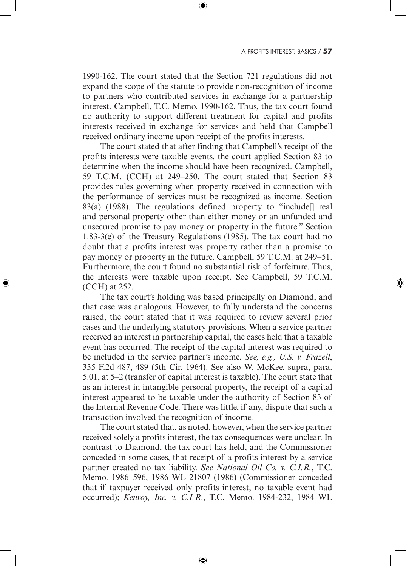1990-162. The court stated that the Section 721 regulations did not expand the scope of the statute to provide non-recognition of income to partners who contributed services in exchange for a partnership interest. Campbell, T.C. Memo. 1990-162. Thus, the tax court found no authority to support different treatment for capital and profits interests received in exchange for services and held that Campbell received ordinary income upon receipt of the profits interests.

⊕

The court stated that after finding that Campbell's receipt of the profits interests were taxable events, the court applied Section 83 to determine when the income should have been recognized. Campbell, 59 T.C.M. (CCH) at 249–250. The court stated that Section 83 provides rules governing when property received in connection with the performance of services must be recognized as income. Section 83(a) (1988). The regulations defined property to "include[] real and personal property other than either money or an unfunded and unsecured promise to pay money or property in the future." Section 1.83-3(e) of the Treasury Regulations (1985). The tax court had no doubt that a profits interest was property rather than a promise to pay money or property in the future. Campbell, 59 T.C.M. at 249–51. Furthermore, the court found no substantial risk of forfeiture. Thus, the interests were taxable upon receipt. See Campbell, 59 T.C.M. (CCH) at 252.

⊕

The tax court's holding was based principally on Diamond, and that case was analogous. However, to fully understand the concerns raised, the court stated that it was required to review several prior cases and the underlying statutory provisions. When a service partner received an interest in partnership capital, the cases held that a taxable event has occurred. The receipt of the capital interest was required to be included in the service partner's income. *See, e.g., U.S. v. Frazell*, 335 F.2d 487, 489 (5th Cir. 1964). See also W. McKee, supra, para. 5.01, at 5–2 (transfer of capital interest is taxable). The court state that as an interest in intangible personal property, the receipt of a capital interest appeared to be taxable under the authority of Section 83 of the Internal Revenue Code. There was little, if any, dispute that such a transaction involved the recognition of income.

The court stated that, as noted, however, when the service partner received solely a profits interest, the tax consequences were unclear. In contrast to Diamond, the tax court has held, and the Commissioner conceded in some cases, that receipt of a profits interest by a service partner created no tax liability. *See National Oil Co. v. C.I.R.*, T.C. Memo. 1986–596, 1986 WL 21807 (1986) (Commissioner conceded that if taxpayer received only profits interest, no taxable event had occurred); *Kenroy, Inc. v. C.I.R*., T.C. Memo. 1984-232, 1984 WL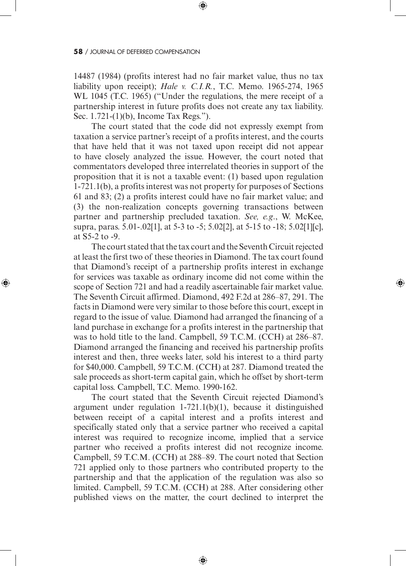⊕

14487 (1984) (profits interest had no fair market value, thus no tax liability upon receipt); *Hale v. C.I.R.*, T.C. Memo. 1965-274, 1965 WL 1045 (T.C. 1965) ("Under the regulations, the mere receipt of a partnership interest in future profits does not create any tax liability. Sec. 1.721-(1)(b), Income Tax Regs.").

⊕

The court stated that the code did not expressly exempt from taxation a service partner's receipt of a profits interest, and the courts that have held that it was not taxed upon receipt did not appear to have closely analyzed the issue. However, the court noted that commentators developed three interrelated theories in support of the proposition that it is not a taxable event: (1) based upon regulation 1-721.1(b), a profits interest was not property for purposes of Sections 61 and 83; (2) a profits interest could have no fair market value; and (3) the non-realization concepts governing transactions between partner and partnership precluded taxation. *See, e.g*., W. McKee, supra, paras. 5.01-.02[1], at 5-3 to -5; 5.02[2], at 5-15 to -18; 5.02[1][c], at S5-2 to -9.

The court stated that the tax court and the Seventh Circuit rejected at least the first two of these theories in Diamond. The tax court found that Diamond's receipt of a partnership profits interest in exchange for services was taxable as ordinary income did not come within the scope of Section 721 and had a readily ascertainable fair market value. The Seventh Circuit affirmed. Diamond, 492 F.2d at 286–87, 291. The facts in Diamond were very similar to those before this court, except in regard to the issue of value. Diamond had arranged the financing of a land purchase in exchange for a profits interest in the partnership that was to hold title to the land. Campbell, 59 T.C.M. (CCH) at 286–87. Diamond arranged the financing and received his partnership profits interest and then, three weeks later, sold his interest to a third party for \$40,000. Campbell, 59 T.C.M. (CCH) at 287. Diamond treated the sale proceeds as short-term capital gain, which he offset by short-term capital loss. Campbell, T.C. Memo. 1990-162.

⊕

The court stated that the Seventh Circuit rejected Diamond's argument under regulation 1-721.1(b)(1), because it distinguished between receipt of a capital interest and a profits interest and specifically stated only that a service partner who received a capital interest was required to recognize income, implied that a service partner who received a profits interest did not recognize income. Campbell, 59 T.C.M. (CCH) at 288–89. The court noted that Section 721 applied only to those partners who contributed property to the partnership and that the application of the regulation was also so limited. Campbell, 59 T.C.M. (CCH) at 288. After considering other published views on the matter, the court declined to interpret the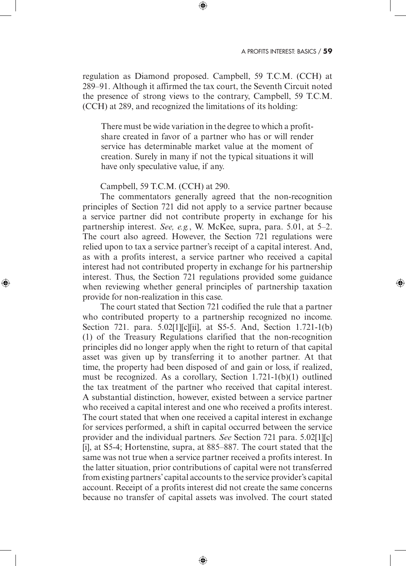regulation as Diamond proposed. Campbell, 59 T.C.M. (CCH) at 289–91. Although it affirmed the tax court, the Seventh Circuit noted the presence of strong views to the contrary, Campbell, 59 T.C.M. (CCH) at 289, and recognized the limitations of its holding:

 $\textcircled{\scriptsize{+}}$ 

There must be wide variation in the degree to which a profitshare created in favor of a partner who has or will render service has determinable market value at the moment of creation. Surely in many if not the typical situations it will have only speculative value, if any.

## Campbell, 59 T.C.M. (CCH) at 290.

⊕

The commentators generally agreed that the non-recognition principles of Section 721 did not apply to a service partner because a service partner did not contribute property in exchange for his partnership interest. *See, e.g.*, W. McKee, supra, para. 5.01, at 5–2. The court also agreed. However, the Section 721 regulations were relied upon to tax a service partner's receipt of a capital interest. And, as with a profits interest, a service partner who received a capital interest had not contributed property in exchange for his partnership interest. Thus, the Section 721 regulations provided some guidance when reviewing whether general principles of partnership taxation provide for non-realization in this case.

The court stated that Section 721 codified the rule that a partner who contributed property to a partnership recognized no income. Section 721. para. 5.02[1][c][ii], at S5-5. And, Section 1.721-1(b) (1) of the Treasury Regulations clarified that the non-recognition principles did no longer apply when the right to return of that capital asset was given up by transferring it to another partner. At that time, the property had been disposed of and gain or loss, if realized, must be recognized. As a corollary, Section 1.721-1(b)(1) outlined the tax treatment of the partner who received that capital interest. A substantial distinction, however, existed between a service partner who received a capital interest and one who received a profits interest. The court stated that when one received a capital interest in exchange for services performed, a shift in capital occurred between the service provider and the individual partners. *See* Section 721 para. 5.02[1][c] [i], at S5-4; Hortenstine, supra, at 885–887. The court stated that the same was not true when a service partner received a profits interest. In the latter situation, prior contributions of capital were not transferred from existing partners' capital accounts to the service provider's capital account. Receipt of a profits interest did not create the same concerns because no transfer of capital assets was involved. The court stated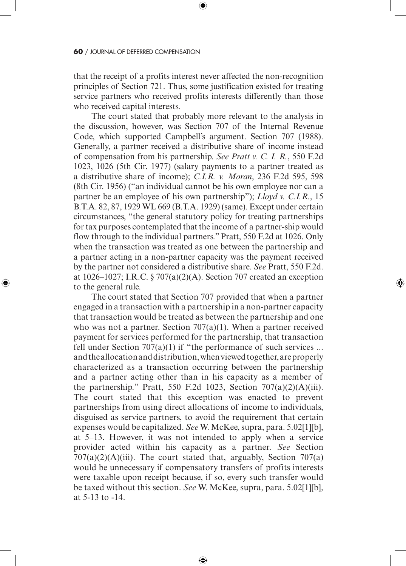⊕

that the receipt of a profits interest never affected the non-recognition principles of Section 721. Thus, some justification existed for treating service partners who received profits interests differently than those who received capital interests.

⊕

The court stated that probably more relevant to the analysis in the discussion, however, was Section 707 of the Internal Revenue Code, which supported Campbell's argument. Section 707 (1988). Generally, a partner received a distributive share of income instead of compensation from his partnership. *See Pratt v. C. I. R.*, 550 F.2d 1023, 1026 (5th Cir. 1977) (salary payments to a partner treated as a distributive share of income); *C.I.R. v. Moran*, 236 F.2d 595, 598 (8th Cir. 1956) ("an individual cannot be his own employee nor can a partner be an employee of his own partnership"); *Lloyd v. C.I.R.*, 15 B.T.A. 82, 87, 1929 WL 669 (B.T.A. 1929) (same). Except under certain circumstances, "the general statutory policy for treating partnerships for tax purposes contemplated that the income of a partner-ship would flow through to the individual partners." Pratt, 550 F.2d at 1026. Only when the transaction was treated as one between the partnership and a partner acting in a non-partner capacity was the payment received by the partner not considered a distributive share. *See* Pratt, 550 F.2d. at 1026–1027; I.R.C. § 707(a)(2)(A). Section 707 created an exception to the general rule.

⊕

The court stated that Section 707 provided that when a partner engaged in a transaction with a partnership in a non-partner capacity that transaction would be treated as between the partnership and one who was not a partner. Section  $707(a)(1)$ . When a partner received payment for services performed for the partnership, that transaction fell under Section  $707(a)(1)$  if "the performance of such services ... and the allocation and distribution, when viewed together, are properly characterized as a transaction occurring between the partnership and a partner acting other than in his capacity as a member of the partnership." Pratt, 550 F.2d 1023, Section  $707(a)(2)(A)(iii)$ . The court stated that this exception was enacted to prevent partnerships from using direct allocations of income to individuals, disguised as service partners, to avoid the requirement that certain expenses would be capitalized. *See* W. McKee, supra, para. 5.02[1][b], at 5–13. However, it was not intended to apply when a service provider acted within his capacity as a partner. *See* Section  $707(a)(2)(A)(iii)$ . The court stated that, arguably, Section  $707(a)$ would be unnecessary if compensatory transfers of profits interests were taxable upon receipt because, if so, every such transfer would be taxed without this section. *See* W. McKee, supra, para. 5.02[1][b], at 5-13 to -14.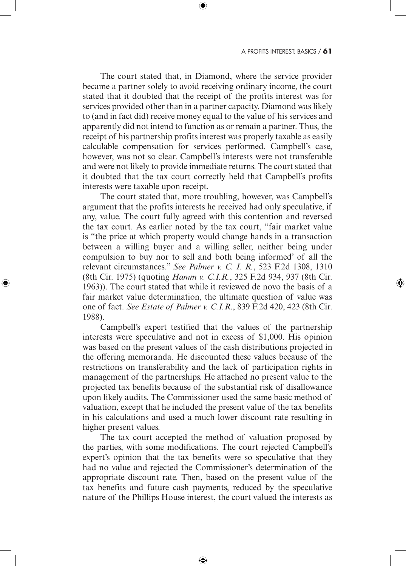The court stated that, in Diamond, where the service provider became a partner solely to avoid receiving ordinary income, the court stated that it doubted that the receipt of the profits interest was for services provided other than in a partner capacity. Diamond was likely to (and in fact did) receive money equal to the value of his services and apparently did not intend to function as or remain a partner. Thus, the receipt of his partnership profits interest was properly taxable as easily calculable compensation for services performed. Campbell's case, however, was not so clear. Campbell's interests were not transferable and were not likely to provide immediate returns. The court stated that it doubted that the tax court correctly held that Campbell's profits interests were taxable upon receipt.

⊕

The court stated that, more troubling, however, was Campbell's argument that the profits interests he received had only speculative, if any, value. The court fully agreed with this contention and reversed the tax court. As earlier noted by the tax court, "fair market value is "the price at which property would change hands in a transaction between a willing buyer and a willing seller, neither being under compulsion to buy nor to sell and both being informed' of all the relevant circumstances." *See Palmer v. C. I. R.*, 523 F.2d 1308, 1310 (8th Cir. 1975) (quoting *Hamm v. C.I.R.*, 325 F.2d 934, 937 (8th Cir. 1963)). The court stated that while it reviewed de novo the basis of a fair market value determination, the ultimate question of value was one of fact. *See Estate of Palmer v. C.I.R*., 839 F.2d 420, 423 (8th Cir. 1988).

⊕

Campbell's expert testified that the values of the partnership interests were speculative and not in excess of \$1,000. His opinion was based on the present values of the cash distributions projected in the offering memoranda. He discounted these values because of the restrictions on transferability and the lack of participation rights in management of the partnerships. He attached no present value to the projected tax benefits because of the substantial risk of disallowance upon likely audits. The Commissioner used the same basic method of valuation, except that he included the present value of the tax benefits in his calculations and used a much lower discount rate resulting in higher present values.

The tax court accepted the method of valuation proposed by the parties, with some modifications. The court rejected Campbell's expert's opinion that the tax benefits were so speculative that they had no value and rejected the Commissioner's determination of the appropriate discount rate. Then, based on the present value of the tax benefits and future cash payments, reduced by the speculative nature of the Phillips House interest, the court valued the interests as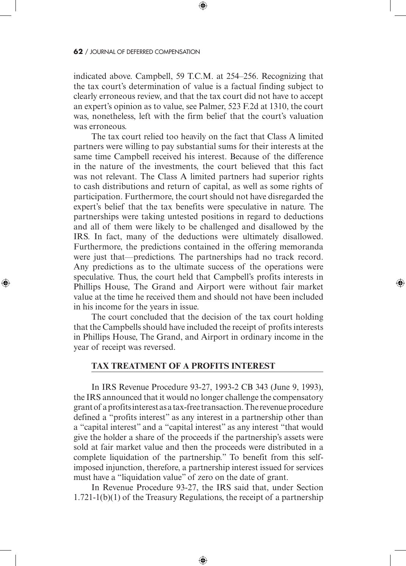⊕

indicated above. Campbell, 59 T.C.M. at 254–256. Recognizing that the tax court's determination of value is a factual finding subject to clearly erroneous review, and that the tax court did not have to accept an expert's opinion as to value, see Palmer, 523 F.2d at 1310, the court was, nonetheless, left with the firm belief that the court's valuation was erroneous.

⊕

The tax court relied too heavily on the fact that Class A limited partners were willing to pay substantial sums for their interests at the same time Campbell received his interest. Because of the difference in the nature of the investments, the court believed that this fact was not relevant. The Class A limited partners had superior rights to cash distributions and return of capital, as well as some rights of participation. Furthermore, the court should not have disregarded the expert's belief that the tax benefits were speculative in nature. The partnerships were taking untested positions in regard to deductions and all of them were likely to be challenged and disallowed by the IRS. In fact, many of the deductions were ultimately disallowed. Furthermore, the predictions contained in the offering memoranda were just that—predictions. The partnerships had no track record. Any predictions as to the ultimate success of the operations were speculative. Thus, the court held that Campbell's profits interests in Phillips House, The Grand and Airport were without fair market value at the time he received them and should not have been included in his income for the years in issue.

The court concluded that the decision of the tax court holding that the Campbells should have included the receipt of profits interests in Phillips House, The Grand, and Airport in ordinary income in the year of receipt was reversed.

⊕

# **TAX TREATMENT OF A PROFITS INTEREST**

In IRS Revenue Procedure 93-27, 1993-2 CB 343 (June 9, 1993), the IRS announced that it would no longer challenge the compensatory grant of a profits interest as a tax-free transaction. The revenue procedure defined a "profits interest" as any interest in a partnership other than a "capital interest" and a "capital interest" as any interest "that would give the holder a share of the proceeds if the partnership's assets were sold at fair market value and then the proceeds were distributed in a complete liquidation of the partnership." To benefit from this selfimposed injunction, therefore, a partnership interest issued for services must have a "liquidation value" of zero on the date of grant.

In Revenue Procedure 93-27, the IRS said that, under Section 1.721-1(b)(1) of the Treasury Regulations, the receipt of a partnership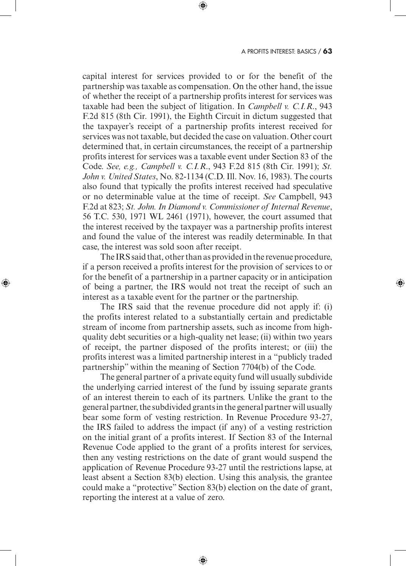capital interest for services provided to or for the benefit of the partnership was taxable as compensation. On the other hand, the issue of whether the receipt of a partnership profits interest for services was taxable had been the subject of litigation. In *Campbell v. C.I.R*., 943 F.2d 815 (8th Cir. 1991), the Eighth Circuit in dictum suggested that the taxpayer's receipt of a partnership profits interest received for services was not taxable, but decided the case on valuation. Other court determined that, in certain circumstances, the receipt of a partnership profits interest for services was a taxable event under Section 83 of the Code. *See, e.g., Campbell v. C.I.R*., 943 F.2d 815 (8th Cir. 1991); *St. John v. United States*, No. 82-1134 (C.D. Ill. Nov. 16, 1983). The courts also found that typically the profits interest received had speculative or no determinable value at the time of receipt. *See* Campbell, 943 F.2d at 823; *St. John. In Diamond v. Commissioner of Internal Revenue*, 56 T.C. 530, 1971 WL 2461 (1971), however, the court assumed that the interest received by the taxpayer was a partnership profits interest and found the value of the interest was readily determinable. In that case, the interest was sold soon after receipt.

⊕

The IRS said that, other than as provided in the revenue procedure, if a person received a profits interest for the provision of services to or for the benefit of a partnership in a partner capacity or in anticipation of being a partner, the IRS would not treat the receipt of such an interest as a taxable event for the partner or the partnership.

⊕

The IRS said that the revenue procedure did not apply if: (i) the profits interest related to a substantially certain and predictable stream of income from partnership assets, such as income from highquality debt securities or a high-quality net lease; (ii) within two years of receipt, the partner disposed of the profits interest; or (iii) the profits interest was a limited partnership interest in a "publicly traded partnership" within the meaning of Section 7704(b) of the Code.

The general partner of a private equity fund will usually subdivide the underlying carried interest of the fund by issuing separate grants of an interest therein to each of its partners. Unlike the grant to the general partner, the subdivided grants in the general partner will usually bear some form of vesting restriction. In Revenue Procedure 93-27, the IRS failed to address the impact (if any) of a vesting restriction on the initial grant of a profits interest. If Section 83 of the Internal Revenue Code applied to the grant of a profits interest for services, then any vesting restrictions on the date of grant would suspend the application of Revenue Procedure 93-27 until the restrictions lapse, at least absent a Section 83(b) election. Using this analysis, the grantee could make a "protective" Section 83(b) election on the date of grant, reporting the interest at a value of zero.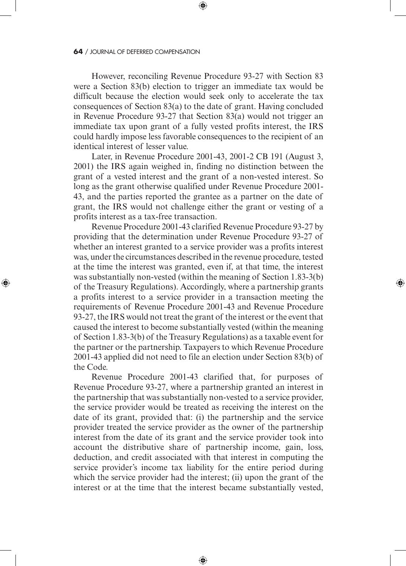⊕

However, reconciling Revenue Procedure 93-27 with Section 83 were a Section 83(b) election to trigger an immediate tax would be difficult because the election would seek only to accelerate the tax consequences of Section 83(a) to the date of grant. Having concluded in Revenue Procedure 93-27 that Section 83(a) would not trigger an immediate tax upon grant of a fully vested profits interest, the IRS could hardly impose less favorable consequences to the recipient of an identical interest of lesser value.

⊕

Later, in Revenue Procedure 2001-43, 2001-2 CB 191 (August 3, 2001) the IRS again weighed in, finding no distinction between the grant of a vested interest and the grant of a non-vested interest. So long as the grant otherwise qualified under Revenue Procedure 2001- 43, and the parties reported the grantee as a partner on the date of grant, the IRS would not challenge either the grant or vesting of a profits interest as a tax-free transaction.

Revenue Procedure 2001-43 clarified Revenue Procedure 93-27 by providing that the determination under Revenue Procedure 93-27 of whether an interest granted to a service provider was a profits interest was, under the circumstances described in the revenue procedure, tested at the time the interest was granted, even if, at that time, the interest was substantially non-vested (within the meaning of Section 1.83-3(b) of the Treasury Regulations). Accordingly, where a partnership grants a profits interest to a service provider in a transaction meeting the requirements of Revenue Procedure 2001-43 and Revenue Procedure 93-27, the IRS would not treat the grant of the interest or the event that caused the interest to become substantially vested (within the meaning of Section 1.83-3(b) of the Treasury Regulations) as a taxable event for the partner or the partnership. Taxpayers to which Revenue Procedure 2001-43 applied did not need to file an election under Section 83(b) of the Code.

⊕

Revenue Procedure 2001-43 clarified that, for purposes of Revenue Procedure 93-27, where a partnership granted an interest in the partnership that was substantially non-vested to a service provider, the service provider would be treated as receiving the interest on the date of its grant, provided that: (i) the partnership and the service provider treated the service provider as the owner of the partnership interest from the date of its grant and the service provider took into account the distributive share of partnership income, gain, loss, deduction, and credit associated with that interest in computing the service provider's income tax liability for the entire period during which the service provider had the interest; (ii) upon the grant of the interest or at the time that the interest became substantially vested,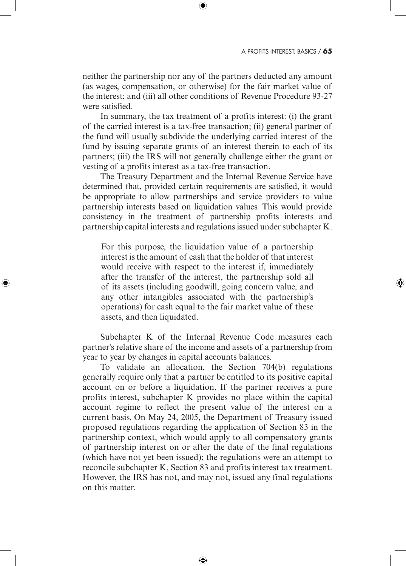neither the partnership nor any of the partners deducted any amount (as wages, compensation, or otherwise) for the fair market value of the interest; and (iii) all other conditions of Revenue Procedure 93-27 were satisfied.

⊕

In summary, the tax treatment of a profits interest: (i) the grant of the carried interest is a tax-free transaction; (ii) general partner of the fund will usually subdivide the underlying carried interest of the fund by issuing separate grants of an interest therein to each of its partners; (iii) the IRS will not generally challenge either the grant or vesting of a profits interest as a tax-free transaction.

The Treasury Department and the Internal Revenue Service have determined that, provided certain requirements are satisfied, it would be appropriate to allow partnerships and service providers to value partnership interests based on liquidation values. This would provide consistency in the treatment of partnership profits interests and partnership capital interests and regulations issued under subchapter K.

For this purpose, the liquidation value of a partnership interest is the amount of cash that the holder of that interest would receive with respect to the interest if, immediately after the transfer of the interest, the partnership sold all of its assets (including goodwill, going concern value, and any other intangibles associated with the partnership's operations) for cash equal to the fair market value of these assets, and then liquidated.

⊕

Subchapter K of the Internal Revenue Code measures each partner's relative share of the income and assets of a partnership from year to year by changes in capital accounts balances.

To validate an allocation, the Section 704(b) regulations generally require only that a partner be entitled to its positive capital account on or before a liquidation. If the partner receives a pure profits interest, subchapter K provides no place within the capital account regime to reflect the present value of the interest on a current basis. On May 24, 2005, the Department of Treasury issued proposed regulations regarding the application of Section 83 in the partnership context, which would apply to all compensatory grants of partnership interest on or after the date of the final regulations (which have not yet been issued); the regulations were an attempt to reconcile subchapter K, Section 83 and profits interest tax treatment. However, the IRS has not, and may not, issued any final regulations on this matter.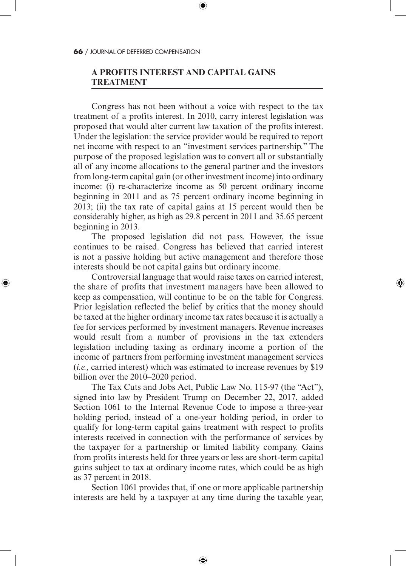# **A PROFITS INTEREST AND CAPITAL GAINS TREATMENT**

⊕

Congress has not been without a voice with respect to the tax treatment of a profits interest. In 2010, carry interest legislation was proposed that would alter current law taxation of the profits interest. Under the legislation: the service provider would be required to report net income with respect to an "investment services partnership." The purpose of the proposed legislation was to convert all or substantially all of any income allocations to the general partner and the investors from long-term capital gain (or other investment income) into ordinary income: (i) re-characterize income as 50 percent ordinary income beginning in 2011 and as 75 percent ordinary income beginning in 2013; (ii) the tax rate of capital gains at 15 percent would then be considerably higher, as high as 29.8 percent in 2011 and 35.65 percent beginning in 2013.

The proposed legislation did not pass. However, the issue continues to be raised. Congress has believed that carried interest is not a passive holding but active management and therefore those interests should be not capital gains but ordinary income.

⊕

Controversial language that would raise taxes on carried interest, the share of profits that investment managers have been allowed to keep as compensation, will continue to be on the table for Congress. Prior legislation reflected the belief by critics that the money should be taxed at the higher ordinary income tax rates because it is actually a fee for services performed by investment managers. Revenue increases would result from a number of provisions in the tax extenders legislation including taxing as ordinary income a portion of the income of partners from performing investment management services (*i.e.,* carried interest) which was estimated to increase revenues by \$19 billion over the 2010–2020 period.

The Tax Cuts and Jobs Act, Public Law No. 115-97 (the "Act"), signed into law by President Trump on December 22, 2017, added Section 1061 to the Internal Revenue Code to impose a three-year holding period, instead of a one-year holding period, in order to qualify for long-term capital gains treatment with respect to profits interests received in connection with the performance of services by the taxpayer for a partnership or limited liability company. Gains from profits interests held for three years or less are short-term capital gains subject to tax at ordinary income rates, which could be as high as 37 percent in 2018.

Section 1061 provides that, if one or more applicable partnership interests are held by a taxpayer at any time during the taxable year,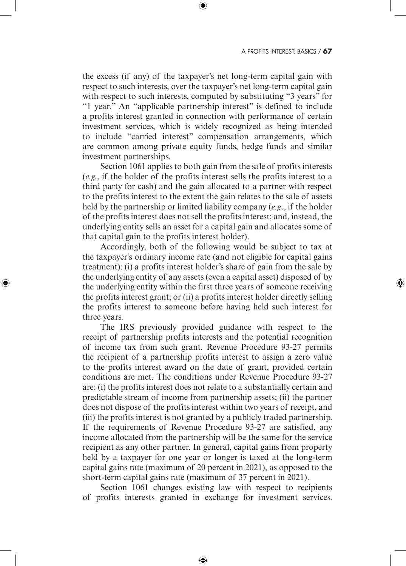the excess (if any) of the taxpayer's net long-term capital gain with respect to such interests, over the taxpayer's net long-term capital gain with respect to such interests, computed by substituting "3 years" for "1 year." An "applicable partnership interest" is defined to include a profits interest granted in connection with performance of certain investment services, which is widely recognized as being intended to include "carried interest" compensation arrangements, which are common among private equity funds, hedge funds and similar investment partnerships.

⊕

Section 1061 applies to both gain from the sale of profits interests (*e.g.*, if the holder of the profits interest sells the profits interest to a third party for cash) and the gain allocated to a partner with respect to the profits interest to the extent the gain relates to the sale of assets held by the partnership or limited liability company (*e.g*., if the holder of the profits interest does not sell the profits interest; and, instead, the underlying entity sells an asset for a capital gain and allocates some of that capital gain to the profits interest holder).

Accordingly, both of the following would be subject to tax at the taxpayer's ordinary income rate (and not eligible for capital gains treatment): (i) a profits interest holder's share of gain from the sale by the underlying entity of any assets (even a capital asset) disposed of by the underlying entity within the first three years of someone receiving the profits interest grant; or (ii) a profits interest holder directly selling the profits interest to someone before having held such interest for three years.

⊕

The IRS previously provided guidance with respect to the receipt of partnership profits interests and the potential recognition of income tax from such grant. Revenue Procedure 93-27 permits the recipient of a partnership profits interest to assign a zero value to the profits interest award on the date of grant, provided certain conditions are met. The conditions under Revenue Procedure 93-27 are: (i) the profits interest does not relate to a substantially certain and predictable stream of income from partnership assets; (ii) the partner does not dispose of the profits interest within two years of receipt, and (iii) the profits interest is not granted by a publicly traded partnership. If the requirements of Revenue Procedure 93-27 are satisfied, any income allocated from the partnership will be the same for the service recipient as any other partner. In general, capital gains from property held by a taxpayer for one year or longer is taxed at the long-term capital gains rate (maximum of 20 percent in 2021), as opposed to the short-term capital gains rate (maximum of 37 percent in 2021).

Section 1061 changes existing law with respect to recipients of profits interests granted in exchange for investment services.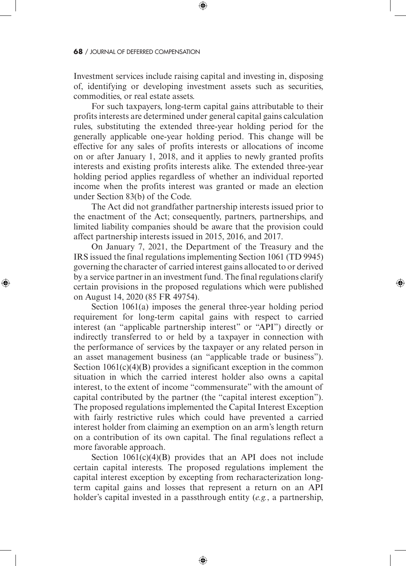⊕

Investment services include raising capital and investing in, disposing of, identifying or developing investment assets such as securities, commodities, or real estate assets.

⊕

For such taxpayers, long-term capital gains attributable to their profits interests are determined under general capital gains calculation rules, substituting the extended three-year holding period for the generally applicable one-year holding period. This change will be effective for any sales of profits interests or allocations of income on or after January 1, 2018, and it applies to newly granted profits interests and existing profits interests alike. The extended three-year holding period applies regardless of whether an individual reported income when the profits interest was granted or made an election under Section 83(b) of the Code.

The Act did not grandfather partnership interests issued prior to the enactment of the Act; consequently, partners, partnerships, and limited liability companies should be aware that the provision could affect partnership interests issued in 2015, 2016, and 2017.

On January 7, 2021, the Department of the Treasury and the IRS issued the final regulations implementing Section 1061 (TD 9945) governing the character of carried interest gains allocated to or derived by a service partner in an investment fund. The final regulations clarify certain provisions in the proposed regulations which were published on August 14, 2020 (85 FR 49754).

⊕

Section 1061(a) imposes the general three-year holding period requirement for long-term capital gains with respect to carried interest (an "applicable partnership interest" or "API") directly or indirectly transferred to or held by a taxpayer in connection with the performance of services by the taxpayer or any related person in an asset management business (an "applicable trade or business"). Section  $1061(c)(4)(B)$  provides a significant exception in the common situation in which the carried interest holder also owns a capital interest, to the extent of income "commensurate" with the amount of capital contributed by the partner (the "capital interest exception"). The proposed regulations implemented the Capital Interest Exception with fairly restrictive rules which could have prevented a carried interest holder from claiming an exemption on an arm's length return on a contribution of its own capital. The final regulations reflect a more favorable approach.

Section  $1061(c)(4)(B)$  provides that an API does not include certain capital interests. The proposed regulations implement the capital interest exception by excepting from recharacterization longterm capital gains and losses that represent a return on an API holder's capital invested in a passthrough entity (*e.g.*, a partnership,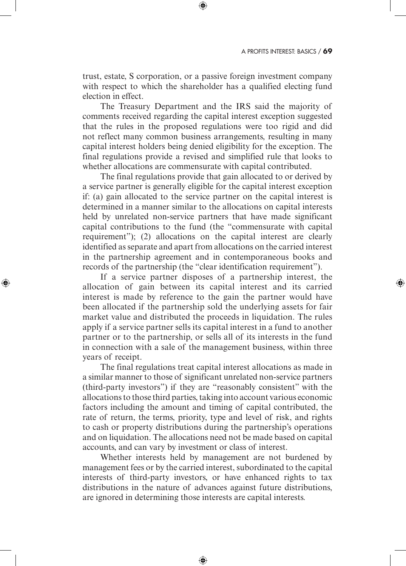trust, estate, S corporation, or a passive foreign investment company with respect to which the shareholder has a qualified electing fund election in effect.

⊕

The Treasury Department and the IRS said the majority of comments received regarding the capital interest exception suggested that the rules in the proposed regulations were too rigid and did not reflect many common business arrangements, resulting in many capital interest holders being denied eligibility for the exception. The final regulations provide a revised and simplified rule that looks to whether allocations are commensurate with capital contributed.

The final regulations provide that gain allocated to or derived by a service partner is generally eligible for the capital interest exception if: (a) gain allocated to the service partner on the capital interest is determined in a manner similar to the allocations on capital interests held by unrelated non-service partners that have made significant capital contributions to the fund (the "commensurate with capital requirement"); (2) allocations on the capital interest are clearly identified as separate and apart from allocations on the carried interest in the partnership agreement and in contemporaneous books and records of the partnership (the "clear identification requirement").

If a service partner disposes of a partnership interest, the allocation of gain between its capital interest and its carried interest is made by reference to the gain the partner would have been allocated if the partnership sold the underlying assets for fair market value and distributed the proceeds in liquidation. The rules apply if a service partner sells its capital interest in a fund to another partner or to the partnership, or sells all of its interests in the fund in connection with a sale of the management business, within three years of receipt.

⊕

The final regulations treat capital interest allocations as made in a similar manner to those of significant unrelated non-service partners (third-party investors") if they are "reasonably consistent" with the allocations to those third parties, taking into account various economic factors including the amount and timing of capital contributed, the rate of return, the terms, priority, type and level of risk, and rights to cash or property distributions during the partnership's operations and on liquidation. The allocations need not be made based on capital accounts, and can vary by investment or class of interest.

Whether interests held by management are not burdened by management fees or by the carried interest, subordinated to the capital interests of third-party investors, or have enhanced rights to tax distributions in the nature of advances against future distributions, are ignored in determining those interests are capital interests.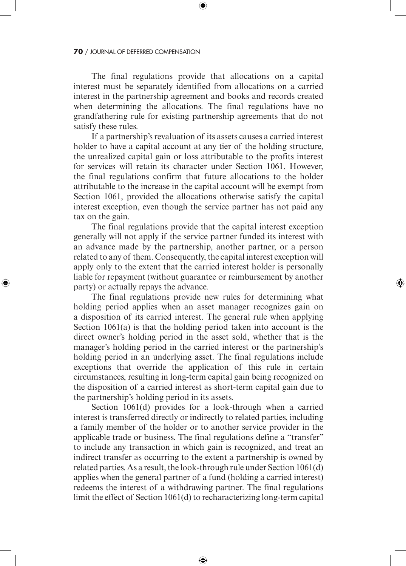⊕

The final regulations provide that allocations on a capital interest must be separately identified from allocations on a carried interest in the partnership agreement and books and records created when determining the allocations. The final regulations have no grandfathering rule for existing partnership agreements that do not satisfy these rules.

⊕

If a partnership's revaluation of its assets causes a carried interest holder to have a capital account at any tier of the holding structure, the unrealized capital gain or loss attributable to the profits interest for services will retain its character under Section 1061. However, the final regulations confirm that future allocations to the holder attributable to the increase in the capital account will be exempt from Section 1061, provided the allocations otherwise satisfy the capital interest exception, even though the service partner has not paid any tax on the gain.

The final regulations provide that the capital interest exception generally will not apply if the service partner funded its interest with an advance made by the partnership, another partner, or a person related to any of them. Consequently, the capital interest exception will apply only to the extent that the carried interest holder is personally liable for repayment (without guarantee or reimbursement by another party) or actually repays the advance.

⊕

The final regulations provide new rules for determining what holding period applies when an asset manager recognizes gain on a disposition of its carried interest. The general rule when applying Section 1061(a) is that the holding period taken into account is the direct owner's holding period in the asset sold, whether that is the manager's holding period in the carried interest or the partnership's holding period in an underlying asset. The final regulations include exceptions that override the application of this rule in certain circumstances, resulting in long-term capital gain being recognized on the disposition of a carried interest as short-term capital gain due to the partnership's holding period in its assets.

Section 1061(d) provides for a look-through when a carried interest is transferred directly or indirectly to related parties, including a family member of the holder or to another service provider in the applicable trade or business. The final regulations define a "transfer" to include any transaction in which gain is recognized, and treat an indirect transfer as occurring to the extent a partnership is owned by related parties. As a result, the look-through rule under Section 1061(d) applies when the general partner of a fund (holding a carried interest) redeems the interest of a withdrawing partner. The final regulations limit the effect of Section 1061(d) to recharacterizing long-term capital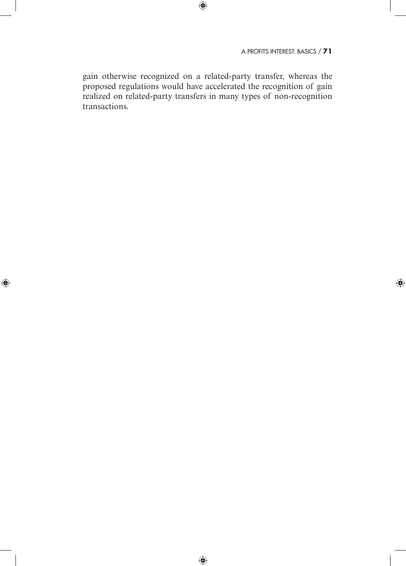A Profits Interest: Basics / **71**

 $\bigoplus$ 

gain otherwise recognized on a related-party transfer, whereas the proposed regulations would have accelerated the recognition of gain realized on related-party transfers in many types of non-recognition transactions.

 $\bigoplus$ 

 $\bigoplus$ 

 $\bigoplus$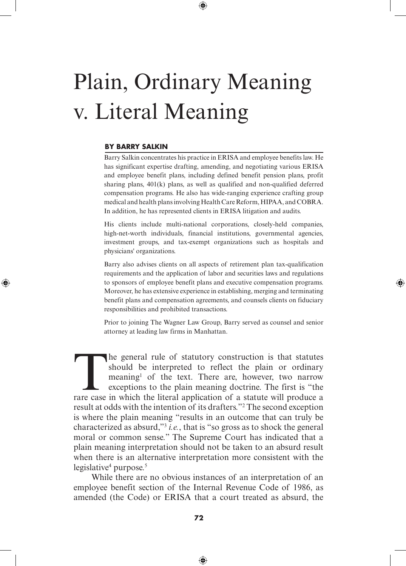# Plain, Ordinary Meaning v. Literal Meaning

⊕

#### **BY BARRY SALKIN**

⊕

Barry Salkin concentrates his practice in ERISA and employee benefits law. He has significant expertise drafting, amending, and negotiating various ERISA and employee benefit plans, including defined benefit pension plans, profit sharing plans, 401(k) plans, as well as qualified and non-qualified deferred compensation programs. He also has wide-ranging experience crafting group medical and health plans involving Health Care Reform, HIPAA, and COBRA. In addition, he has represented clients in ERISA litigation and audits.

His clients include multi-national corporations, closely-held companies, high-net-worth individuals, financial institutions, governmental agencies, investment groups, and tax-exempt organizations such as hospitals and physicians' organizations.

Barry also advises clients on all aspects of retirement plan tax-qualification requirements and the application of labor and securities laws and regulations to sponsors of employee benefit plans and executive compensation programs. Moreover, he has extensive experience in establishing, merging and terminating benefit plans and compensation agreements, and counsels clients on fiduciary responsibilities and prohibited transactions.

⊕

Prior to joining The Wagner Law Group, Barry served as counsel and senior attorney at leading law firms in Manhattan.

The general rule of statutory construction is that statutes should be interpreted to reflect the plain or ordinary meaning<sup>1</sup> of the text. There are, however, two narrow exceptions to the plain meaning doctrine. The first should be interpreted to reflect the plain or ordinary meaning<sup>1</sup> of the text. There are, however, two narrow exceptions to the plain meaning doctrine. The first is "the rare case in which the literal application of a statute will produce a result at odds with the intention of its drafters."2 The second exception is where the plain meaning "results in an outcome that can truly be characterized as absurd,"3 *i.e.*, that is "so gross as to shock the general moral or common sense." The Supreme Court has indicated that a plain meaning interpretation should not be taken to an absurd result when there is an alternative interpretation more consistent with the legislative<sup>4</sup> purpose.<sup>5</sup>

While there are no obvious instances of an interpretation of an employee benefit section of the Internal Revenue Code of 1986, as amended (the Code) or ERISA that a court treated as absurd, the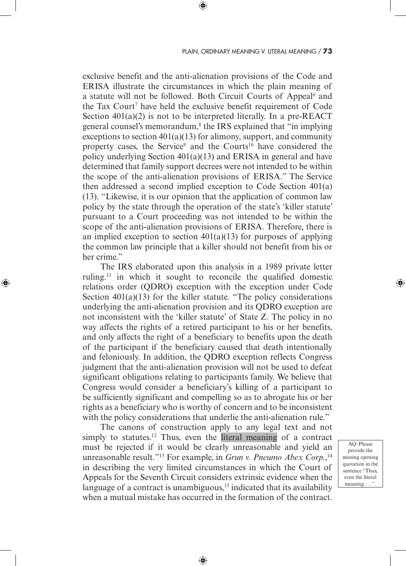exclusive benefit and the anti-alienation provisions of the Code and ERISA illustrate the circumstances in which the plain meaning of a statute will not be followed. Both Circuit Courts of Appeal<sup>6</sup> and the Tax Court<sup>7</sup> have held the exclusive benefit requirement of Code Section 401(a)(2) is not to be interpreted literally. In a pre-REACT general counsel's memorandum,<sup>8</sup> the IRS explained that "in implying exceptions to section  $401(a)(13)$  for alimony, support, and community property cases, the Service<sup>9</sup> and the Courts<sup>10</sup> have considered the policy underlying Section 401(a)(13) and ERISA in general and have determined that family support decrees were not intended to be within the scope of the anti-alienation provisions of ERISA." The Service then addressed a second implied exception to Code Section 401(a) (13). "Likewise, it is our opinion that the application of common law policy by the state through the operation of the state's 'killer statute' pursuant to a Court proceeding was not intended to be within the scope of the anti-alienation provisions of ERISA. Therefore, there is an implied exception to section  $401(a)(13)$  for purposes of applying the common law principle that a killer should not benefit from his or her crime."

⊕

The IRS elaborated upon this analysis in a 1989 private letter ruling.11 in which it sought to reconcile the qualified domestic relations order (QDRO) exception with the exception under Code Section  $401(a)(13)$  for the killer statute. "The policy considerations underlying the anti-alienation provision and its QDRO exception are not inconsistent with the 'killer statute' of State Z. The policy in no way affects the rights of a retired participant to his or her benefits, and only affects the right of a beneficiary to benefits upon the death of the participant if the beneficiary caused that death intentionally and feloniously. In addition, the QDRO exception reflects Congress judgment that the anti-alienation provision will not be used to defeat significant obligations relating to participants family. We believe that Congress would consider a beneficiary's killing of a participant to be sufficiently significant and compelling so as to abrogate his or her rights as a beneficiary who is worthy of concern and to be inconsistent with the policy considerations that underlie the anti-alienation rule."

⊕

The canons of construction apply to any legal text and not simply to statutes.<sup>12</sup> Thus, even the literal meaning of a contract must be rejected if it would be clearly unreasonable and yield an unreasonable result."13 For example, in *Grun v. Pneumo Abex Corp.*, 14 in describing the very limited circumstances in which the Court of Appeals for the Seventh Circuit considers extrinsic evidence when the language of a contract is unambiguous,  $15$  indicated that its availability when a mutual mistake has occurred in the formation of the contract.

⊕

AQ: Please provide the missing opening quotation in the sentence "Thus, even the literal meaning . . ."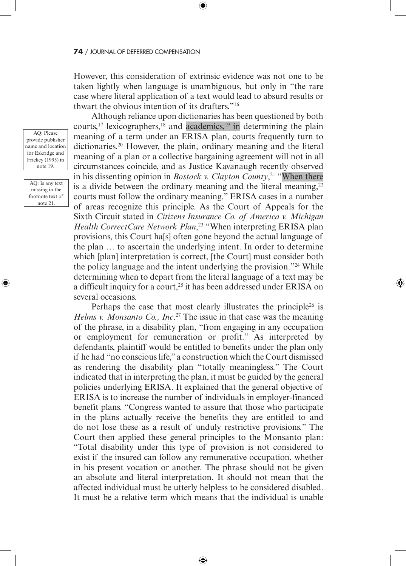However, this consideration of extrinsic evidence was not one to be taken lightly when language is unambiguous, but only in "the rare case where literal application of a text would lead to absurd results or thwart the obvious intention of its drafters."16

⊕

AQ: Please provide publisher name and location for Eskridge and Frickey (1995) in note 19.

AQ: Is any text missing in the footnote text of note 21.

⊕

Although reliance upon dictionaries has been questioned by both courts,<sup>17</sup> lexicographers, $18$  and academics, $19$  in determining the plain meaning of a term under an ERISA plan, courts frequently turn to dictionaries.20 However, the plain, ordinary meaning and the literal meaning of a plan or a collective bargaining agreement will not in all circumstances coincide, and as Justice Kavanaugh recently observed in his dissenting opinion in *Bostock v. Clayton County*, 21 "When there is a divide between the ordinary meaning and the literal meaning, $22$ courts must follow the ordinary meaning." ERISA cases in a number of areas recognize this principle. As the Court of Appeals for the Sixth Circuit stated in *Citizens Insurance Co. of America v. Michigan Health CorrectCare Network Plan*, 23 "When interpreting ERISA plan provisions, this Court ha[s] often gone beyond the actual language of the plan … to ascertain the underlying intent. In order to determine which [plan] interpretation is correct, [the Court] must consider both the policy language and the intent underlying the provision."24 While determining when to depart from the literal language of a text may be a difficult inquiry for a court,<sup>25</sup> it has been addressed under ERISA on several occasions.

⊕

Perhaps the case that most clearly illustrates the principle<sup>26</sup> is *Helms v. Monsanto Co., Inc*. 27 The issue in that case was the meaning of the phrase, in a disability plan, "from engaging in any occupation or employment for remuneration or profit." As interpreted by defendants, plaintiff would be entitled to benefits under the plan only if he had "no conscious life," a construction which the Court dismissed as rendering the disability plan "totally meaningless." The Court indicated that in interpreting the plan, it must be guided by the general policies underlying ERISA. It explained that the general objective of ERISA is to increase the number of individuals in employer-financed benefit plans. "Congress wanted to assure that those who participate in the plans actually receive the benefits they are entitled to and do not lose these as a result of unduly restrictive provisions." The Court then applied these general principles to the Monsanto plan: "Total disability under this type of provision is not considered to exist if the insured can follow any remunerative occupation, whether in his present vocation or another. The phrase should not be given an absolute and literal interpretation. It should not mean that the affected individual must be utterly helpless to be considered disabled. It must be a relative term which means that the individual is unable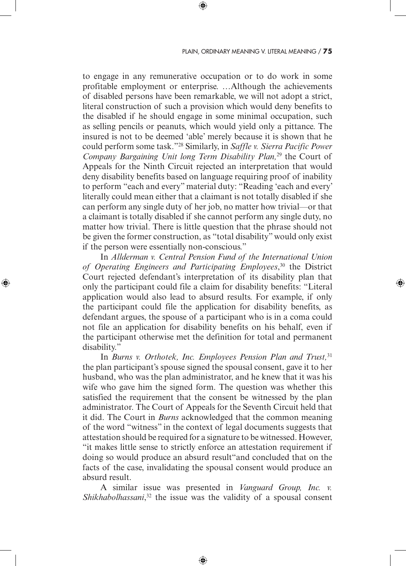to engage in any remunerative occupation or to do work in some profitable employment or enterprise. …Although the achievements of disabled persons have been remarkable, we will not adopt a strict, literal construction of such a provision which would deny benefits to the disabled if he should engage in some minimal occupation, such as selling pencils or peanuts, which would yield only a pittance. The insured is not to be deemed 'able' merely because it is shown that he could perform some task."28 Similarly, in *Saffle v. Sierra Pacific Power Company Bargaining Unit long Term Disability Plan,*29 the Court of Appeals for the Ninth Circuit rejected an interpretation that would deny disability benefits based on language requiring proof of inability to perform "each and every" material duty: "Reading 'each and every' literally could mean either that a claimant is not totally disabled if she can perform any single duty of her job, no matter how trivial—or that a claimant is totally disabled if she cannot perform any single duty, no matter how trivial. There is little question that the phrase should not be given the former construction, as "total disability" would only exist if the person were essentially non-conscious."

⊕

In *Allderman v. Central Pension Fund of the International Union of Operating Engineers and Participating Employees*, 30 the District Court rejected defendant's interpretation of its disability plan that only the participant could file a claim for disability benefits: "Literal application would also lead to absurd results. For example, if only the participant could file the application for disability benefits, as defendant argues, the spouse of a participant who is in a coma could not file an application for disability benefits on his behalf, even if the participant otherwise met the definition for total and permanent disability."

⊕

In *Burns v. Orthotek, Inc. Employees Pension Plan and Trust,*<sup>31</sup> the plan participant's spouse signed the spousal consent, gave it to her husband, who was the plan administrator, and he knew that it was his wife who gave him the signed form. The question was whether this satisfied the requirement that the consent be witnessed by the plan administrator. The Court of Appeals for the Seventh Circuit held that it did. The Court in *Burns* acknowledged that the common meaning of the word "witness" in the context of legal documents suggests that attestation should be required for a signature to be witnessed. However, "it makes little sense to strictly enforce an attestation requirement if doing so would produce an absurd result"and concluded that on the facts of the case, invalidating the spousal consent would produce an absurd result.

A similar issue was presented in *Vanguard Group, Inc. v. Shikhabolhassani*, 32 the issue was the validity of a spousal consent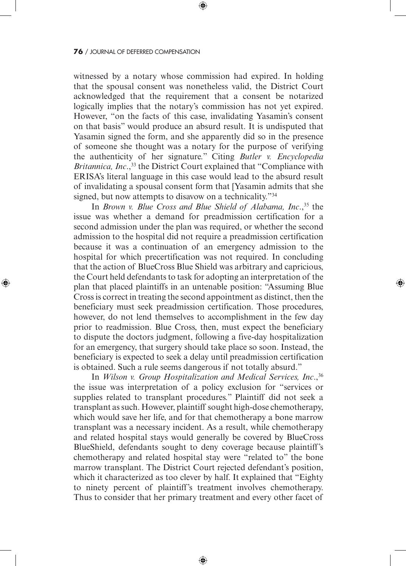⊕

witnessed by a notary whose commission had expired. In holding that the spousal consent was nonetheless valid, the District Court acknowledged that the requirement that a consent be notarized logically implies that the notary's commission has not yet expired. However, "on the facts of this case, invalidating Yasamin's consent on that basis" would produce an absurd result. It is undisputed that Yasamin signed the form, and she apparently did so in the presence of someone she thought was a notary for the purpose of verifying the authenticity of her signature." Citing *Butler v. Encyclopedia Britannica, Inc.*,<sup>33</sup> the District Court explained that "Compliance with ERISA's literal language in this case would lead to the absurd result of invalidating a spousal consent form that [Yasamin admits that she signed, but now attempts to disavow on a technicality."34

⊕

In *Brown v. Blue Cross and Blue Shield of Alabama, Inc.*,<sup>35</sup> the issue was whether a demand for preadmission certification for a second admission under the plan was required, or whether the second admission to the hospital did not require a preadmission certification because it was a continuation of an emergency admission to the hospital for which precertification was not required. In concluding that the action of BlueCross Blue Shield was arbitrary and capricious, the Court held defendants to task for adopting an interpretation of the plan that placed plaintiffs in an untenable position: "Assuming Blue Cross is correct in treating the second appointment as distinct, then the beneficiary must seek preadmission certification. Those procedures, however, do not lend themselves to accomplishment in the few day prior to readmission. Blue Cross, then, must expect the beneficiary to dispute the doctors judgment, following a five-day hospitalization for an emergency, that surgery should take place so soon. Instead, the beneficiary is expected to seek a delay until preadmission certification is obtained. Such a rule seems dangerous if not totally absurd."

⊕

In *Wilson v. Group Hospitalization and Medical Services, Inc.*,<sup>36</sup> the issue was interpretation of a policy exclusion for "services or supplies related to transplant procedures." Plaintiff did not seek a transplant as such. However, plaintiff sought high-dose chemotherapy, which would save her life, and for that chemotherapy a bone marrow transplant was a necessary incident. As a result, while chemotherapy and related hospital stays would generally be covered by BlueCross BlueShield, defendants sought to deny coverage because plaintiff's chemotherapy and related hospital stay were "related to" the bone marrow transplant. The District Court rejected defendant's position, which it characterized as too clever by half. It explained that "Eighty to ninety percent of plaintiff's treatment involves chemotherapy. Thus to consider that her primary treatment and every other facet of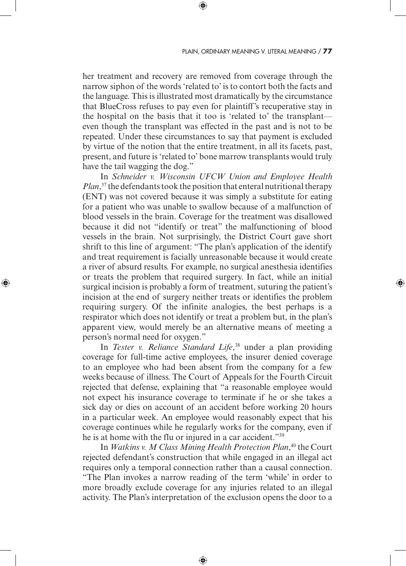her treatment and recovery are removed from coverage through the narrow siphon of the words 'related to' is to contort both the facts and the language. This is illustrated most dramatically by the circumstance that BlueCross refuses to pay even for plaintiff's recuperative stay in the hospital on the basis that it too is 'related to' the transplant even though the transplant was effected in the past and is not to be repeated. Under these circumstances to say that payment is excluded by virtue of the notion that the entire treatment, in all its facets, past, present, and future is 'related to' bone marrow transplants would truly have the tail wagging the dog."

⊕

In *Schneider v. Wisconsin UFCW Union and Employee Health Plan*, 37 the defendants took the position that enteral nutritional therapy (ENT) was not covered because it was simply a substitute for eating for a patient who was unable to swallow because of a malfunction of blood vessels in the brain. Coverage for the treatment was disallowed because it did not "identify or treat" the malfunctioning of blood vessels in the brain. Not surprisingly, the District Court gave short shrift to this line of argument: "The plan's application of the identify and treat requirement is facially unreasonable because it would create a river of absurd results. For example, no surgical anesthesia identifies or treats the problem that required surgery. In fact, while an initial surgical incision is probably a form of treatment, suturing the patient's incision at the end of surgery neither treats or identifies the problem requiring surgery. Of the infinite analogies, the best perhaps is a respirator which does not identify or treat a problem but, in the plan's apparent view, would merely be an alternative means of meeting a person's normal need for oxygen."

⊕

In *Tester v. Reliance Standard Life*, 38 under a plan providing coverage for full-time active employees, the insurer denied coverage to an employee who had been absent from the company for a few weeks because of illness. The Court of Appeals for the Fourth Circuit rejected that defense, explaining that "a reasonable employee would not expect his insurance coverage to terminate if he or she takes a sick day or dies on account of an accident before working 20 hours in a particular week. An employee would reasonably expect that his coverage continues while he regularly works for the company, even if he is at home with the flu or injured in a car accident."39

In *Watkins v. M Class Mining Health Protection Plan*, 40 the Court rejected defendant's construction that while engaged in an illegal act requires only a temporal connection rather than a causal connection. "The Plan invokes a narrow reading of the term 'while' in order to more broadly exclude coverage for any injuries related to an illegal activity. The Plan's interpretation of the exclusion opens the door to a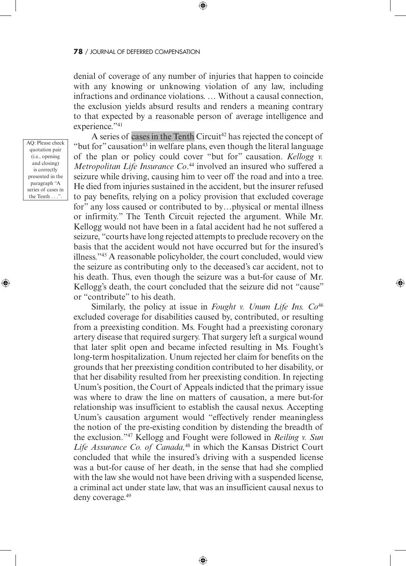denial of coverage of any number of injuries that happen to coincide with any knowing or unknowing violation of any law, including infractions and ordinance violations. … Without a causal connection, the exclusion yields absurd results and renders a meaning contrary to that expected by a reasonable person of average intelligence and experience."41

⊕

AQ: Please check quotation pair (i.e., opening and closing) is correctly presented in the paragraph "A series of cases in the Tenth . . .".

⊕

A series of cases in the Tenth Circuit<sup>42</sup> has rejected the concept of "but for" causation<sup>43</sup> in welfare plans, even though the literal language of the plan or policy could cover "but for" causation. *Kellogg v. Metropolitan Life Insurance Co*. 44 involved an insured who suffered a seizure while driving, causing him to veer off the road and into a tree. He died from injuries sustained in the accident, but the insurer refused to pay benefits, relying on a policy provision that excluded coverage for" any loss caused or contributed to by…physical or mental illness or infirmity." The Tenth Circuit rejected the argument. While Mr. Kellogg would not have been in a fatal accident had he not suffered a seizure, "courts have long rejected attempts to preclude recovery on the basis that the accident would not have occurred but for the insured's illness."45 A reasonable policyholder, the court concluded, would view the seizure as contributing only to the deceased's car accident, not to his death. Thus, even though the seizure was a but-for cause of Mr. Kellogg's death, the court concluded that the seizure did not "cause" or "contribute" to his death.

⊕

Similarly, the policy at issue in *Fought v. Unum Life Ins.*  $Co<sup>46</sup>$ excluded coverage for disabilities caused by, contributed, or resulting from a preexisting condition. Ms. Fought had a preexisting coronary artery disease that required surgery. That surgery left a surgical wound that later split open and became infected resulting in Ms. Fought's long-term hospitalization. Unum rejected her claim for benefits on the grounds that her preexisting condition contributed to her disability, or that her disability resulted from her preexisting condition. In rejecting Unum's position, the Court of Appeals indicted that the primary issue was where to draw the line on matters of causation, a mere but-for relationship was insufficient to establish the causal nexus. Accepting Unum's causation argument would "effectively render meaningless the notion of the pre-existing condition by distending the breadth of the exclusion."47 Kellogg and Fought were followed in *Reiling v. Sun Life Assurance Co. of Canada,*48 in which the Kansas District Court concluded that while the insured's driving with a suspended license was a but-for cause of her death, in the sense that had she complied with the law she would not have been driving with a suspended license, a criminal act under state law, that was an insufficient causal nexus to deny coverage.49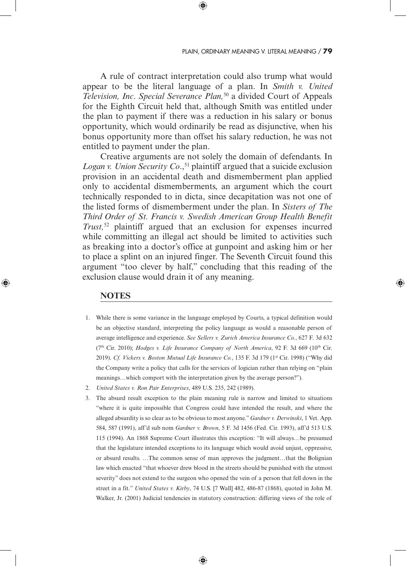A rule of contract interpretation could also trump what would appear to be the literal language of a plan. In *Smith v. United Television, Inc*. *Special Severance Plan,*50 a divided Court of Appeals for the Eighth Circuit held that, although Smith was entitled under the plan to payment if there was a reduction in his salary or bonus opportunity, which would ordinarily be read as disjunctive, when his bonus opportunity more than offset his salary reduction, he was not entitled to payment under the plan.

⊕

Creative arguments are not solely the domain of defendants. In *Logan v. Union Security Co.*,<sup>51</sup> plaintiff argued that a suicide exclusion provision in an accidental death and dismemberment plan applied only to accidental dismemberments, an argument which the court technically responded to in dicta, since decapitation was not one of the listed forms of dismemberment under the plan. In *Sisters of The Third Order of St. Francis v. Swedish American Group Health Benefit Trust,*52 plaintiff argued that an exclusion for expenses incurred while committing an illegal act should be limited to activities such as breaking into a doctor's office at gunpoint and asking him or her to place a splint on an injured finger. The Seventh Circuit found this argument "too clever by half," concluding that this reading of the exclusion clause would drain it of any meaning.

## **NOTES**

⊕

- 1. While there is some variance in the language employed by Courts, a typical definition would be an objective standard, interpreting the policy language as would a reasonable person of average intelligence and experience. *See Sellers v. Zurich America Insurance Co.*, 627 F. 3d 632 (7<sup>th</sup> Cir. 2010); *Hodges v. Life Insurance Company of North America*, 92 F. 3d 669 (10<sup>th</sup> Cir. 2019). *Cf. Vickers v. Boston Mutual Life Insurance Co.*, 135 F. 3d 179 (1st Cir. 1998) ("Why did the Company write a policy that calls for the services of logician rather than relying on "plain meanings…which comport with the interpretation given by the average person?").
- 2. *United States v. Ron Pair Enterprises*, 489 U.S. 235, 242 (1989).
- 3. The absurd result exception to the plain meaning rule is narrow and limited to situations "where it is quite impossible that Congress could have intended the result, and where the alleged absurdity is so clear as to be obvious to most anyone." *Gardner v. Derwinski*, 1 Vet. App. 584, 587 (1991), aff'd sub nom *Gardner v. Brown*, 5 F. 3d 1456 (Fed. Cir. 1993), aff'd 513 U.S. 115 (1994). An 1868 Supreme Court illustrates this exception: "It will always…be presumed that the legislature intended exceptions to its language which would avoid unjust, oppressive, or absurd results. …The common sense of man approves the judgment…that the Bolignian law which enacted "that whoever drew blood in the streets should be punished with the utmost severity" does not extend to the surgeon who opened the vein of a person that fell down in the street in a fit." *United States v. Kirby*, 74 U.S. [7 Wall] 482, 486-87 (1868), quoted in John M. Walker, Jr. (2001) Judicial tendencies in statutory construction: differing views of the role of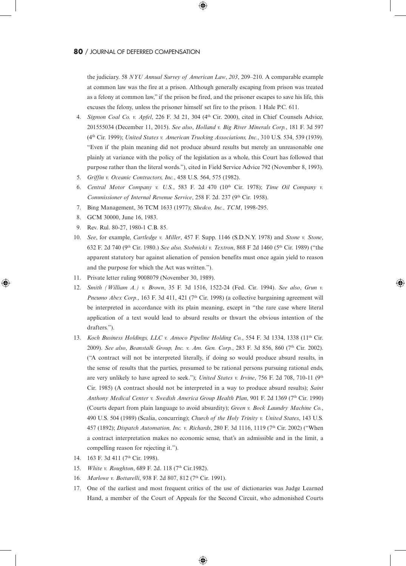the judiciary. 58 *NYU Annual Survey of American Law*, *203*, 209–210. A comparable example at common law was the fire at a prison. Although generally escaping from prison was treated as a felony at common law," if the prison be fired, and the prisoner escapes to save his life, this excuses the felony, unless the prisoner himself set fire to the prison. 1 Hale P.C. 611.

⊕

- 4. *Sigmon Coal Co. v. Apfel*, 226 F. 3d 21, 304 (4th Cir. 2000), cited in Chief Counsels Advice, 201555034 (December 11, 2015). *See also*, *Holland v. Big River Minerals Corp.*, 181 F. 3d 597 (4th Cir. 1999); *United States v. American Trucking Associations, Inc.*, 310 U.S. 534, 539 (1939). "Even if the plain meaning did not produce absurd results but merely an unreasonable one plainly at variance with the policy of the legislation as a whole, this Court has followed that purpose rather than the literal words."), cited in Field Service Advice 792 (November 8, 1993).
- 5. *Griffin v. Oceanic Contractors, Inc.*, 458 U.S. 564, 575 (1982).
- 6. *Central Motor Company v. U.S.*, 583 F. 2d 470 (10th Cir. 1978); *Time Oil Company v. Commissioner of Internal Revenue Service*, 258 F. 2d. 237 (9th Cir. 1958).
- 7. Bing Management, 36 TCM 1633 (1977); *Shedco, Inc., TCM*, 1998-295.
- 8. GCM 30000, June 16, 1983.

⊕

- 9. Rev. Rul. 80-27, 1980-1 C.B. 85.
- 10. *See*, for example, *Cartledge v. Miller*, 457 F. Supp. 1146 (S.D.N.Y. 1978) and *Stone v. Stone*, 632 F. 2d 740 (9th Cir. 1980.) *See also, Stobnicki v. Textron*, 868 F 2d 1460 (5th Cir. 1989) ("the apparent statutory bar against alienation of pension benefits must once again yield to reason and the purpose for which the Act was written.").
- 11. Private letter ruling 9008079 (November 30, 1989).
- 12. *Smith (William A.) v. Brown*, 35 F. 3d 1516, 1522-24 (Fed. Cir. 1994). *See also*, *Grun v. Pneumo Abex Corp.*, 163 F. 3d 411, 421 (7<sup>th</sup> Cir. 1998) (a collective bargaining agreement will be interpreted in accordance with its plain meaning, except in "the rare case where literal application of a text would lead to absurd results or thwart the obvious intention of the drafters.").

⊕

- 13. *Koch Business Holdings, LLC v. Amoco Pipeline Holding Co.*, 554 F. 3d 1334, 1338 (11<sup>th</sup> Cir. 2009). *See also*, *Beanstalk Group, Inc. v. Am. Gen. Corp.*, 283 F. 3d 856, 860 (7th Cir. 2002). ("A contract will not be interpreted literally, if doing so would produce absurd results, in the sense of results that the parties, presumed to be rational persons pursuing rational ends, are very unlikely to have agreed to seek."); *United States v. Irvine*, 756 F. 2d 708, 710-11 (9<sup>th</sup> Cir. 1985) (A contract should not be interpreted in a way to produce absurd results); *Saint Anthony Medical Center v. Swedish America Group Health Plan*, 901 F. 2d 1369 (7th Cir. 1990) (Courts depart from plain language to avoid absurdity); *Green v. Bock Laundry Machine Co.*, 490 U.S. 504 (1989) (Scalia, concurring); *Church of the Holy Trinity v. United States*, 143 U.S. 457 (1892); *Dispatch Automation, Inc. v. Richards*, 280 F. 3d 1116, 1119 (7th Cir. 2002) ("When a contract interpretation makes no economic sense, that's an admissible and in the limit, a compelling reason for rejecting it.").
- 14. 163 F. 3d 411 (7<sup>th</sup> Cir. 1998).
- 15. *White v. Roughton*, 689 F. 2d. 118 (7th Cir.1982).
- 16. *Marlowe v. Bottarelli*, 938 F. 2d 807, 812 (7<sup>th</sup> Cir. 1991).
- 17. One of the earliest and most frequent critics of the use of dictionaries was Judge Learned Hand, a member of the Court of Appeals for the Second Circuit, who admonished Courts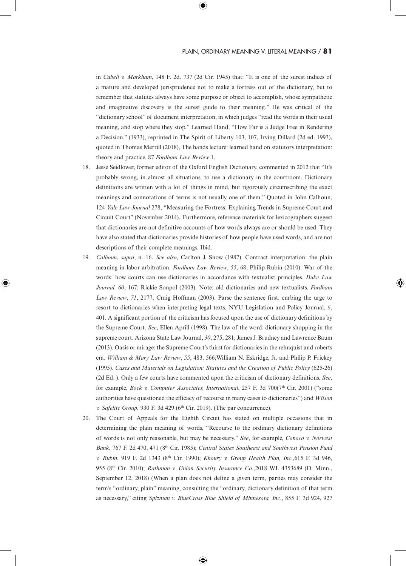#### Plain, Ordinary Meaning v. Literal Meaning / **81**

⊕

in *Cabell v. Markham*, 148 F. 2d. 737 (2d Cir. 1945) that: "It is one of the surest indices of a mature and developed jurisprudence not to make a fortress out of the dictionary, but to remember that statutes always have some purpose or object to accomplish, whose sympathetic and imaginative discovery is the surest guide to their meaning." He was critical of the "dictionary school" of document interpretation, in which judges "read the words in their usual meaning, and stop where they stop." Learned Hand, "How Far is a Judge Free in Rendering a Decision," (1933), reprinted in The Spirit of Liberty 103, 107, Irving Dillard (2d ed. 1993), quoted in Thomas Merrill (2018), The hands lecture: learned hand on statutory interpretation: theory and practice. 87 *Fordham Law Review* 1.

⊕

- 18. Jesse Seidlower, former editor of the Oxford English Dictionary, commented in 2012 that "It's probably wrong, in almost all situations, to use a dictionary in the courtroom. Dictionary definitions are written with a lot of things in mind, but rigorously circumscribing the exact meanings and connotations of terms is not usually one of them." Quoted in John Calhoun, 124 *Yale Law Journal* 278, "Measuring the Fortress: Explaining Trends in Supreme Court and Circuit Court" (November 2014). Furthermore, reference materials for lexicographers suggest that dictionaries are not definitive accounts of how words always are or should be used. They have also stated that dictionaries provide histories of how people have used words, and are not descriptions of their complete meanings. Ibid.
- 19. *Calhoun*, *supra*, n. 16. *See also*, Carlton J. Snow (1987). Contract interpretation: the plain meaning in labor arbitration. *Fordham Law Review*, *55*, 68; Philip Rubin (2010). War of the words: how courts can use dictionaries in accordance with textualist principles. *Duke Law Journal, 60*, 167; Rickie Sonpol (2003). Note: old dictionaries and new textualists. *Fordham Law Review*, *71*, 2177; Craig Hoffman (2003). Parse the sentence first: curbing the urge to resort to dictionaries when interpreting legal texts. NYU Legislation and Policy Journal, *6*, 401. A significant portion of the criticism has focused upon the use of dictionary definitions by the Supreme Court. *See*, Ellen Aprill (1998). The law of the word: dictionary shopping in the supreme court. Arizona State Law Journal, *30*, 275, 281; James J. Brudney and Lawrence Baum (2013). Oasis or mirage: the Supreme Court's thirst for dictionaries in the rehnquist and roberts era. *William & Mary Law Review*, *55*, 483, 566;William N. Eskridge, Jr. and Philip P. Frickey (1995). *Cases and Materials on Legislation: Statutes and the Creation of Public Policy* (625-26) (2d Ed. ). Only a few courts have commented upon the criticism of dictionary definitions. *See*, for example, *Bock v. Computer Associates, International*, 257 F. 3d 700(7<sup>th</sup> Cir. 2001) ("some authorities have questioned the efficacy of recourse in many cases to dictionaries") and *Wilson v. Safelite Group*, 930 F. 3d 429 (6<sup>th</sup> Cir. 2019). (The par concurrence).

⊕

20. The Court of Appeals for the Eighth Circuit has stated on multiple occasions that in determining the plain meaning of words, "Recourse to the ordinary dictionary definitions of words is not only reasonable, but may be necessary." *See*, for example, *Conoco v. Norwest Bank*, 767 F. 2d 470, 471 (8th Cir. 1985); *Central States Southeast and Southwest Pension Fund v. Rubin*, 919 F. 2d 1343 (8th Cir. 1990); *Khoury v. Group Health Plan, Inc*.,615 F. 3d 946, 955 (8th Cir. 2010); *Rathman v. Union Security Insurance Co*.,2018 WL 4353689 (D. Minn., September 12, 2018) (When a plan does not define a given term, parties may consider the term's "ordinary, plain" meaning, consulting the "ordinary, dictionary definition of that term as necessary," citing *Spizman v. BlueCross Blue Shield of Minnesota, Inc*., 855 F. 3d 924, 927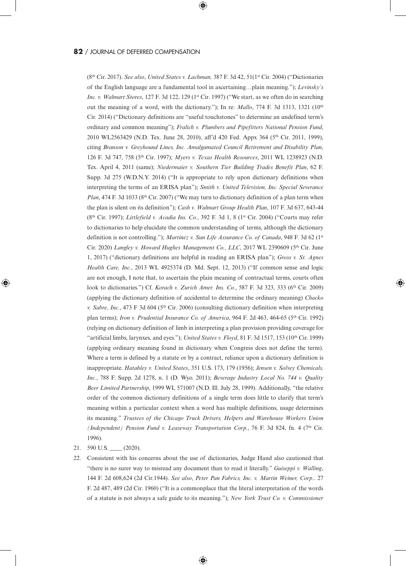(8th Cir. 2017). *See also*, *United States v. Lachman,* 387 F. 3d 42, 51(1st Cir. 2004) ("Dictionaries of the English language are a fundamental tool in ascertaining…plain meaning."); *Levinsky's Inc. v. Walmart Stores*, 127 F. 3d 122, 129 (1<sup>st</sup> Cir. 1997) ("We start, as we often do in searching out the meaning of a word, with the dictionary."); In re: *Mallo*, 774 F. 3d 1313, 1321 (10<sup>th</sup> Cir. 2014) ("Dictionary definitions are "useful touchstones" to determine an undefined term's ordinary and common meaning"); *Fralich v. Plumbers and Pipefitters National Pension Fund*, 2010 WL2563429 (N.D. Tex. June 28, 2010), aff'd 420 Fed. Appx 364 (5<sup>th</sup> Cir. 2011, 1999), citing *Branson v. Greyhound Lines, Inc. Amalgamated Council Retirement and Disability Plan*, 126 F. 3d 747, 758 (5th Cir. 1997); *Myers v. Texas Health Resources*, 2011 WL 1238923 (N.D. Tex. April 4, 2011 (same); *Niedermaier v. Southern Tier Building Trades Benefit Plan*, 62 F. Supp. 3d 275 (W.D.N.Y. 2014) ("It is appropriate to rely upon dictionary definitions when interpreting the terms of an ERISA plan"); *Smith v. United Television, Inc. Special Severance Plan*, 474 F. 3d 1033 (8<sup>th</sup> Cir. 2007) ("We may turn to dictionary definition of a plan term when the plan is silent on its definition"); *Cash v. Walmart Group Health Plan*, 107 F. 3d 637, 643-44 (8th Cir. 1997); *Littlefield v. Acadia Ins. Co.*, 392 F. 3d 1, 8 (1st Cir. 2004) ("Courts may refer to dictionaries to help elucidate the common understanding of terms, although the dictionary definition is not controlling."); *Martinez v. Sun Life Assurance Co. of Canada*, 948 F. 3d 62 (1st Cir. 2020) *Langley v. Howard Hughes Management Co., LLC*, 2017 WL 2390609 (5<sup>th</sup> Cir. June 1, 2017) ("dictionary definitions are helpful in reading an ERISA plan"); *Gross v. St. Agnes Health Care, Inc.*, 2013 WL 4925374 (D. Md. Sept. 12, 2013) ("If common sense and logic are not enough, I note that, to ascertain the plain meaning of contractual terms, courts often look to dictionaries.") Cf. *Korach v. Zurich Amer. Ins. Co.*, 587 F. 3d 323, 333 (6<sup>th</sup> Cir. 2009) (applying the dictionary definition of accidental to determine the ordinary meaning) *Chacko v. Sabre, Inc.*, 473 F 3d 604 (5<sup>th</sup> Cir. 2006) (consulting dictionary definition when interpreting plan terms); *Iron v. Prudential Insurance Co. of America*, 964 F. 2d 463, 464-65 (5<sup>th</sup> Cir. 1992) (relying on dictionary definition of limb in interpreting a plan provision providing coverage for "artificial limbs, larynxes, and eyes."); *United States v. Floyd*, 81 F. 3d 1517, 153 (10<sup>th</sup> Cir. 1999) (applying ordinary meaning found in dictionary when Congress does not define the term). Where a term is defined by a statute or by a contract, reliance upon a dictionary definition is inappropriate. *Hatahley v. United States*, 351 U.S. 173, 179 (1956); *Jensen v. Solvey Chemicals, Inc.*, 788 F. Supp. 2d 1278, n. 1 (D. Wyo. 2011); *Beverage Industry Local No. 744 v. Quality Beer Limited Partnership*, 1999 WL 571007 (N.D. Ill. July 28, 1999). Additionally, "the relative order of the common dictionary definitions of a single term does little to clarify that term's meaning within a particular context when a word has multiple definitions, usage determines its meaning." *Trustees of the Chicago Truck Drivers, Helpers and Warehouse Workers Union (Independent) Pension Fund v. Leaseway Transportation Corp.*, 76 F. 3d 824, fn. 4 (7th Cir. 1996).

⊕

⊕

21. 590 U.S. \_\_\_\_ (2020).

⊕

22. Consistent with his concerns about the use of dictionaries, Judge Hand also cautioned that "there is no surer way to misread any document than to read it literally." *Guiseppi v. Walling*, 144 F. 2d 608,624 (2d Cir.1944). *See also*, *Peter Pan Fabrics, Inc. v. Martin Weiner, Corp*.. 27 F. 2d 487, 489 (2d Cir. 1960) ("It is a commonplace that the literal interpretation of the words of a statute is not always a safe guide to its meaning."); *New York Trust Co. v. Commissioner*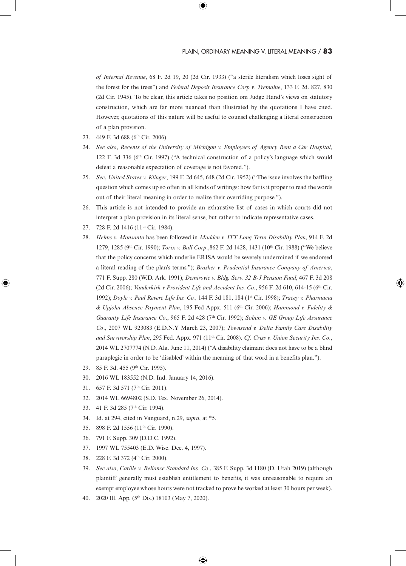#### Plain, Ordinary Meaning v. Literal Meaning / **83**

⊕

*of Internal Revenue*, 68 F. 2d 19, 20 (2d Cir. 1933) ("a sterile literalism which loses sight of the forest for the trees") and *Federal Deposit Insurance Corp v. Tremaine*, 133 F. 2d. 827, 830 (2d Cir. 1945). To be clear, this article takes no position om Judge Hand's views on statutory construction, which are far more nuanced than illustrated by the quotations I have cited. However, quotations of this nature will be useful to counsel challenging a literal construction of a plan provision.

⊕

- 23. 449 F. 3d 688 (6th Cir. 2006).
- 24. *See also*, *Regents of the University of Michigan v. Employees of Agency Rent a Car Hospital*, 122 F. 3d 336 (6th Cir. 1997) ("A technical construction of a policy's language which would defeat a reasonable expectation of coverage is not favored.").
- 25. *See*, *United States v. Klinger*, 199 F. 2d 645, 648 (2d Cir. 1952) ("The issue involves the baffling question which comes up so often in all kinds of writings: how far is it proper to read the words out of their literal meaning in order to realize their overriding purpose.").
- 26. This article is not intended to provide an exhaustive list of cases in which courts did not interpret a plan provision in its literal sense, but rather to indicate representative cases.
- 27. 728 F. 2d 1416 (11th Cir. 1984).

⊕

- 28. *Helms v. Monsanto* has been followed in *Madden v. ITT Long Term Disability Plan*, 914 F. 2d 1279, 1285 (9th Cir. 1990); *Torix v. Ball Corp*.,862 F. 2d 1428, 1431 (10th Cir. 1988) ("We believe that the policy concerns which underlie ERISA would be severely undermined if we endorsed a literal reading of the plan's terms."); *Brasher v. Prudential Insurance Company of America*, 771 F. Supp. 280 (W.D. Ark. 1991); *Demirovic v. Bldg. Serv*. *32 B-J Pension Fund*, 467 F. 3d 208 (2d Cir. 2006); *Vanderkirk v Provident Life and Accident Ins. Co.*, 956 F. 2d 610, 614-15 (6<sup>th</sup> Cir. 1992); *Doyle v. Paul Revere Life Ins. Co.,* 144 F. 3d 181, 184 (1st Cir. 1998); *Tracey v. Pharmacia & Upjohn Absence Payment Plan*, 195 Fed Appx. 511 (6th Cir. 2006); *Hammond v. Fidelity & Guaranty Life Insurance Co*., 965 F. 2d 428 (7th Cir. 1992); *Solnin v. GE Group Life Assurance Co*., 2007 WL 923083 (E.D.N.Y March 23, 2007); *Townsend v. Delta Family Care Disability and Survivorship Plan*, 295 Fed. Appx. 971 (11th Cir. 2008). *Cf. Criss v. Union Security Ins. Co*., 2014 WL 2707774 (N.D. Ala. June 11, 2014) ("A disability claimant does not have to be a blind paraplegic in order to be 'disabled' within the meaning of that word in a benefits plan.").
- 29. 85 F. 3d. 455 (9th Cir. 1995).
- 30. 2016 WL 183552 (N.D. Ind. January 14, 2016).
- 31. 657 F. 3d 571 (7th Cir. 2011).
- 32. 2014 WL 6694802 (S.D. Tex. November 26, 2014).
- 33. 41 F. 3d 285 (7th Cir. 1994).
- 34. Id. at 294, cited in Vanguard, n.29, *supra*, at \*5.
- 35. 898 F. 2d 1556 (11th Cir. 1990).
- 36. 791 F. Supp. 309 (D.D.C. 1992).
- 37. 1997 WL 755403 (E.D. Wisc. Dec. 4, 1997).
- 38. 228 F. 3d 372 (4th Cir. 2000).
- 39. *See also*, *Carlile v. Reliance Standard Ins. Co*., 385 F. Supp. 3d 1180 (D. Utah 2019) (although plaintiff generally must establish entitlement to benefits, it was unreasonable to require an exempt employee whose hours were not tracked to prove he worked at least 30 hours per week).

⊕

40. 2020 Ill. App. (5th Dis.) 18103 (May 7, 2020).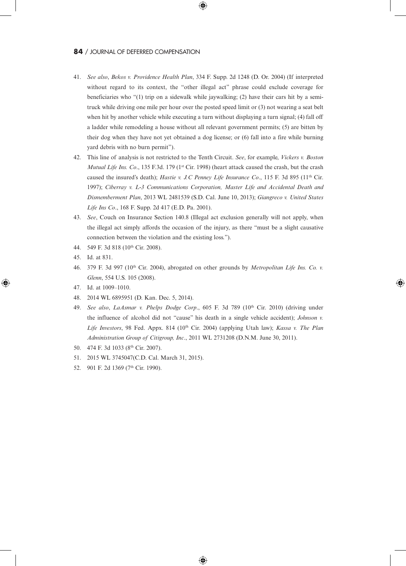41. *See also*, *Bekos v. Providence Health Plan*, 334 F. Supp. 2d 1248 (D. Or. 2004) (If interpreted without regard to its context, the "other illegal act" phrase could exclude coverage for beneficiaries who "(1) trip on a sidewalk while jaywalking; (2) have their cars hit by a semitruck while driving one mile per hour over the posted speed limit or (3) not wearing a seat belt when hit by another vehicle while executing a turn without displaying a turn signal; (4) fall off a ladder while remodeling a house without all relevant government permits; (5) are bitten by their dog when they have not yet obtained a dog license; or (6) fall into a fire while burning yard debris with no burn permit").

⊕

- 42. This line of analysis is not restricted to the Tenth Circuit. *See*, for example, *Vickers v. Boston Mutual Life Ins. Co.*, 135 F.3d. 179 (1<sup>st</sup> Cir. 1998) (heart attack caused the crash, but the crash caused the insured's death); *Hastie v. J.C Penney Life Insurance Co*., 115 F. 3d 895 (11th Cir. 1997); *Ciberray v. L-3 Communications Corporation, Master Life and Accidental Death and Dismemberment Plan*, 2013 WL 2481539 (S.D. Cal. June 10, 2013); *Giangreco v. United States Life Ins Co*., 168 F. Supp. 2d 417 (E.D. Pa. 2001).
- 43. *See*, Couch on Insurance Section 140.8 (Illegal act exclusion generally will not apply, when the illegal act simply affords the occasion of the injury, as there "must be a slight causative connection between the violation and the existing loss.").
- 44. 549 F. 3d 818 (10th Cir. 2008).
- 45. Id. at 831.

⊕

46. 379 F. 3d 997 (10th Cir. 2004), abrogated on other grounds by *Metropolitan Life Ins. Co. v. Glenn*, 554 U.S. 105 (2008).

⊕

- 47. Id. at 1009–1010.
- 48. 2014 WL 6895951 (D. Kan. Dec. 5, 2014).
- 49. *See also, LaAsmar v. Phelps Dodge Corp.*, 605 F. 3d 789 (10<sup>th</sup> Cir. 2010) (driving under the influence of alcohol did not "cause" his death in a single vehicle accident); *Johnson v.*  Life Investors, 98 Fed. Appx. 814 (10<sup>th</sup> Cir. 2004) (applying Utah law); *Kassa v. The Plan Administration Group of Citigroup, Inc*., 2011 WL 2731208 (D.N.M. June 30, 2011).

- 50. 474 F. 3d 1033 (8th Cir. 2007).
- 51. 2015 WL 3745047(C.D. Cal. March 31, 2015).
- 52. 901 F. 2d 1369 (7th Cir. 1990).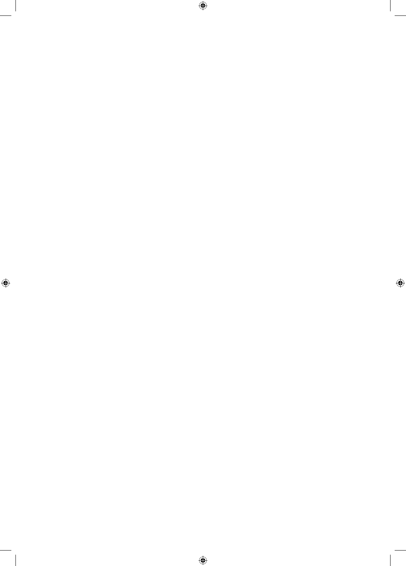